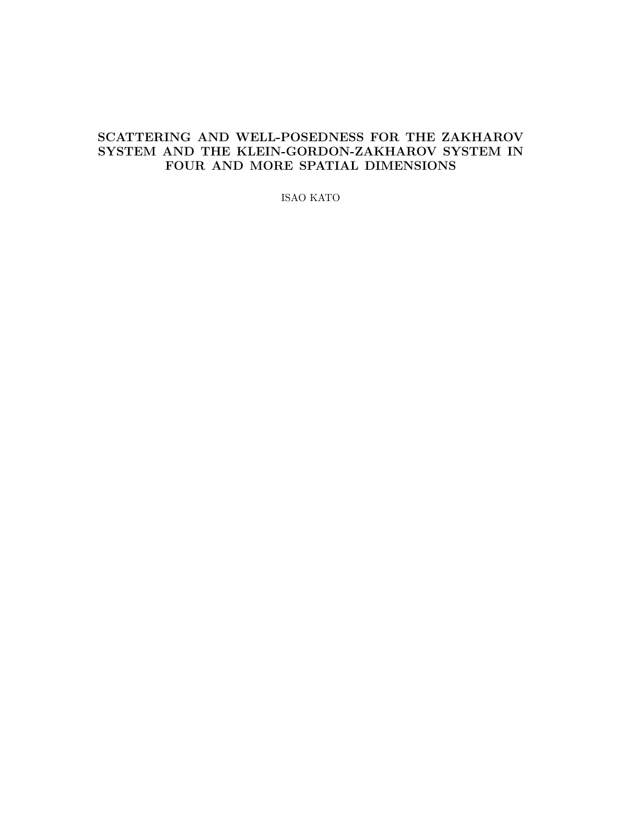## SCATTERING AND WELL-POSEDNESS FOR THE ZAKHAROV SYSTEM AND THE KLEIN-GORDON-ZAKHAROV SYSTEM IN FOUR AND MORE SPATIAL DIMENSIONS

ISAO KATO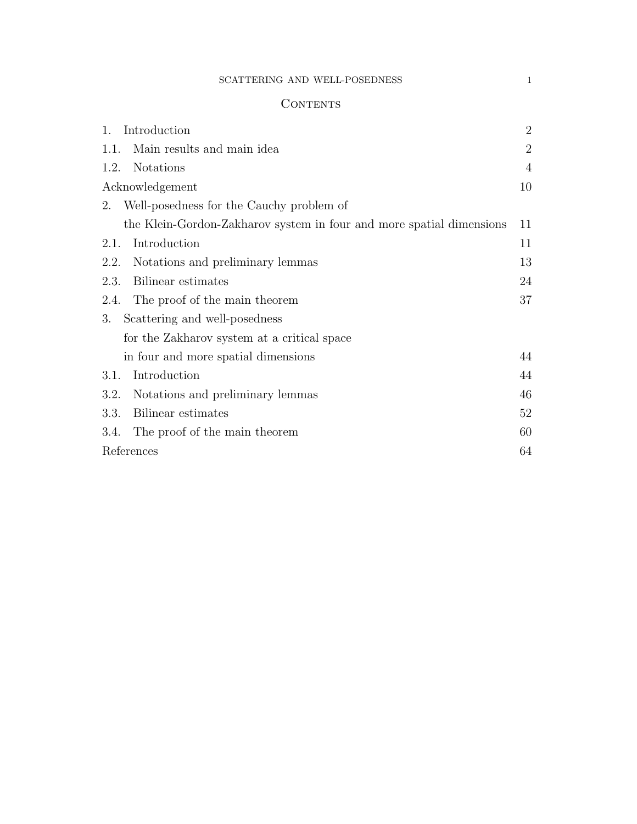## $\textsc{SCATTERING}$  AND WELL-POSEDNESS  $1$

## **CONTENTS**

| 1.   | Introduction                                                         | $\overline{2}$ |
|------|----------------------------------------------------------------------|----------------|
|      | 1.1. Main results and main idea                                      | $\overline{2}$ |
| 1.2. | <b>Notations</b>                                                     | $\overline{4}$ |
|      | Acknowledgement                                                      | 10             |
|      | 2. Well-posedness for the Cauchy problem of                          |                |
|      | the Klein-Gordon-Zakharov system in four and more spatial dimensions | 11             |
| 2.1. | Introduction                                                         | 11             |
| 2.2. | Notations and preliminary lemmas                                     | 13             |
| 2.3. | Bilinear estimates                                                   | 24             |
|      | 2.4. The proof of the main theorem                                   | 37             |
| 3.   | Scattering and well-posedness                                        |                |
|      | for the Zakharov system at a critical space                          |                |
|      | in four and more spatial dimensions                                  | 44             |
| 3.1. | Introduction                                                         | 44             |
| 3.2. | Notations and preliminary lemmas                                     | 46             |
| 3.3. | Bilinear estimates                                                   | 52             |
| 3.4. | The proof of the main theorem                                        | 60             |
|      | References                                                           | 64             |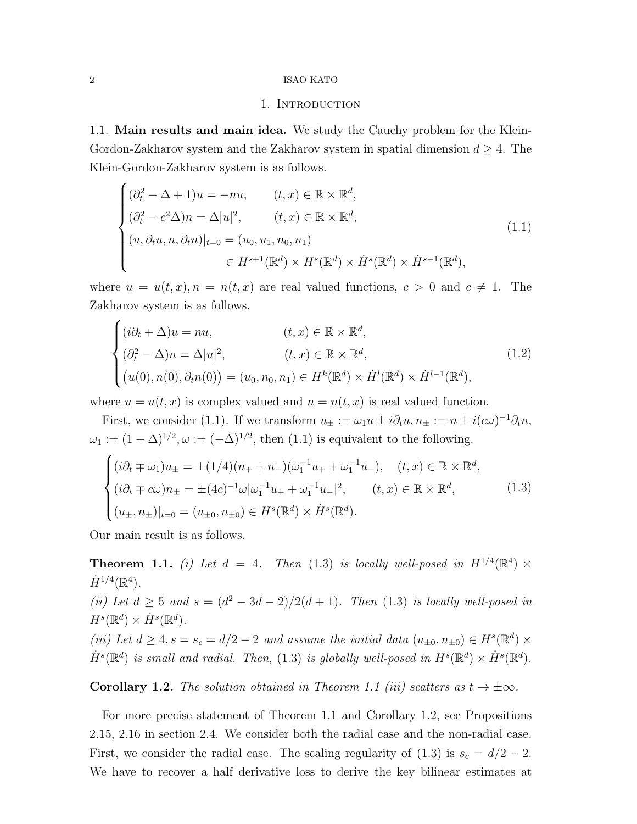## 1. Introduction

1.1. Main results and main idea. We study the Cauchy problem for the Klein-Gordon-Zakharov system and the Zakharov system in spatial dimension  $d \geq 4$ . The Klein-Gordon-Zakharov system is as follows.

$$
\begin{cases}\n(\partial_t^2 - \Delta + 1)u = -nu, & (t, x) \in \mathbb{R} \times \mathbb{R}^d, \\
(\partial_t^2 - c^2 \Delta)n = \Delta |u|^2, & (t, x) \in \mathbb{R} \times \mathbb{R}^d, \\
(u, \partial_t u, n, \partial_t n)|_{t=0} = (u_0, u_1, n_0, n_1) \\
& \in H^{s+1}(\mathbb{R}^d) \times H^s(\mathbb{R}^d) \times \dot{H}^s(\mathbb{R}^d) \times \dot{H}^{s-1}(\mathbb{R}^d),\n\end{cases}
$$
\n(1.1)

where  $u = u(t, x)$ ,  $n = n(t, x)$  are real valued functions,  $c > 0$  and  $c \neq 1$ . The Zakharov system is as follows.

$$
\begin{cases}\n(i\partial_t + \Delta)u = nu, & (t, x) \in \mathbb{R} \times \mathbb{R}^d, \\
(\partial_t^2 - \Delta)n = \Delta|u|^2, & (t, x) \in \mathbb{R} \times \mathbb{R}^d, \\
(u(0), n(0), \partial_t n(0)) = (u_0, n_0, n_1) \in H^k(\mathbb{R}^d) \times \dot{H}^l(\mathbb{R}^d) \times \dot{H}^{l-1}(\mathbb{R}^d),\n\end{cases}
$$
\n(1.2)

where  $u = u(t, x)$  is complex valued and  $n = n(t, x)$  is real valued function.

First, we consider (1.1). If we transform  $u_{\pm} := \omega_1 u \pm i \partial_t u, n_{\pm} := n \pm i (c\omega)^{-1} \partial_t n$ ,  $\omega_1 := (1 - \Delta)^{1/2}, \omega := (-\Delta)^{1/2}$ , then  $(1.1)$  is equivalent to the following.

$$
\begin{cases}\n(i\partial_t \mp \omega_1)u_{\pm} = \pm (1/4)(n_+ + n_-)(\omega_1^{-1}u_+ + \omega_1^{-1}u_-), & (t, x) \in \mathbb{R} \times \mathbb{R}^d, \\
(i\partial_t \mp c\omega)n_{\pm} = \pm (4c)^{-1}\omega|\omega_1^{-1}u_+ + \omega_1^{-1}u_-|^2, & (t, x) \in \mathbb{R} \times \mathbb{R}^d, \\
(u_{\pm}, n_{\pm})|_{t=0} = (u_{\pm 0}, n_{\pm 0}) \in H^s(\mathbb{R}^d) \times \dot{H}^s(\mathbb{R}^d).\n\end{cases}
$$
\n(1.3)

Our main result is as follows.

**Theorem 1.1.** (i) Let  $d = 4$ . Then (1.3) is locally well-posed in  $H^{1/4}(\mathbb{R}^4) \times$  $\dot{H}^{1/4}(\mathbb{R}^4)$ .

(ii) Let  $d \geq 5$  and  $s = (d^2 - 3d - 2)/2(d + 1)$ . Then (1.3) is locally well-posed in  $H^s(\mathbb{R}^d)\times \dot{H}^s(\mathbb{R}^d).$ 

(iii) Let  $d \geq 4$ ,  $s = s_c = d/2 - 2$  and assume the initial data  $(u_{\pm 0}, n_{\pm 0}) \in H^s(\mathbb{R}^d) \times$  $\dot{H}^{s}(\mathbb{R}^{d})$  is small and radial. Then, (1.3) is globally well-posed in  $H^{s}(\mathbb{R}^{d}) \times \dot{H}^{s}(\mathbb{R}^{d})$ .

Corollary 1.2. The solution obtained in Theorem 1.1 (iii) scatters as  $t \to \pm \infty$ .

For more precise statement of Theorem 1.1 and Corollary 1.2, see Propositions 2.15, 2.16 in section 2.4. We consider both the radial case and the non-radial case. First, we consider the radial case. The scaling regularity of  $(1.3)$  is  $s_c = d/2 - 2$ . We have to recover a half derivative loss to derive the key bilinear estimates at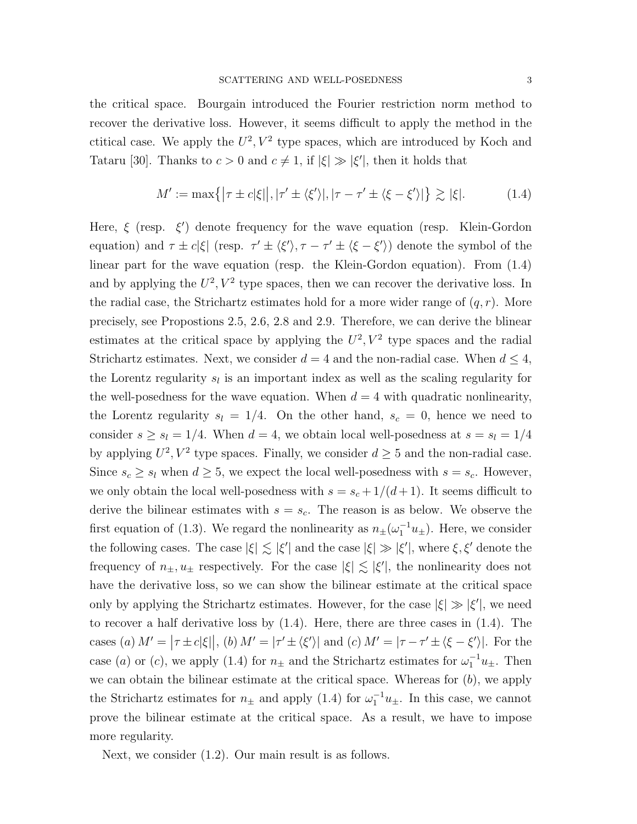the critical space. Bourgain introduced the Fourier restriction norm method to recover the derivative loss. However, it seems difficult to apply the method in the ctitical case. We apply the  $U^2$ ,  $V^2$  type spaces, which are introduced by Koch and Tataru [30]. Thanks to  $c > 0$  and  $c \neq 1$ , if  $|\xi| \gg |\xi'|$ , then it holds that

$$
M' := \max\{|\tau \pm c|\xi|, |\tau' \pm \langle \xi' \rangle|, |\tau - \tau' \pm \langle \xi - \xi' \rangle| \} \gtrsim |\xi|. \tag{1.4}
$$

Here,  $\xi$  (resp.  $\xi'$ ) denote frequency for the wave equation (resp. Klein-Gordon equation) and  $\tau \pm c|\xi|$  (resp.  $\tau' \pm \langle \xi' \rangle$ ,  $\tau - \tau' \pm \langle \xi - \xi' \rangle$ ) denote the symbol of the linear part for the wave equation (resp. the Klein-Gordon equation). From (1.4) and by applying the  $U^2$ ,  $V^2$  type spaces, then we can recover the derivative loss. In the radial case, the Strichartz estimates hold for a more wider range of  $(q, r)$ . More precisely, see Propostions 2.5, 2.6, 2.8 and 2.9. Therefore, we can derive the blinear estimates at the critical space by applying the  $U^2$ ,  $V^2$  type spaces and the radial Strichartz estimates. Next, we consider  $d = 4$  and the non-radial case. When  $d \leq 4$ , the Lorentz regularity  $s_l$  is an important index as well as the scaling regularity for the well-posedness for the wave equation. When  $d = 4$  with quadratic nonlinearity, the Lorentz regularity  $s_l = 1/4$ . On the other hand,  $s_c = 0$ , hence we need to consider  $s \geq s_l = 1/4$ . When  $d = 4$ , we obtain local well-posedness at  $s = s_l = 1/4$ by applying  $U^2$ ,  $V^2$  type spaces. Finally, we consider  $d \geq 5$  and the non-radial case. Since  $s_c \geq s_l$  when  $d \geq 5$ , we expect the local well-posedness with  $s = s_c$ . However, we only obtain the local well-posedness with  $s = s_c + 1/(d+1)$ . It seems difficult to derive the bilinear estimates with  $s = s_c$ . The reason is as below. We observe the first equation of (1.3). We regard the nonlinearity as  $n_{\pm}(\omega_1^{-1}u_{\pm})$ . Here, we consider the following cases. The case  $|\xi| \lesssim |\xi'|$  and the case  $|\xi| \gg |\xi'|$ , where  $\xi, \xi'$  denote the frequency of  $n_{\pm}, u_{\pm}$  respectively. For the case  $|\xi| \lesssim |\xi'|$ , the nonlinearity does not have the derivative loss, so we can show the bilinear estimate at the critical space only by applying the Strichartz estimates. However, for the case  $|\xi| \gg |\xi'|$ , we need to recover a half derivative loss by (1.4). Here, there are three cases in (1.4). The cases (a)  $M' = |\tau \pm c|\xi||$ , (b)  $M' = |\tau' \pm \langle \xi' \rangle|$  and (c)  $M' = |\tau - \tau' \pm \langle \xi - \xi' \rangle|$ . For the case (a) or (c), we apply (1.4) for  $n_{\pm}$  and the Strichartz estimates for  $\omega_1^{-1}u_{\pm}$ . Then we can obtain the bilinear estimate at the critical space. Whereas for  $(b)$ , we apply the Strichartz estimates for  $n_{\pm}$  and apply (1.4) for  $\omega_1^{-1}u_{\pm}$ . In this case, we cannot prove the bilinear estimate at the critical space. As a result, we have to impose more regularity.

Next, we consider (1.2). Our main result is as follows.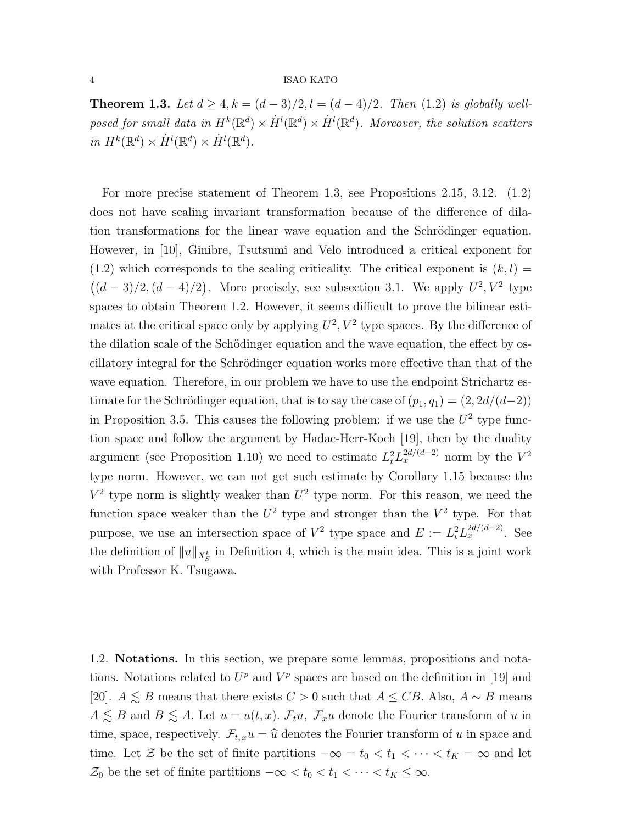**Theorem 1.3.** Let  $d \geq 4, k = (d-3)/2, l = (d-4)/2$ . Then (1.2) is globally wellposed for small data in  $H^k(\mathbb{R}^d) \times \dot{H}^l(\mathbb{R}^d) \times \dot{H}^l(\mathbb{R}^d)$ . Moreover, the solution scatters in  $H^k(\mathbb{R}^d) \times \dot{H}^l(\mathbb{R}^d) \times \dot{H}^l(\mathbb{R}^d)$ .

For more precise statement of Theorem 1.3, see Propositions 2.15, 3.12. (1.2) does not have scaling invariant transformation because of the difference of dilation transformations for the linear wave equation and the Schrödinger equation. However, in [10], Ginibre, Tsutsumi and Velo introduced a critical exponent for  $(1.2)$  which corresponds to the scaling criticality. The critical exponent is  $(k, l)$  =  $((d-3)/2, (d-4)/2)$ . More precisely, see subsection 3.1. We apply  $U^2, V^2$  type spaces to obtain Theorem 1.2. However, it seems difficult to prove the bilinear estimates at the critical space only by applying  $U^2$ ,  $V^2$  type spaces. By the difference of the dilation scale of the Schödinger equation and the wave equation, the effect by oscillatory integral for the Schrödinger equation works more effective than that of the wave equation. Therefore, in our problem we have to use the endpoint Strichartz estimate for the Schrödinger equation, that is to say the case of  $(p_1, q_1) = (2, 2d/(d-2))$ in Proposition 3.5. This causes the following problem: if we use the  $U^2$  type function space and follow the argument by Hadac-Herr-Koch [19], then by the duality argument (see Proposition 1.10) we need to estimate  $L_t^2 L_x^{2d/(d-2)}$  norm by the  $V^2$ type norm. However, we can not get such estimate by Corollary 1.15 because the  $V^2$  type norm is slightly weaker than  $U^2$  type norm. For this reason, we need the function space weaker than the  $U^2$  type and stronger than the  $V^2$  type. For that purpose, we use an intersection space of  $V^2$  type space and  $E := L_t^2 L_x^{2d/(d-2)}$ . See the definition of  $||u||_{X^{k}_{S}}$  in Definition 4, which is the main idea. This is a joint work with Professor K. Tsugawa.

1.2. Notations. In this section, we prepare some lemmas, propositions and notations. Notations related to  $U^p$  and  $V^p$  spaces are based on the definition in [19] and [20].  $A \leq B$  means that there exists  $C > 0$  such that  $A \leq CB$ . Also,  $A \sim B$  means  $A \lesssim B$  and  $B \lesssim A$ . Let  $u = u(t, x)$ .  $\mathcal{F}_t u$ ,  $\mathcal{F}_x u$  denote the Fourier transform of u in time, space, respectively.  $\mathcal{F}_{t,x}u = \hat{u}$  denotes the Fourier transform of u in space and time. Let Z be the set of finite partitions  $-\infty = t_0 < t_1 < \cdots < t_K = \infty$  and let  $\mathcal{Z}_0$  be the set of finite partitions  $-\infty < t_0 < t_1 < \cdots < t_K \leq \infty$ .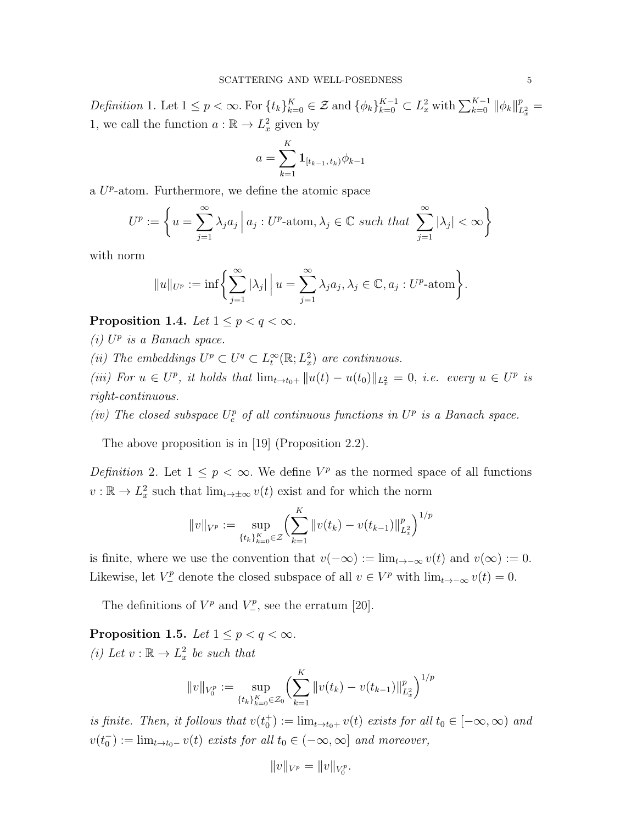Definition 1. Let  $1 \leq p < \infty$ . For  $\{t_k\}_{k=0}^K \in \mathcal{Z}$  and  $\{\phi_k\}_{k=0}^{K-1} \subset L^2_x$  with  $\sum_{k=0}^{K-1} ||\phi_k||_L^p$  $\frac{p}{L_x^2} =$ 1, we call the function  $a : \mathbb{R} \to L^2_x$  given by

$$
a = \sum_{k=1}^{K} \mathbf{1}_{[t_{k-1}, t_k)} \phi_{k-1}
$$

a  $U^p$ -atom. Furthermore, we define the atomic space

$$
U^{p} := \left\{ u = \sum_{j=1}^{\infty} \lambda_{j} a_{j} \, \middle| \, a_{j} : U^{p} \text{-atom}, \lambda_{j} \in \mathbb{C} \text{ such that } \sum_{j=1}^{\infty} |\lambda_{j}| < \infty \right\}
$$

with norm

$$
||u||_{U^{p}} := \inf \bigg\{ \sum_{j=1}^{\infty} |\lambda_{j}| \bigg| u = \sum_{j=1}^{\infty} \lambda_{j} a_{j}, \lambda_{j} \in \mathbb{C}, a_{j} : U^{p} \text{-atom} \bigg\}.
$$

Proposition 1.4. Let  $1 \leq p < q < \infty$ .

 $(i)$  U<sup>p</sup> is a Banach space.

(ii) The embeddings  $U^p \subset U^q \subset L_t^{\infty}(\mathbb{R}; L_x^2)$  are continuous.

(iii) For  $u \in U^p$ , it holds that  $\lim_{t \to t_0+} ||u(t) - u(t_0)||_{L^2_x} = 0$ , i.e. every  $u \in U^p$  is right-continuous.

(iv) The closed subspace  $U_c^p$  of all continuous functions in  $U^p$  is a Banach space.

The above proposition is in [19] (Proposition 2.2).

Definition 2. Let  $1 \leq p < \infty$ . We define  $V^p$  as the normed space of all functions  $v : \mathbb{R} \to L_x^2$  such that  $\lim_{t \to \pm \infty} v(t)$  exist and for which the norm

$$
||v||_{V^{p}} := \sup_{\{t_k\}_{k=0}^{K} \in \mathcal{Z}} \left( \sum_{k=1}^{K} ||v(t_k) - v(t_{k-1})||_{L_x^2}^{p} \right)^{1/p}
$$

is finite, where we use the convention that  $v(-\infty) := \lim_{t \to -\infty} v(t)$  and  $v(\infty) := 0$ . Likewise, let  $V^p_-\$  denote the closed subspace of all  $v \in V^p$  with  $\lim_{t\to-\infty} v(t) = 0$ .

The definitions of  $V^p$  and  $V^p$ , see the erratum [20].

Proposition 1.5. Let  $1 \leq p < q < \infty$ . (*i*) Let  $v : \mathbb{R} \to L_x^2$  be such that

$$
||v||_{V_0^p} := \sup_{\{t_k\}_{k=0}^K \in \mathcal{Z}_0} \left( \sum_{k=1}^K ||v(t_k) - v(t_{k-1})||_{L_x^2}^p \right)^{1/p}
$$

is finite. Then, it follows that  $v(t_0^+) := \lim_{t \to t_0^+} v(t)$  exists for all  $t_0 \in [-\infty, \infty)$  and  $v(t_0^-) := \lim_{t \to t_0^-} v(t)$  exists for all  $t_0 \in (-\infty, \infty]$  and moreover,

$$
||v||_{V^p} = ||v||_{V_0^p}.
$$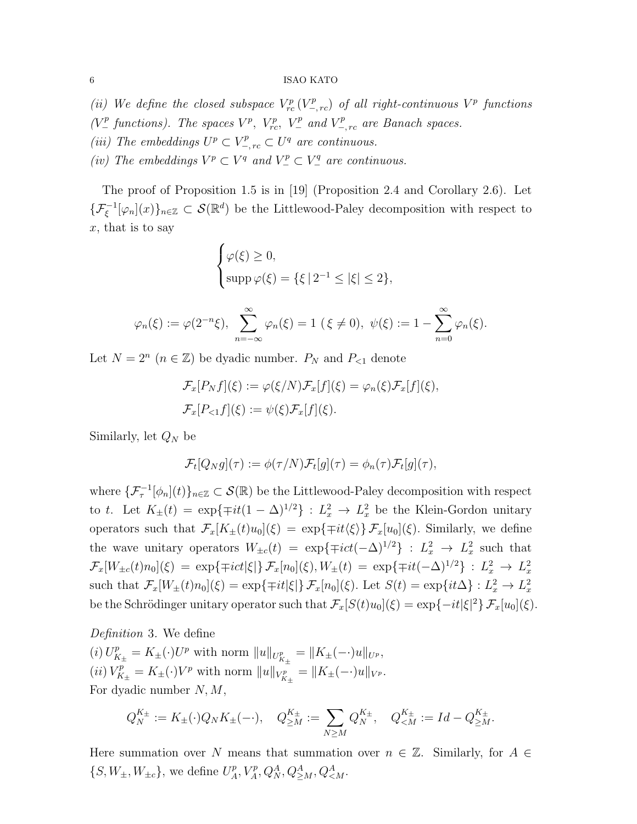- (ii) We define the closed subspace  $V^p_{rc}(V^p_{-,rc})$  of all right-continuous  $V^p$  functions
- ( $V^p_-\$  functions). The spaces  $V^p$ ,  $V^p_{rc}$ ,  $V^p_-\$  and  $V^p_{-,rc}$  are Banach spaces.
- (iii) The embeddings  $U^p \subset V^p_{-,rc} \subset U^q$  are continuous.
- (iv) The embeddings  $V^p \subset V^q$  and  $V^p_- \subset V^q_-$  are continuous.

The proof of Proposition 1.5 is in [19] (Proposition 2.4 and Corollary 2.6). Let  $\{\mathcal{F}_{\xi}^{-1}[\varphi_n](x)\}_{n\in\mathbb{Z}}\subset\mathcal{S}(\mathbb{R}^d)$  be the Littlewood-Paley decomposition with respect to  $x$ , that is to say

$$
\begin{cases}\n\varphi(\xi) \ge 0, \\
\text{supp}\,\varphi(\xi) = \{\xi \,|\, 2^{-1} \le |\xi| \le 2\},\n\end{cases}
$$

$$
\varphi_n(\xi) := \varphi(2^{-n}\xi), \sum_{n=-\infty}^{\infty} \varphi_n(\xi) = 1 \ (\xi \neq 0), \ \psi(\xi) := 1 - \sum_{n=0}^{\infty} \varphi_n(\xi).
$$

Let  $N = 2^n$   $(n \in \mathbb{Z})$  be dyadic number.  $P_N$  and  $P_{\leq 1}$  denote

$$
\mathcal{F}_x[P_N f](\xi) := \varphi(\xi/N)\mathcal{F}_x[f](\xi) = \varphi_n(\xi)\mathcal{F}_x[f](\xi),
$$
  

$$
\mathcal{F}_x[P_{<1} f](\xi) := \psi(\xi)\mathcal{F}_x[f](\xi).
$$

Similarly, let  $Q_N$  be

$$
\mathcal{F}_t[Q_N g](\tau) := \phi(\tau/N)\mathcal{F}_t[g](\tau) = \phi_n(\tau)\mathcal{F}_t[g](\tau),
$$

where  $\{\mathcal{F}^{-1}_{\tau}[\phi_n](t)\}_{n\in\mathbb{Z}}\subset\mathcal{S}(\mathbb{R})$  be the Littlewood-Paley decomposition with respect to t. Let  $K_{\pm}(t) = \exp\{\mp it(1-\Delta)^{1/2}\} : L_x^2 \to L_x^2$  be the Klein-Gordon unitary operators such that  $\mathcal{F}_x[K_\pm(t)u_0](\xi) = \exp{\{\pm it(\xi)\}\mathcal{F}_x[u_0](\xi)}$ . Similarly, we define the wave unitary operators  $W_{\pm c}(t) = \exp\{\mp ict(-\Delta)^{1/2}\} : L_x^2 \to L_x^2$  such that  $\mathcal{F}_x[W_{\pm c}(t)n_0](\xi) = \exp\{\mp ict|\xi|\} \mathcal{F}_x[n_0](\xi), W_{\pm}(t) = \exp\{\mp it(-\Delta)^{1/2}\} : L^2_x \to L^2_x$ such that  $\mathcal{F}_x[W_{\pm}(t)n_0](\xi) = \exp\{\mp it|\xi|\} \mathcal{F}_x[n_0](\xi)$ . Let  $S(t) = \exp\{it\Delta\} : L_x^2 \to L_x^2$ be the Schrödinger unitary operator such that  $\mathcal{F}_x[S(t)u_0](\xi) = \exp\{-it|\xi|^2\} \mathcal{F}_x[u_0](\xi)$ .

Definition 3. We define (*i*)  $U_{K_{\pm}}^p = K_{\pm}(\cdot)U^p$  with norm  $||u||_{U_{K_{\pm}}^p} = ||K_{\pm}(-\cdot)u||_{U^p}$ , (*ii*)  $V_{K_{\pm}}^p = K_{\pm}(\cdot)V^p$  with norm  $||u||_{V_{K_{\pm}}^p} = ||K_{\pm}(-\cdot)u||_{V^p}$ . For dyadic number  $N, M$ ,

$$
Q_N^{K_{\pm}} := K_{\pm}(\cdot) Q_N K_{\pm}(-\cdot), \quad Q_{\geq M}^{K_{\pm}} := \sum_{N \geq M} Q_N^{K_{\pm}}, \quad Q_{\leq M}^{K_{\pm}} := Id - Q_{\geq M}^{K_{\pm}}.
$$

Here summation over N means that summation over  $n \in \mathbb{Z}$ . Similarly, for  $A \in$  $\{S, W_{\pm}, W_{\pm c}\}\$ , we define  $U^p_A$  $C_A^p, V_A^p, Q_N^A, Q_{\geq M}^A, Q_{\leq M}^A$ .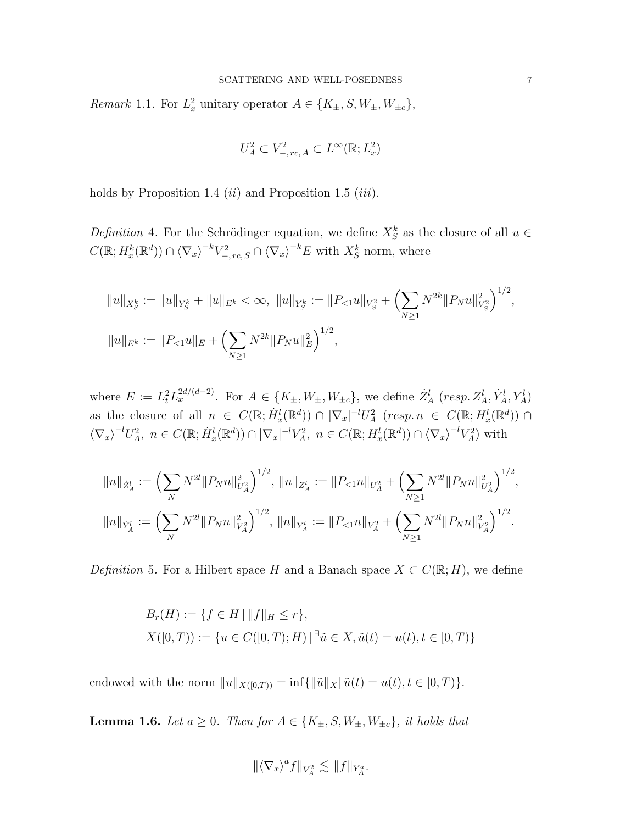*Remark* 1.1. For  $L_x^2$  unitary operator  $A \in \{K_{\pm}, S, W_{\pm}, W_{\pm c}\},$ 

$$
U_A^2 \subset V_{-,rc, A}^2 \subset L^\infty(\mathbb{R}; L^2_x)
$$

holds by Proposition 1.4  $(ii)$  and Proposition 1.5  $(iii)$ .

Definition 4. For the Schrödinger equation, we define  $X_S^k$  as the closure of all  $u \in$  $C(\mathbb{R}; H_x^k(\mathbb{R}^d)) \cap \langle \nabla_x \rangle^{-k} V_{-,rc,S}^2 \cap \langle \nabla_x \rangle^{-k} E$  with  $X_S^k$  norm, where

$$
||u||_{X_S^k} := ||u||_{Y_S^k} + ||u||_{E^k} < \infty, \ ||u||_{Y_S^k} := ||P_{<1}u||_{V_S^2} + \left(\sum_{N\geq 1} N^{2k} ||P_Nu||_{V_S^2}^2\right)^{1/2},
$$
  

$$
||u||_{E^k} := ||P_{<1}u||_E + \left(\sum_{N\geq 1} N^{2k} ||P_Nu||_E^2\right)^{1/2},
$$

where  $E := L_t^2 L_x^{2d/(d-2)}$ . For  $A \in \{K_{\pm}, W_{\pm}, W_{\pm c}\}$ , we define  $Z_A^l$  (resp.  $Z_A^l, Y_A^l, Y_A^l$ ) as the closure of all  $n \in C(\mathbb{R}; \dot{H}^l_x(\mathbb{R}^d)) \cap |\nabla_x|^{-l}U^2_A$   $(resp. n \in C(\mathbb{R}; H^l_x(\mathbb{R}^d)) \cap$  $\langle \nabla_x \rangle^{-l} U_A^2$ ,  $n \in C(\mathbb{R}; \dot{H}_x^l(\mathbb{R}^d)) \cap |\nabla_x|^{-l} V_A^2$ ,  $n \in C(\mathbb{R}; H_x^l(\mathbb{R}^d)) \cap \langle \nabla_x \rangle^{-l} V_A^2$  with

$$
||n||_{\dot{Z}^l_A} := \left(\sum_N N^{2l} ||P_N n||_{U_A^2}^2\right)^{1/2}, \ ||n||_{Z_A^l} := ||P_{<1} n||_{U_A^2} + \left(\sum_{N \ge 1} N^{2l} ||P_N n||_{U_A^2}^2\right)^{1/2},
$$
  

$$
||n||_{\dot{Y}_A^l} := \left(\sum_N N^{2l} ||P_N n||_{V_A^2}^2\right)^{1/2}, \ ||n||_{Y_A^l} := ||P_{<1} n||_{V_A^2} + \left(\sum_{N \ge 1} N^{2l} ||P_N n||_{V_A^2}^2\right)^{1/2}.
$$

Definition 5. For a Hilbert space H and a Banach space  $X \subset C(\mathbb{R}; H)$ , we define

$$
B_r(H) := \{ f \in H \mid ||f||_H \le r \},
$$
  
 
$$
X([0,T)) := \{ u \in C([0,T);H) \mid \exists \tilde{u} \in X, \tilde{u}(t) = u(t), t \in [0,T) \}
$$

endowed with the norm  $||u||_{X([0,T))} = \inf{||\tilde{u}||_X|\tilde{u}(t) = u(t), t \in [0,T)}$ .

**Lemma 1.6.** Let  $a \geq 0$ . Then for  $A \in \{K_{\pm}, S, W_{\pm}, W_{\pm c}\}$ , it holds that

$$
\|\langle \nabla_x \rangle^a f\|_{V_A^2} \lesssim \|f\|_{Y_A^a}.
$$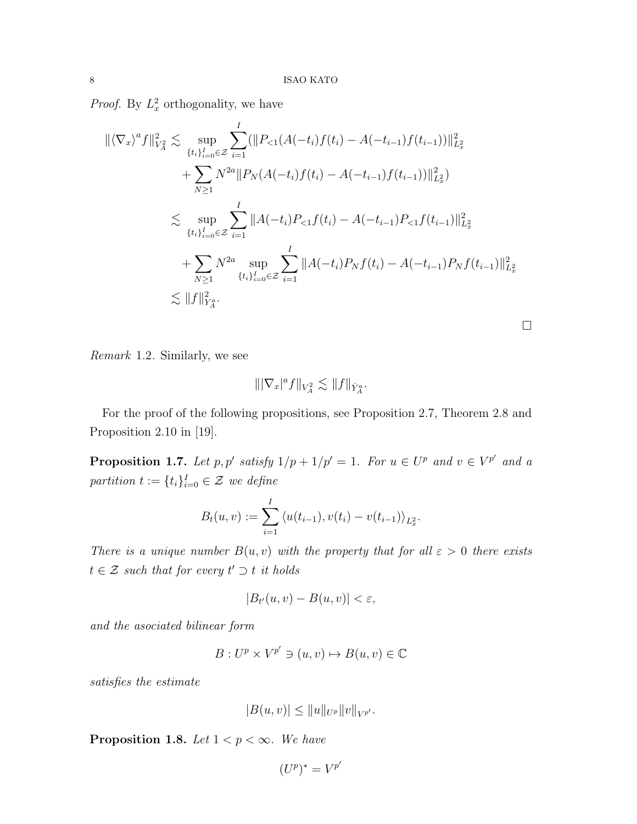*Proof.* By  $L_x^2$  orthogonality, we have

$$
\begin{split} \|\langle \nabla_x \rangle^a f\|_{V_A^2}^2 &\lesssim \sup_{\{t_i\}_{i=0}^I \in \mathcal{Z}} \sum_{i=1}^I (\|P_{<1}(A(-t_i)f(t_i) - A(-t_{i-1})f(t_{i-1}))\|_{L_x^2}^2 \\ &+ \sum_{N\geq 1} N^{2a} \|P_N(A(-t_i)f(t_i) - A(-t_{i-1})f(t_{i-1}))\|_{L_x^2}^2) \\ &\lesssim \sup_{\{t_i\}_{i=0}^I \in \mathcal{Z}} \sum_{i=1}^I \|A(-t_i)P_{<1}f(t_i) - A(-t_{i-1})P_{<1}f(t_{i-1})\|_{L_x^2}^2 \\ &+ \sum_{N\geq 1} N^{2a} \sup_{\{t_i\}_{i=0}^I \in \mathcal{Z}} \sum_{i=1}^I \|A(-t_i)P_Nf(t_i) - A(-t_{i-1})P_Nf(t_{i-1})\|_{L_x^2}^2 \\ &\lesssim \|f\|_{Y_A^a}^2. \end{split}
$$

Remark 1.2. Similarly, we see

$$
\||\nabla_x|^a f\|_{V_A^2}\lesssim \|f\|_{\dot Y_A^a}.
$$

For the proof of the following propositions, see Proposition 2.7, Theorem 2.8 and Proposition 2.10 in [19].

**Proposition 1.7.** Let p, p' satisfy  $1/p + 1/p' = 1$ . For  $u \in U^p$  and  $v \in V^{p'}$  and a partition  $t := \{t_i\}_{i=0}^I \in \mathcal{Z}$  we define

$$
B_t(u,v) := \sum_{i=1}^I \langle u(t_{i-1}), v(t_i) - v(t_{i-1}) \rangle_{L_x^2}.
$$

There is a unique number  $B(u, v)$  with the property that for all  $\varepsilon > 0$  there exists  $t \in \mathcal{Z}$  such that for every  $t' \supset t$  it holds

$$
|B_{t'}(u,v) - B(u,v)| < \varepsilon,
$$

and the asociated bilinear form

$$
B: U^p \times V^{p'} \ni (u, v) \mapsto B(u, v) \in \mathbb{C}
$$

satisfies the estimate

$$
|B(u, v)| \leq ||u||_{U^p} ||v||_{V^{p'}}.
$$

**Proposition 1.8.** Let  $1 < p < \infty$ . We have

$$
(U^p)^* = V^{p'}
$$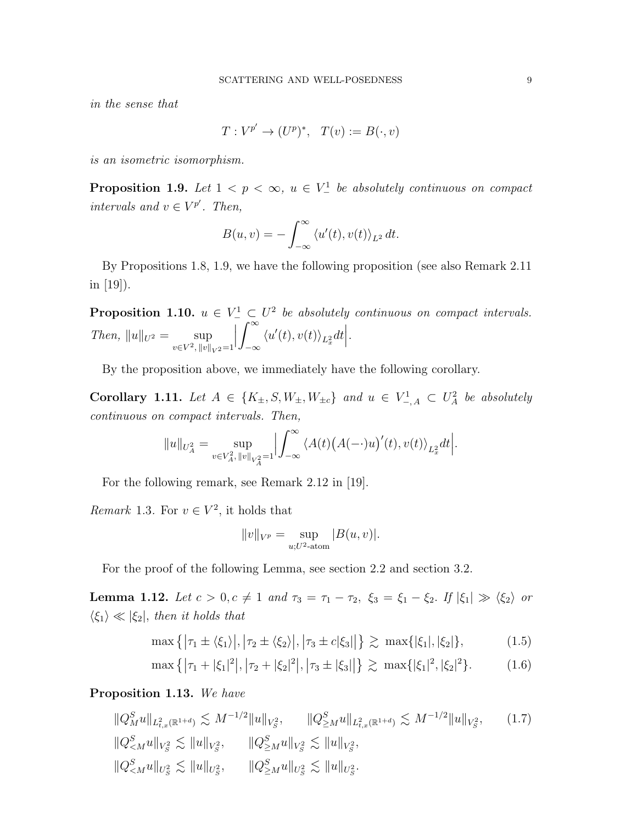in the sense that

$$
T: V^{p'} \to (U^p)^*, \quad T(v) := B(\cdot, v)
$$

is an isometric isomorphism.

**Proposition 1.9.** Let  $1 < p < \infty$ ,  $u \in V^1$  be absolutely continuous on compact intervals and  $v \in V^{p'}$ . Then,

$$
B(u,v) = -\int_{-\infty}^{\infty} \langle u'(t), v(t) \rangle_{L^2} dt.
$$

By Propositions 1.8, 1.9, we have the following proposition (see also Remark 2.11 in [19]).

**Proposition 1.10.**  $u \in V^1 \subset U^2$  be absolutely continuous on compact intervals. Then,  $||u||_{U^2} = \text{sup}$  $v \in V^2$ ,  $||v||_{V^2} = 1$  $\begin{array}{c} \begin{array}{c} \begin{array}{c} \end{array} \\ \begin{array}{c} \end{array} \end{array} \end{array}$  $\int^{\infty}$ −∞  $\langle u'(t), v(t) \rangle_{L_x^2} dt$ .

By the proposition above, we immediately have the following corollary.

Corollary 1.11. Let  $A \in \{K_{\pm}, S, W_{\pm}, W_{\pm c}\}\$  and  $u \in V^1_{-,A} \subset U^2_A$  be absolutely continuous on compact intervals. Then,

$$
\|u\|_{U_A^2}=\sup_{v\in V_A^2,\, \|v\|_{V_A^2}=1}\Bigl|\int_{-\infty}^\infty \bigl\langle A(t)\bigl(A(-\cdot)u\bigr)'(t),v(t)\bigr\rangle_{L_x^2}dt\Bigr|.
$$

For the following remark, see Remark 2.12 in [19].

*Remark* 1.3. For  $v \in V^2$ , it holds that

$$
||v||_{V^p} = \sup_{u;U^2 \text{-atom}} |B(u,v)|.
$$

For the proof of the following Lemma, see section 2.2 and section 3.2.

**Lemma 1.12.** Let  $c > 0, c \neq 1$  and  $\tau_3 = \tau_1 - \tau_2$ ,  $\xi_3 = \xi_1 - \xi_2$ . If  $|\xi_1| \gg \langle \xi_2 \rangle$  or  $\langle \xi_1 \rangle \ll |\xi_2|$ , then it holds that

$$
\max\left\{|\tau_1 \pm \langle \xi_1 \rangle|, |\tau_2 \pm \langle \xi_2 \rangle|, |\tau_3 \pm c|\xi_3||\right\} \gtrsim \max\{|\xi_1|, |\xi_2|\},\tag{1.5}
$$

$$
\max\left\{|\tau_1+|\xi_1|^2|,|\tau_2+|\xi_2|^2|,|\tau_3\pm|\xi_3|\right\} \gtrsim \max\{|\xi_1|^2,|\xi_2|^2\}.
$$
 (1.6)

## Proposition 1.13. We have

$$
\|Q_{M}^{S}u\|_{L_{t,x}^{2}(\mathbb{R}^{1+d})} \lesssim M^{-1/2} \|u\|_{V_{S}^{2}}, \qquad \|Q_{\geq M}^{S}u\|_{L_{t,x}^{2}(\mathbb{R}^{1+d})} \lesssim M^{-1/2} \|u\|_{V_{S}^{2}}, \qquad (1.7)
$$
  

$$
\|Q_{\leq M}^{S}u\|_{V_{S}^{2}} \lesssim \|u\|_{V_{S}^{2}}, \qquad \|Q_{\geq M}^{S}u\|_{V_{S}^{2}} \lesssim \|u\|_{V_{S}^{2}},
$$
  

$$
\|Q_{\leq M}^{S}u\|_{U_{S}^{2}} \lesssim \|u\|_{U_{S}^{2}}, \qquad \|Q_{\geq M}^{S}u\|_{U_{S}^{2}} \lesssim \|u\|_{U_{S}^{2}}.
$$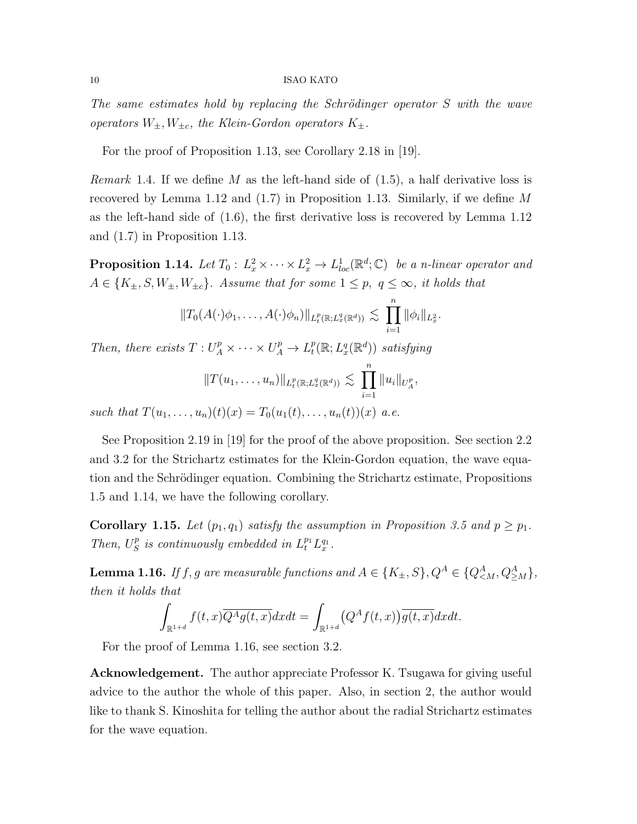The same estimates hold by replacing the Schrödinger operator  $S$  with the wave operators  $W_{\pm}, W_{\pm c}$ , the Klein-Gordon operators  $K_{\pm}$ .

For the proof of Proposition 1.13, see Corollary 2.18 in [19].

*Remark* 1.4. If we define M as the left-hand side of  $(1.5)$ , a half derivative loss is recovered by Lemma 1.12 and  $(1.7)$  in Proposition 1.13. Similarly, if we define M as the left-hand side of (1.6), the first derivative loss is recovered by Lemma 1.12 and (1.7) in Proposition 1.13.

**Proposition 1.14.** Let  $T_0: L_x^2 \times \cdots \times L_x^2 \to L_{loc}^1(\mathbb{R}^d; \mathbb{C})$  be a n-linear operator and  $A \in \{K_{\pm}, S, W_{\pm}, W_{\pm c}\}.$  Assume that for some  $1 \leq p, q \leq \infty$ , it holds that

$$
||T_0(A(\cdot)\phi_1,\ldots,A(\cdot)\phi_n)||_{L_t^p(\mathbb{R};L_x^q(\mathbb{R}^d))}\lesssim \prod_{i=1}^n ||\phi_i||_{L_x^2}.
$$

Then, there exists  $T: U_A^p \times \cdots \times U_A^p \to L_t^p$  $_{t}^{p}(\mathbb{R};L_{x}^{q}(\mathbb{R}^{d}))$  satisfying

$$
||T(u_1,\ldots,u_n)||_{L_t^p(\mathbb{R};L_x^q(\mathbb{R}^d))}\lesssim \prod_{i=1}^n||u_i||_{U_A^p},
$$

such that  $T(u_1, \ldots, u_n)(t)(x) = T_0(u_1(t), \ldots, u_n(t))(x)$  a.e.

See Proposition 2.19 in [19] for the proof of the above proposition. See section 2.2 and 3.2 for the Strichartz estimates for the Klein-Gordon equation, the wave equation and the Schrödinger equation. Combining the Strichartz estimate, Propositions 1.5 and 1.14, we have the following corollary.

**Corollary 1.15.** Let  $(p_1, q_1)$  satisfy the assumption in Proposition 3.5 and  $p \geq p_1$ . Then,  $U_S^p$  $\int_{S}^{p}$  is continuously embedded in  $L_t^{p_1} L_x^{q_1}$ .

**Lemma 1.16.** If f, g are measurable functions and  $A \in \{K_{\pm}, S\}$ ,  $Q^A \in \{Q^A_{\leq M}, Q^A_{\geq M}\}$ , then it holds that

$$
\int_{\mathbb{R}^{1+d}} f(t,x) \overline{Q^A g(t,x)} dx dt = \int_{\mathbb{R}^{1+d}} (Q^A f(t,x)) \overline{g(t,x)} dx dt.
$$

For the proof of Lemma 1.16, see section 3.2.

Acknowledgement. The author appreciate Professor K. Tsugawa for giving useful advice to the author the whole of this paper. Also, in section 2, the author would like to thank S. Kinoshita for telling the author about the radial Strichartz estimates for the wave equation.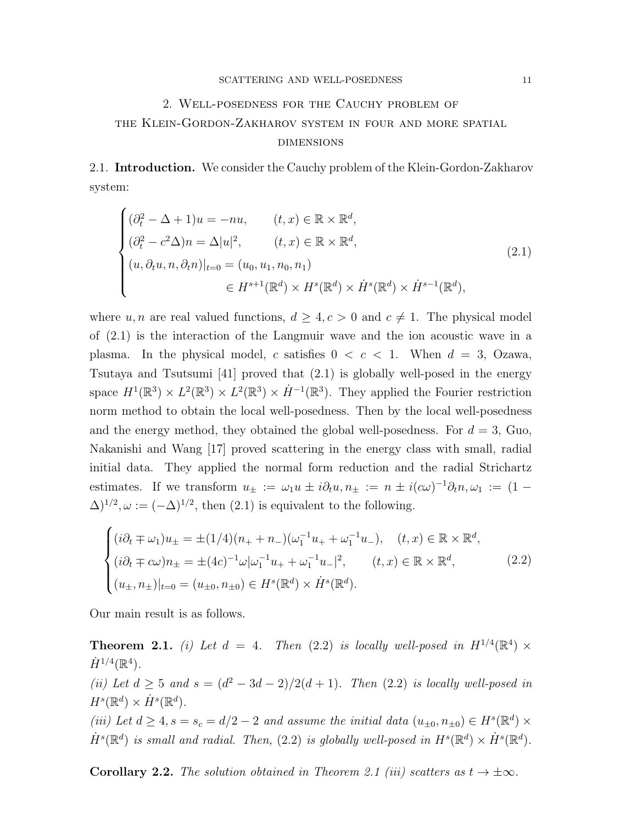# 2. Well-posedness for the Cauchy problem of the Klein-Gordon-Zakharov system in four and more spatial **DIMENSIONS**

2.1. Introduction. We consider the Cauchy problem of the Klein-Gordon-Zakharov system:

$$
\begin{cases}\n(\partial_t^2 - \Delta + 1)u = -nu, & (t, x) \in \mathbb{R} \times \mathbb{R}^d, \\
(\partial_t^2 - c^2 \Delta)n = \Delta |u|^2, & (t, x) \in \mathbb{R} \times \mathbb{R}^d, \\
(u, \partial_t u, n, \partial_t n)|_{t=0} = (u_0, u_1, n_0, n_1) \\
& \in H^{s+1}(\mathbb{R}^d) \times H^s(\mathbb{R}^d) \times \dot{H}^s(\mathbb{R}^d) \times \dot{H}^{s-1}(\mathbb{R}^d),\n\end{cases}
$$
\n(2.1)

where u, n are real valued functions,  $d \geq 4, c > 0$  and  $c \neq 1$ . The physical model of (2.1) is the interaction of the Langmuir wave and the ion acoustic wave in a plasma. In the physical model, c satisfies  $0 < c < 1$ . When  $d = 3$ , Ozawa, Tsutaya and Tsutsumi [41] proved that (2.1) is globally well-posed in the energy space  $H^1(\mathbb{R}^3) \times L^2(\mathbb{R}^3) \times \dot{H}^{-1}(\mathbb{R}^3)$ . They applied the Fourier restriction norm method to obtain the local well-posedness. Then by the local well-posedness and the energy method, they obtained the global well-posedness. For  $d = 3$ , Guo, Nakanishi and Wang [17] proved scattering in the energy class with small, radial initial data. They applied the normal form reduction and the radial Strichartz estimates. If we transform  $u_{\pm} := \omega_1 u \pm i \partial_t u, n_{\pm} := n \pm i(\alpha \omega)^{-1} \partial_t n, \omega_1 := (1 (\Delta)^{1/2}, \omega := (-\Delta)^{1/2}$ , then  $(2.1)$  is equivalent to the following.

$$
\begin{cases}\n(i\partial_t \mp \omega_1)u_{\pm} = \pm (1/4)(n_+ + n_-)(\omega_1^{-1}u_+ + \omega_1^{-1}u_-), & (t, x) \in \mathbb{R} \times \mathbb{R}^d, \\
(i\partial_t \mp c\omega)n_{\pm} = \pm (4c)^{-1}\omega|\omega_1^{-1}u_+ + \omega_1^{-1}u_-|^2, & (t, x) \in \mathbb{R} \times \mathbb{R}^d, \\
(u_{\pm}, n_{\pm})|_{t=0} = (u_{\pm 0}, n_{\pm 0}) \in H^s(\mathbb{R}^d) \times \dot{H}^s(\mathbb{R}^d).\n\end{cases}
$$
\n(2.2)

Our main result is as follows.

**Theorem 2.1.** (i) Let  $d = 4$ . Then (2.2) is locally well-posed in  $H^{1/4}(\mathbb{R}^4) \times$  $\dot{H}^{1/4}(\mathbb{R}^4)$ . (ii) Let  $d \geq 5$  and  $s = (d^2 - 3d - 2)/2(d + 1)$ . Then (2.2) is locally well-posed in  $H^s(\mathbb{R}^d)\times\dot{H}^s(\mathbb{R}^d).$ (iii) Let  $d \geq 4$ ,  $s = s_c = d/2 - 2$  and assume the initial data  $(u_{\pm 0}, n_{\pm 0}) \in H^s(\mathbb{R}^d) \times$  $\dot{H}^{s}(\mathbb{R}^{d})$  is small and radial. Then, (2.2) is globally well-posed in  $H^{s}(\mathbb{R}^{d}) \times \dot{H}^{s}(\mathbb{R}^{d})$ .

**Corollary 2.2.** The solution obtained in Theorem 2.1 (iii) scatters as  $t \to \pm \infty$ .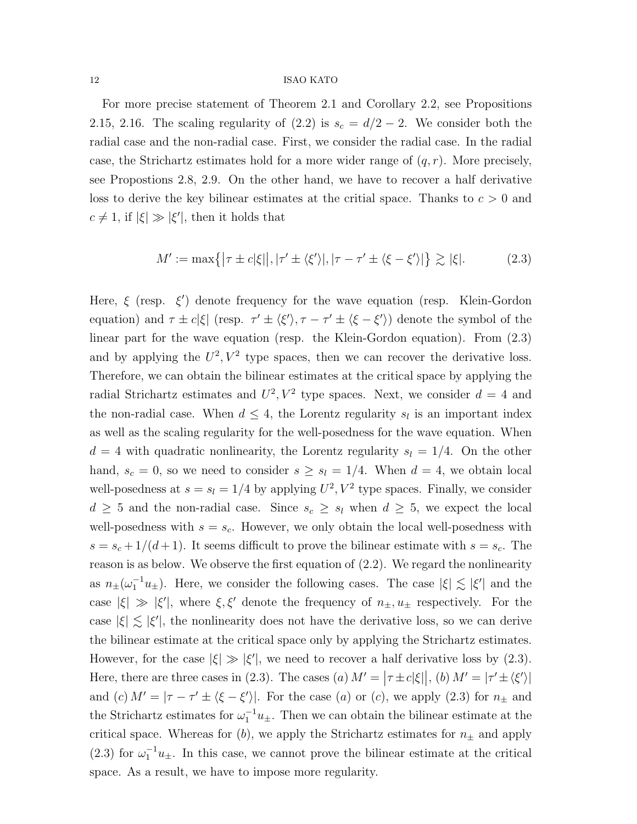For more precise statement of Theorem 2.1 and Corollary 2.2, see Propositions 2.15, 2.16. The scaling regularity of  $(2.2)$  is  $s_c = d/2 - 2$ . We consider both the radial case and the non-radial case. First, we consider the radial case. In the radial case, the Strichartz estimates hold for a more wider range of  $(q, r)$ . More precisely, see Propostions 2.8, 2.9. On the other hand, we have to recover a half derivative loss to derive the key bilinear estimates at the critial space. Thanks to  $c > 0$  and  $c \neq 1$ , if  $|\xi| \gg |\xi'|$ , then it holds that

$$
M' := \max\{|\tau \pm c|\xi||, |\tau' \pm \langle \xi' \rangle|, |\tau - \tau' \pm \langle \xi - \xi' \rangle|\} \gtrsim |\xi|.
$$
 (2.3)

Here,  $\xi$  (resp.  $\xi'$ ) denote frequency for the wave equation (resp. Klein-Gordon equation) and  $\tau \pm c|\xi|$  (resp.  $\tau' \pm \langle \xi' \rangle$ ,  $\tau - \tau' \pm \langle \xi - \xi' \rangle$ ) denote the symbol of the linear part for the wave equation (resp. the Klein-Gordon equation). From (2.3) and by applying the  $U^2$ ,  $V^2$  type spaces, then we can recover the derivative loss. Therefore, we can obtain the bilinear estimates at the critical space by applying the radial Strichartz estimates and  $U^2$ ,  $V^2$  type spaces. Next, we consider  $d = 4$  and the non-radial case. When  $d \leq 4$ , the Lorentz regularity  $s_l$  is an important index as well as the scaling regularity for the well-posedness for the wave equation. When  $d = 4$  with quadratic nonlinearity, the Lorentz regularity  $s<sub>l</sub> = 1/4$ . On the other hand,  $s_c = 0$ , so we need to consider  $s \geq s_l = 1/4$ . When  $d = 4$ , we obtain local well-posedness at  $s = s_l = 1/4$  by applying  $U^2$ ,  $V^2$  type spaces. Finally, we consider  $d \geq 5$  and the non-radial case. Since  $s_c \geq s_l$  when  $d \geq 5$ , we expect the local well-posedness with  $s = s_c$ . However, we only obtain the local well-posedness with  $s = s_c + 1/(d+1)$ . It seems difficult to prove the bilinear estimate with  $s = s_c$ . The reason is as below. We observe the first equation of (2.2). We regard the nonlinearity as  $n_{\pm}(\omega_1^{-1}u_{\pm})$ . Here, we consider the following cases. The case  $|\xi| \lesssim |\xi'|$  and the case  $|\xi| \gg |\xi'|$ , where  $\xi, \xi'$  denote the frequency of  $n_{\pm}, u_{\pm}$  respectively. For the case  $|\xi| \lesssim |\xi'|$ , the nonlinearity does not have the derivative loss, so we can derive the bilinear estimate at the critical space only by applying the Strichartz estimates. However, for the case  $|\xi| \gg |\xi'|$ , we need to recover a half derivative loss by (2.3). Here, there are three cases in (2.3). The cases (a)  $M' = |\tau \pm c|\xi||$ , (b)  $M' = |\tau' \pm \langle \xi' \rangle|$ and (c)  $M' = |\tau - \tau' \pm \langle \xi - \xi' \rangle|$ . For the case (a) or (c), we apply (2.3) for  $n_{\pm}$  and the Strichartz estimates for  $\omega_1^{-1}u_{\pm}$ . Then we can obtain the bilinear estimate at the critical space. Whereas for  $(b)$ , we apply the Strichartz estimates for  $n_{\pm}$  and apply (2.3) for  $\omega_1^{-1}u_{\pm}$ . In this case, we cannot prove the bilinear estimate at the critical space. As a result, we have to impose more regularity.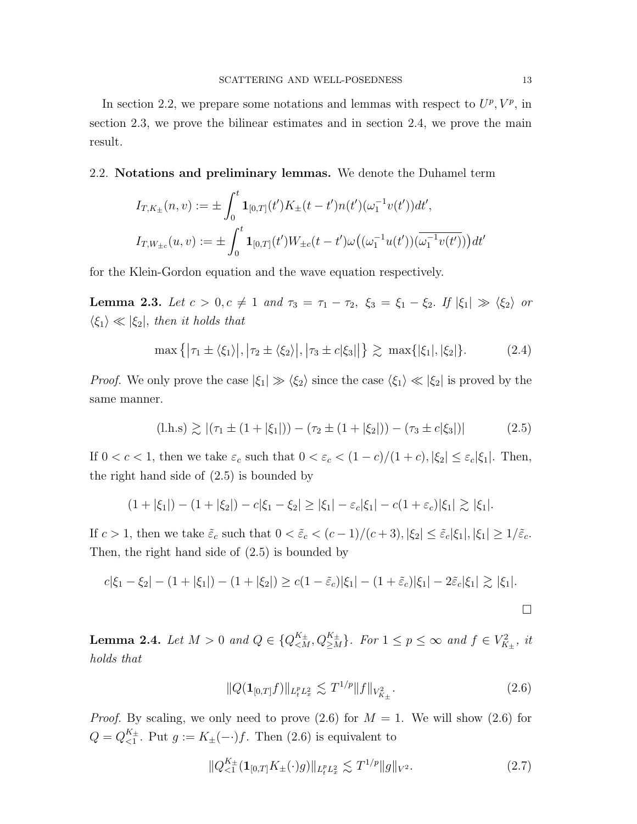In section 2.2, we prepare some notations and lemmas with respect to  $U^p$ ,  $V^p$ , in section 2.3, we prove the bilinear estimates and in section 2.4, we prove the main result.

2.2. Notations and preliminary lemmas. We denote the Duhamel term

$$
I_{T,K_{\pm}}(n,v) := \pm \int_0^t \mathbf{1}_{[0,T]}(t')K_{\pm}(t-t')n(t')(\omega_1^{-1}v(t'))dt',
$$
  

$$
I_{T,W_{\pm c}}(u,v) := \pm \int_0^t \mathbf{1}_{[0,T]}(t')W_{\pm c}(t-t')\omega((\omega_1^{-1}u(t'))(\overline{\omega_1^{-1}v(t')}))dt'
$$

for the Klein-Gordon equation and the wave equation respectively.

**Lemma 2.3.** Let  $c > 0, c \neq 1$  and  $\tau_3 = \tau_1 - \tau_2$ ,  $\xi_3 = \xi_1 - \xi_2$ . If  $|\xi_1| \gg \langle \xi_2 \rangle$  or  $\langle \xi_1 \rangle \ll |\xi_2|$ , then it holds that

$$
\max\{| \tau_1 \pm \langle \xi_1 \rangle |, | \tau_2 \pm \langle \xi_2 \rangle |, | \tau_3 \pm c | \xi_3 | \} \gtrsim \max\{ |\xi_1|, |\xi_2| \}.
$$
 (2.4)

*Proof.* We only prove the case  $|\xi_1| \gg \langle \xi_2 \rangle$  since the case  $\langle \xi_1 \rangle \ll |\xi_2|$  is proved by the same manner.

$$
(\text{l.h.s}) \gtrsim |(\tau_1 \pm (1+|\xi_1|)) - (\tau_2 \pm (1+|\xi_2|)) - (\tau_3 \pm c|\xi_3|)| \tag{2.5}
$$

If  $0 < c < 1$ , then we take  $\varepsilon_c$  such that  $0 < \varepsilon_c < (1 - c)/(1 + c)$ ,  $|\xi_2| \le \varepsilon_c |\xi_1|$ . Then, the right hand side of (2.5) is bounded by

$$
(1+|\xi_1|) - (1+|\xi_2|) - c|\xi_1 - \xi_2| \ge |\xi_1| - \varepsilon_c |\xi_1| - c(1+\varepsilon_c)|\xi_1| \gtrsim |\xi_1|.
$$

If  $c > 1$ , then we take  $\tilde{\varepsilon}_c$  such that  $0 < \tilde{\varepsilon}_c < (c-1)/(c+3), |\xi_2| \leq \tilde{\varepsilon}_c |\xi_1|, |\xi_1| \geq 1/\tilde{\varepsilon}_c$ . Then, the right hand side of (2.5) is bounded by

$$
c|\xi_1 - \xi_2| - (1 + |\xi_1|) - (1 + |\xi_2|) \ge c(1 - \tilde{\varepsilon}_c)|\xi_1| - (1 + \tilde{\varepsilon}_c)|\xi_1| - 2\tilde{\varepsilon}_c|\xi_1| \gtrsim |\xi_1|.
$$

**Lemma 2.4.** Let  $M > 0$  and  $Q \in \{Q_{\leq M}^{K_{\pm}}, Q_{\geq M}^{K_{\pm}}\}$ . For  $1 \leq p \leq \infty$  and  $f \in V_{K_{\pm}}^2$ , it holds that

$$
||Q(\mathbf{1}_{[0,T]}f)||_{L_t^p L_x^2} \lesssim T^{1/p} ||f||_{V_{K_\pm}^2}.
$$
\n(2.6)

*Proof.* By scaling, we only need to prove  $(2.6)$  for  $M = 1$ . We will show  $(2.6)$  for  $Q = Q_{\leq 1}^{K_{\pm}}$  $\zeta_1^{\kappa_{\pm}}$ . Put  $g := K_{\pm}(-\cdot)f$ . Then (2.6) is equivalent to

$$
||Q_{\leq 1}^{K_{\pm}}(\mathbf{1}_{[0,T]}K_{\pm}(\cdot)g)||_{L_t^p L_x^2} \lesssim T^{1/p}||g||_{V^2}.
$$
\n(2.7)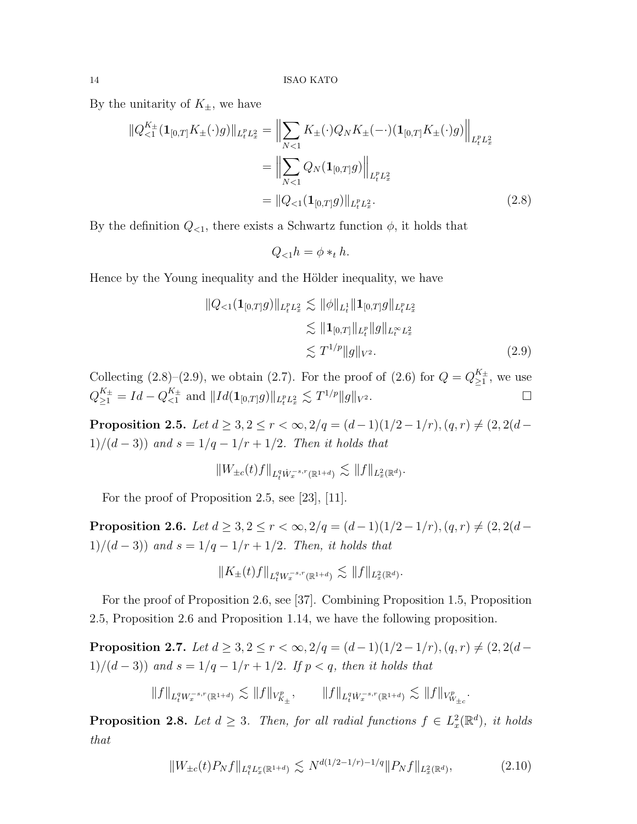By the unitarity of  $K_{\pm}$ , we have

$$
\|Q_{\leq 1}^{K_{\pm}}(\mathbf{1}_{[0,T]}K_{\pm}(\cdot)g)\|_{L_{t}^{p}L_{x}^{2}} = \left\|\sum_{N<1}K_{\pm}(\cdot)Q_{N}K_{\pm}(-\cdot)(\mathbf{1}_{[0,T]}K_{\pm}(\cdot)g)\right\|_{L_{t}^{p}L_{x}^{2}}
$$

$$
= \left\|\sum_{N<1}Q_{N}(\mathbf{1}_{[0,T]}g)\right\|_{L_{t}^{p}L_{x}^{2}}
$$

$$
= \|Q_{\leq 1}(\mathbf{1}_{[0,T]}g)\|_{L_{t}^{p}L_{x}^{2}}.
$$
(2.8)

By the definition  $Q_{\leq 1}$ , there exists a Schwartz function  $\phi$ , it holds that

$$
Q_{< 1}h = \phi *_{t} h.
$$

Hence by the Young inequality and the Hölder inequality, we have

$$
||Q_{<1}(\mathbf{1}_{[0,T]}g)||_{L_t^p L_x^2} \lesssim ||\phi||_{L_t^1} ||\mathbf{1}_{[0,T]}g||_{L_t^p L_x^2}
$$
  
\n
$$
\lesssim ||\mathbf{1}_{[0,T]}||_{L_t^p} ||g||_{L_t^\infty L_x^2}
$$
  
\n
$$
\lesssim T^{1/p} ||g||_{V^2}.
$$
\n(2.9)

Collecting (2.8)–(2.9), we obtain (2.7). For the proof of (2.6) for  $Q = Q_{>1}^{K_{\pm}}$  $\sum_{i=1}^{K_{\pm}}$ , we use  $Q_{\geq 1}^{K_{\pm}} = Id - Q_{<1}^{K_{\pm}}$  $\sum_{r=1}^{K_{\pm}}$  and  $||Id(\mathbf{1}_{[0,T]}g)||_{L_t^p L_x^2} \lesssim T^{1/p} ||g||_{V^2}$ .

Proposition 2.5. Let  $d \geq 3, 2 \leq r < \infty$ ,  $2/q = (d-1)(1/2-1/r)$ ,  $(q, r) \neq (2, 2(d-r))$ 1)/(d – 3)) and  $s = 1/q - 1/r + 1/2$ . Then it holds that

$$
\|W_{\pm c}(t) f\|_{L^q_t \dot{W}^{-s,r}_x(\mathbb{R}^{1+d})} \lesssim \|f\|_{L^2_x(\mathbb{R}^d)}.
$$

For the proof of Proposition 2.5, see [23], [11].

Proposition 2.6. Let  $d \geq 3, 2 \leq r < \infty$ ,  $2/q = (d-1)(1/2-1/r)$ ,  $(q, r) \neq (2, 2(d-r))$ 1)/(d - 3)) and  $s = 1/q - 1/r + 1/2$ . Then, it holds that

$$
||K_{\pm}(t)f||_{L^q_t W^{-s,r}_x(\mathbb{R}^{1+d})} \lesssim ||f||_{L^2_x(\mathbb{R}^d)}.
$$

For the proof of Proposition 2.6, see [37]. Combining Proposition 1.5, Proposition 2.5, Proposition 2.6 and Proposition 1.14, we have the following proposition.

Proposition 2.7. Let  $d \geq 3, 2 \leq r < \infty$ ,  $2/q = (d-1)(1/2-1/r)$ ,  $(q, r) \neq (2, 2(d-r))$ 1)/(d - 3)) and  $s = 1/q - 1/r + 1/2$ . If  $p < q$ , then it holds that

$$
\|f\|_{L^q_t W^{-s,r}_x(\mathbb{R}^{1+d})} \lesssim \|f\|_{V^p_{K_\pm}}, \qquad \|f\|_{L^q_t \dot{W}^{-s,r}_x(\mathbb{R}^{1+d})} \lesssim \|f\|_{V^p_{W_{\pm c}}}.
$$

**Proposition 2.8.** Let  $d \geq 3$ . Then, for all radial functions  $f \in L_x^2(\mathbb{R}^d)$ , it holds that

$$
||W_{\pm c}(t)P_N f||_{L_t^q L_x^r(\mathbb{R}^{1+d})} \lesssim N^{d(1/2-1/r)-1/q} ||P_N f||_{L_x^2(\mathbb{R}^d)},\tag{2.10}
$$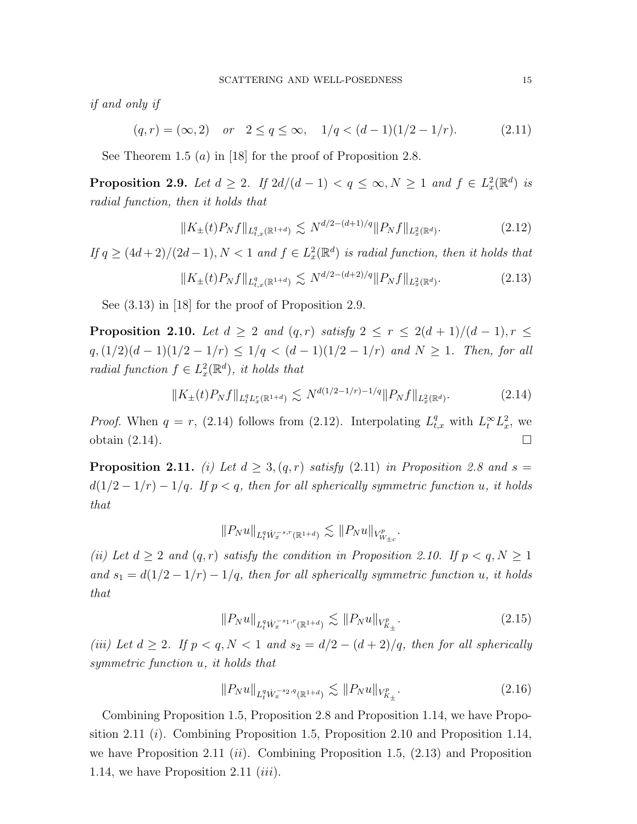if and only if

$$
(q,r) = (\infty,2)
$$
 or  $2 \le q \le \infty$ ,  $1/q < (d-1)(1/2-1/r)$ . (2.11)

See Theorem 1.5 (*a*) in [18] for the proof of Proposition 2.8.

**Proposition 2.9.** Let  $d \geq 2$ . If  $2d/(d-1) < q \leq \infty$ ,  $N \geq 1$  and  $f \in L_x^2(\mathbb{R}^d)$  is radial function, then it holds that

$$
||K_{\pm}(t)P_Nf||_{L^q_{t,x}(\mathbb{R}^{1+d})} \lesssim N^{d/2 - (d+1)/q} ||P_Nf||_{L^2_x(\mathbb{R}^d)}.
$$
\n(2.12)

If  $q \geq (4d+2)/(2d-1)$ ,  $N < 1$  and  $f \in L_x^2(\mathbb{R}^d)$  is radial function, then it holds that

$$
||K_{\pm}(t)P_Nf||_{L^q_{t,x}(\mathbb{R}^{1+d})} \lesssim N^{d/2 - (d+2)/q} ||P_Nf||_{L^2_x(\mathbb{R}^d)}.
$$
\n(2.13)

See (3.13) in [18] for the proof of Proposition 2.9.

**Proposition 2.10.** Let  $d \geq 2$  and  $(q,r)$  satisfy  $2 \leq r \leq 2(d+1)/(d-1), r \leq$  $q$ ,  $(1/2)(d-1)(1/2-1/r) \leq 1/q < (d-1)(1/2-1/r)$  and  $N \geq 1$ . Then, for all radial function  $f \in L_x^2(\mathbb{R}^d)$ , it holds that

$$
||K_{\pm}(t)P_Nf||_{L_t^qL_x^r(\mathbb{R}^{1+d})} \lesssim N^{d(1/2-1/r)-1/q}||P_Nf||_{L_x^2(\mathbb{R}^d)}.
$$
\n(2.14)

*Proof.* When  $q = r$ , (2.14) follows from (2.12). Interpolating  $L_{t,x}^q$  with  $L_t^{\infty} L_x^2$ , we obtain  $(2.14)$ .

**Proposition 2.11.** (i) Let  $d \geq 3$ ,  $(q, r)$  satisfy (2.11) in Proposition 2.8 and  $s =$  $d(1/2 - 1/r) - 1/q$ . If  $p < q$ , then for all spherically symmetric function u, it holds that

$$
||P_N u||_{L_t^q W_x^{-s,r}(\mathbb{R}^{1+d})} \lesssim ||P_N u||_{V_{W_{\pm c}}^p}.
$$

(ii) Let  $d \geq 2$  and  $(q, r)$  satisfy the condition in Proposition 2.10. If  $p < q, N \geq 1$ and  $s_1 = d(1/2 - 1/r) - 1/q$ , then for all spherically symmetric function u, it holds that

$$
||P_N u||_{L_t^q W_x^{-s_1,r}(\mathbb{R}^{1+d})} \lesssim ||P_N u||_{V_{K_\pm}^p}.
$$
\n(2.15)

(iii) Let  $d \geq 2$ . If  $p < q, N < 1$  and  $s_2 = d/2 - (d+2)/q$ , then for all spherically symmetric function u, it holds that

$$
||P_N u||_{L^q_t W_x^{-s_2, q}(\mathbb{R}^{1+d})} \lesssim ||P_N u||_{V^p_{K_\pm}}.\tag{2.16}
$$

Combining Proposition 1.5, Proposition 2.8 and Proposition 1.14, we have Proposition 2.11 (*i*). Combining Proposition 1.5, Proposition 2.10 and Proposition 1.14, we have Proposition 2.11 (ii). Combining Proposition 1.5,  $(2.13)$  and Proposition 1.14, we have Proposition 2.11  $(iii)$ .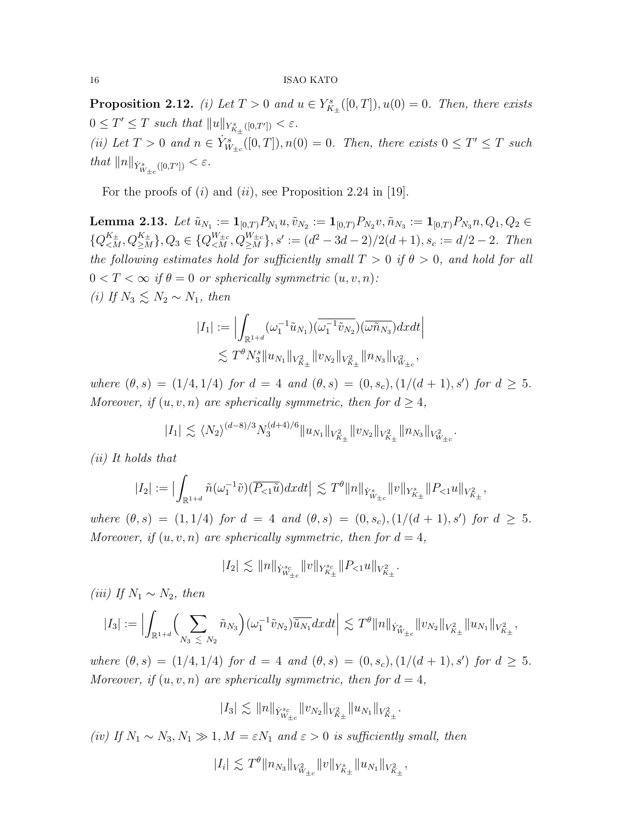**Proposition 2.12.** (i) Let  $T > 0$  and  $u \in Y_{K_{\pm}}^{s}([0, T]), u(0) = 0$ . Then, there exists  $0 \leq T' \leq T$  such that  $||u||_{Y^s_{K_\pm}([0,T'])} < \varepsilon$ . (ii) Let  $T > 0$  and  $n \in \dot{Y}_{W_{\pm c}}^s([0,T]), n(0) = 0$ . Then, there exists  $0 \leq T' \leq T$  such that  $||n||_{\dot{Y}_{W_{\pm c}}^s([0,T'])} < \varepsilon.$ 

For the proofs of  $(i)$  and  $(ii)$ , see Proposition 2.24 in [19].

 ${\bf Lemma \ 2.13.} \ \ Let \ \tilde{u}_{N_1}:=\mathbf{1}_{[0,T)}P_{N_1}u, \tilde{v}_{N_2}:=\mathbf{1}_{[0,T)}P_{N_2}v, \tilde{n}_{N_3}:=\mathbf{1}_{[0,T)}P_{N_3}n, Q_1, Q_2 \in$  $\{Q_{\leq M}^{K_{\pm}},Q_{\geq M}^{K_{\pm}}\},Q_3 \in \{Q_{\leq M}^{W_{\pm c}},Q_{\geq M}^{W_{\pm c}}\}, s' := (d^2-3d-2)/2(d+1), s_c := d/2-2.$  Then the following estimates hold for sufficiently small  $T > 0$  if  $\theta > 0$ , and hold for all  $0 < T < \infty$  if  $\theta = 0$  or spherically symmetric  $(u, v, n)$ : (i) If  $N_3 \leq N_2 \sim N_1$ , then

$$
|I_1| := \Big| \int_{\mathbb{R}^{1+d}} (\omega_1^{-1} \tilde{u}_{N_1}) (\overline{\omega_1^{-1} \tilde{v}_{N_2}}) (\overline{\omega} \tilde{n}_{N_3}) dxdt \Big|
$$
  
 
$$
\lesssim T^{\theta} N_3^{s} \|u_{N_1}\|_{V_{K_{\pm}}^2} \|v_{N_2}\|_{V_{K_{\pm}}^2} \|n_{N_3}\|_{V_{W_{\pm c}}^2},
$$

where  $(\theta, s) = (1/4, 1/4)$  for  $d = 4$  and  $(\theta, s) = (0, s_c), (1/(d + 1), s')$  for  $d \geq 5$ . Moreover, if  $(u, v, n)$  are spherically symmetric, then for  $d \geq 4$ ,

$$
|I_1| \lesssim \langle N_2 \rangle^{(d-8)/3} N_3^{(d+4)/6} \|u_{N_1}\|_{V_{K_{\pm}}^2} \|v_{N_2}\|_{V_{K_{\pm}}^2} \|n_{N_3}\|_{V_{W_{\pm c}}^2}.
$$

(ii) It holds that

$$
|I_2| := \bigl|\int_{\mathbb{R}^{1+d}} \tilde{n}(\omega_1^{-1}\tilde{v})(\overline{P_{\leq 1} \tilde{u}}) dx dt \bigr| \lesssim T^{\theta} ||n||_{\dot{Y}_{W_{\pm c}}^s} ||v||_{Y_{K_{\pm}}^s} ||P_{\leq 1} u||_{V_{K_{\pm}}^2},
$$

where  $(\theta, s) = (1, 1/4)$  for  $d = 4$  and  $(\theta, s) = (0, s_c), (1/(d + 1), s')$  for  $d \geq 5$ . Moreover, if  $(u, v, n)$  are spherically symmetric, then for  $d = 4$ ,

$$
|I_2| \lesssim \|n\|_{\dot Y^{s_c}_{W_{\pm c}}}\|v\|_{Y^{s_c}_{K_{\pm}}}\|P_{<1}u\|_{V^2_{K_{\pm}}}.
$$

(iii) If  $N_1 \sim N_2$ , then

$$
|I_3| := \Big|\int_{\mathbb{R}^{1+d}} \Big(\sum_{N_3 \leq N_2} \tilde{n}_{N_3}\Big)(\omega_1^{-1} \tilde{v}_{N_2}) \overline{\tilde{u}_{N_1}} dxdt \Big| \lesssim T^{\theta} ||n||_{\dot{Y}_{W_{\pm c}}^s} ||v_{N_2}||_{V_{K_{\pm}}^2} ||u_{N_1}||_{V_{K_{\pm}}^2},
$$

where  $(\theta, s) = (1/4, 1/4)$  for  $d = 4$  and  $(\theta, s) = (0, s_c), (1/(d + 1), s')$  for  $d \geq 5$ . Moreover, if  $(u, v, n)$  are spherically symmetric, then for  $d = 4$ ,

$$
|I_3| \lesssim \|n\|_{\dot Y^{s_c}_{W_{\pm c}}}\|v_{N_2}\|_{V^2_{K_{\pm}}}\|u_{N_1}\|_{V^2_{K_{\pm}}}.
$$

(iv) If  $N_1 \sim N_3, N_1 \gg 1, M = \varepsilon N_1$  and  $\varepsilon > 0$  is sufficiently small, then

$$
|I_i| \lesssim T^{\theta} \|n_{N_3}\|_{V^2_{W_{\pm c}}}\|v\|_{Y^s_{K_{\pm}}}\|u_{N_1}\|_{V^2_{K_{\pm}}},
$$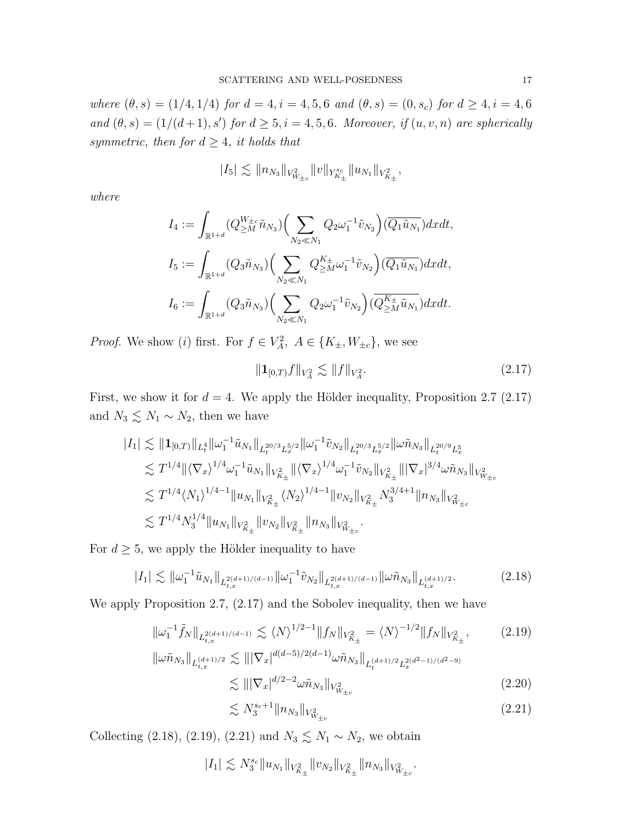where  $(\theta, s) = (1/4, 1/4)$  for  $d = 4, i = 4, 5, 6$  and  $(\theta, s) = (0, s_c)$  for  $d \geq 4, i = 4, 6$ and  $(\theta, s) = (1/(d+1), s')$  for  $d \geq 5, i = 4, 5, 6$ . Moreover, if  $(u, v, n)$  are spherically symmetric, then for  $d \geq 4$ , it holds that

$$
|I_5|\lesssim \|\t\|_{N_3}\|_{V^2_{W_{\pm c}}}\|v\|_{Y^{s_c}_{K_{\pm}}}\|u_{N_1}\|_{V^2_{K_{\pm}}},
$$

where

$$
I_4 := \int_{\mathbb{R}^{1+d}} (Q_{\geq M}^{W_{\pm c}} \tilde{n}_{N_3}) \Big( \sum_{N_2 \ll N_1} Q_2 \omega_1^{-1} \tilde{v}_{N_2} \Big) (\overline{Q_1 \tilde{u}_{N_1}}) dx dt,
$$
  
\n
$$
I_5 := \int_{\mathbb{R}^{1+d}} (Q_3 \tilde{n}_{N_3}) \Big( \sum_{N_2 \ll N_1} Q_{\geq M}^{K_{\pm}} \omega_1^{-1} \tilde{v}_{N_2} \Big) (\overline{Q_1 \tilde{u}_{N_1}}) dx dt,
$$
  
\n
$$
I_6 := \int_{\mathbb{R}^{1+d}} (Q_3 \tilde{n}_{N_3}) \Big( \sum_{N_2 \ll N_1} Q_2 \omega_1^{-1} \tilde{v}_{N_2} \Big) (\overline{Q_{\geq M}^{K_{\pm}} \tilde{u}_{N_1}}) dx dt.
$$

*Proof.* We show (*i*) first. For  $f \in V_A^2$ ,  $A \in \{K_{\pm}, W_{\pm c}\}$ , we see

$$
||\mathbf{1}_{[0,T)}f||_{V_A^2} \lesssim ||f||_{V_A^2}.\tag{2.17}
$$

First, we show it for  $d = 4$ . We apply the Hölder inequality, Proposition 2.7 (2.17) and  $N_3 \lesssim N_1 \sim N_2$ , then we have

$$
\begin{aligned} |I_1| &\lesssim \| \mathbf{1}_{[0,T)}\|_{L^4_t} \| \omega_1^{-1} \tilde u_{N_1}\|_{L^{20/3}_t L^{5/2}_x} \| \omega_1^{-1} \tilde v_{N_2}\|_{L^{20/3}_t L^{5/2}_x} \| \omega \tilde n_{N_3}\|_{L^{20/9}_t L^5_x} \\ &\lesssim T^{1/4} \| \langle \nabla_x \rangle^{1/4} \omega_1^{-1} \tilde u_{N_1}\|_{V^2_{K_\pm}} \| \langle \nabla_x \rangle^{1/4} \omega_1^{-1} \tilde v_{N_2}\|_{V^2_{K_\pm}} \| |\nabla_x|^{3/4} \omega \tilde n_{N_3}\|_{V^2_{W_{\pm c}}} \\ &\lesssim T^{1/4} \langle N_1 \rangle^{1/4-1} \| u_{N_1}\|_{V^2_{K_\pm}} \langle N_2 \rangle^{1/4-1} \| v_{N_2}\|_{V^2_{K_\pm}} N^{3/4+1}_3 \| n_{N_3}\|_{V^2_{W_{\pm c}}} \\ &\lesssim T^{1/4} N^{1/4}_3 \| u_{N_1}\|_{V^2_{K_\pm}} \| v_{N_2}\|_{V^2_{K_\pm}} \| n_{N_3}\|_{V^2_{W_{\pm c}}} . \end{aligned}
$$

For  $d \geq 5$ , we apply the Hölder inequality to have

$$
|I_1| \lesssim \|\omega_1^{-1}\tilde{u}_{N_1}\|_{L^{2(d+1)/(d-1)}_{t,x}} \|\omega_1^{-1}\tilde{v}_{N_2}\|_{L^{2(d+1)/(d-1)}_{t,x}} \|\omega \tilde{n}_{N_3}\|_{L^{(d+1)/2}_{t,x}}.\tag{2.18}
$$

We apply Proposition 2.7, (2.17) and the Sobolev inequality, then we have

$$
\|\omega_1^{-1}\tilde{f}_N\|_{L^{2(d+1)/(d-1)}_{t,x}} \lesssim \langle N \rangle^{1/2-1} \|f_N\|_{V^2_{K_\pm}} = \langle N \rangle^{-1/2} \|f_N\|_{V^2_{K_\pm}},\tag{2.19}
$$

$$
\|\omega \tilde{n}_{N_3}\|_{L_{t,x}^{(d+1)/2}} \lesssim \| |\nabla_x|^{d(d-5)/2(d-1)} \omega \tilde{n}_{N_3} \|_{L_t^{(d+1)/2} L_x^{2(d^2-1)/(d^2-9)}} \lesssim \| |\nabla_x|^{d/2-2} \omega \tilde{n}_{N_3} \|_{V_{\Psi_{\pm c}}^2}
$$
\n(2.20)

$$
\lesssim N_3^{s_c+1} \| n_{N_3} \|_{V^2_{W_{\pm c}}} \tag{2.21}
$$

Collecting (2.18), (2.19), (2.21) and  $N_3 \lesssim N_1 \sim N_2$ , we obtain

$$
|I_1| \lesssim N_3^{s_c} \|u_{N_1}\|_{V^2_{K_{\pm}}} \|v_{N_2}\|_{V^2_{K_{\pm}}} \|n_{N_3}\|_{V^2_{W_{\pm c}}}.
$$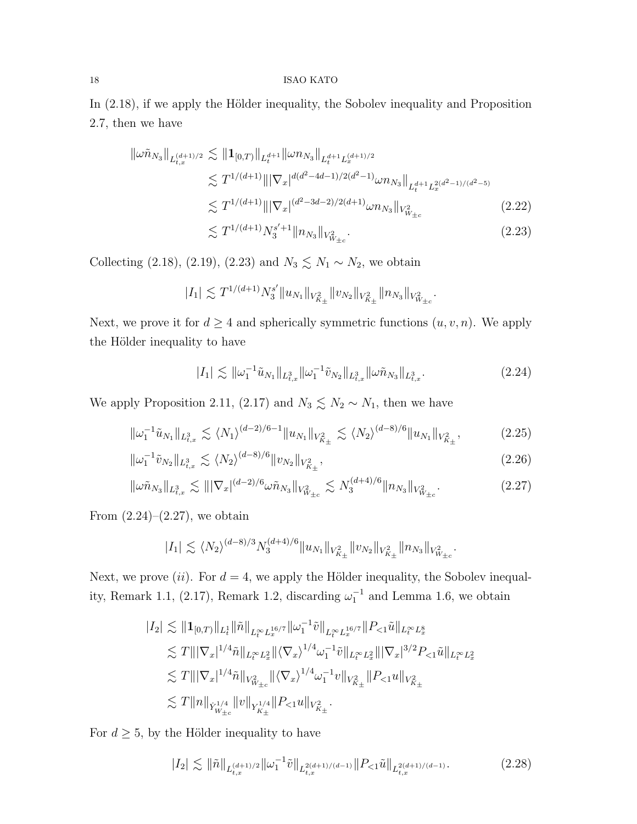In  $(2.18)$ , if we apply the Hölder inequality, the Sobolev inequality and Proposition 2.7, then we have

$$
\|\omega \tilde{n}_{N_3}\|_{L_{t,x}^{(d+1)/2}} \lesssim \|1_{[0,T)}\|_{L_t^{d+1}} \|\omega n_{N_3}\|_{L_t^{d+1} L_x^{(d+1)/2}} \n\lesssim T^{1/(d+1)} \|\|\nabla_x|^{d(d^2 - 4d - 1)/2(d^2 - 1)} \omega n_{N_3}\|_{L_t^{d+1} L_x^{2(d^2 - 1)/(d^2 - 5)}} \n\lesssim T^{1/(d+1)} \|\|\nabla_x|^{(d^2 - 3d - 2)/2(d+1)} \omega n_{N_3}\|_{V_{W_{\pm c}}^2}
$$
\n(2.22)\n
$$
\lesssim T^{1/(d+1)} N_3^{s'+1} \|n_{N_3}\|_{V_{W_{\pm c}}^2}.
$$

Collecting (2.18), (2.19), (2.23) and  $N_3 \lesssim N_1 \sim N_2$ , we obtain

$$
|I_1| \lesssim T^{1/(d+1)} N_3^{s'} \|u_{N_1}\|_{V^2_{K_\pm}} \|v_{N_2}\|_{V^2_{K_\pm}} \|n_{N_3}\|_{V^2_{W_{\pm c}}}.
$$

Next, we prove it for  $d \geq 4$  and spherically symmetric functions  $(u, v, n)$ . We apply the Hölder inequality to have

$$
|I_1| \lesssim \|\omega_1^{-1}\tilde{u}_{N_1}\|_{L^3_{t,x}} \|\omega_1^{-1}\tilde{v}_{N_2}\|_{L^3_{t,x}} \|\omega \tilde{n}_{N_3}\|_{L^3_{t,x}}.
$$
\n(2.24)

We apply Proposition 2.11, (2.17) and  $N_3 \lesssim N_2 \sim N_1$ , then we have

$$
\|\omega_1^{-1}\tilde{u}_{N_1}\|_{L^3_{t,x}} \lesssim \langle N_1 \rangle^{(d-2)/6-1} \|u_{N_1}\|_{V^2_{K_\pm}} \lesssim \langle N_2 \rangle^{(d-8)/6} \|u_{N_1}\|_{V^2_{K_\pm}},\tag{2.25}
$$

$$
\|\omega_1^{-1}\tilde{v}_{N_2}\|_{L^3_{t,x}} \lesssim \langle N_2 \rangle^{(d-8)/6} \|v_{N_2}\|_{V^2_{K_\pm}},\tag{2.26}
$$

$$
\|\omega\tilde{n}_{N_3}\|_{L^3_{t,x}} \lesssim \| |\nabla_x|^{(d-2)/6} \omega \tilde{n}_{N_3} \|_{V^2_{W_{\pm c}}} \lesssim N_3^{(d+4)/6} \|n_{N_3}\|_{V^2_{W_{\pm c}}}.
$$
\n(2.27)

From  $(2.24)$ – $(2.27)$ , we obtain

$$
|I_1| \lesssim \langle N_2 \rangle^{(d-8)/3} N_3^{(d+4)/6} \|u_{N_1}\|_{V_{K_{\pm}}^2} \|v_{N_2}\|_{V_{K_{\pm}}^2} \|n_{N_3}\|_{V_{W_{\pm c}}^2}.
$$

Next, we prove (ii). For  $d = 4$ , we apply the Hölder inequality, the Sobolev inequality, Remark 1.1, (2.17), Remark 1.2, discarding  $\omega_1^{-1}$  and Lemma 1.6, we obtain

$$
\begin{aligned} |I_2| &\lesssim \| \mathbf{1}_{[0,T)} \|_{L^1_t} \| \tilde{n} \|_{L^\infty_t L^{16/7}_x} \| \omega_1^{-1} \tilde{v} \|_{L^\infty_t L^{16/7}_x} \| P_{<1} \tilde{u} \|_{L^\infty_t L^8_x} \\ &\lesssim T \| |\nabla_x|^{1/4} \tilde{n} \|_{L^\infty_t L^2_x} \| \langle \nabla_x \rangle^{1/4} \omega_1^{-1} \tilde{v} \|_{L^\infty_t L^2_x} \| |\nabla_x|^{3/2} P_{<1} \tilde{u} \|_{L^\infty_t L^2_x} \\ &\lesssim T \| |\nabla_x|^{1/4} \tilde{n} \|_{V^2_{W_{\pm c}}} \| \langle \nabla_x \rangle^{1/4} \omega_1^{-1} v \|_{V^2_{K_\pm}} \| P_{<1} u \|_{V^2_{K_\pm}} \\ &\lesssim T \| n \|_{Y^{1/4}_{W_{\pm c}}} \| v \|_{Y^{1/4}_{K_\pm}} \| P_{<1} u \|_{V^2_{K_\pm}} . \end{aligned}
$$

For  $d \geq 5$ , by the Hölder inequality to have

$$
|I_2| \lesssim \|\tilde{n}\|_{L_{t,x}^{(d+1)/2}} \|\omega_1^{-1}\tilde{v}\|_{L_{t,x}^{2(d+1)/(d-1)}} \|P_{<1}\tilde{u}\|_{L_{t,x}^{2(d+1)/(d-1)}}. \tag{2.28}
$$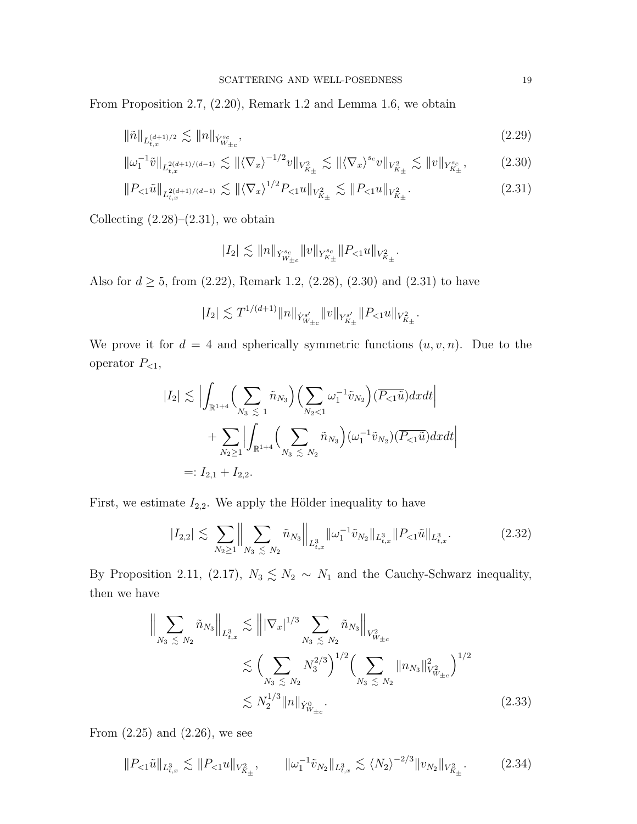From Proposition 2.7, (2.20), Remark 1.2 and Lemma 1.6, we obtain

$$
\|\tilde{n}\|_{L_{t,x}^{(d+1)/2}} \lesssim \|n\|_{\dot{Y}_{W_{\pm c}}^{s_c}},\tag{2.29}
$$

$$
\|\omega_1^{-1}\tilde{v}\|_{L^{2(d+1)/(d-1)}_{t,x}} \lesssim \| \langle \nabla_x \rangle^{-1/2} v \|_{V^2_{K_\pm}} \lesssim \| \langle \nabla_x \rangle^{s_c} v \|_{V^2_{K_\pm}} \lesssim \| v \|_{Y^{s_c}_{K_\pm}}, \tag{2.30}
$$

$$
||P_{<1}\tilde{u}||_{L_{t,x}^{2(d+1)/(d-1)}} \lesssim ||\langle \nabla_x \rangle^{1/2} P_{<1} u||_{V_{K_\pm}^2} \lesssim ||P_{<1} u||_{V_{K_\pm}^2}.\tag{2.31}
$$

Collecting  $(2.28)$ – $(2.31)$ , we obtain

$$
|I_2| \lesssim \|n\|_{\dot Y^{s_c}_{W_{\pm c}}}\|v\|_{Y^{s_c}_{K_{\pm}}}\|P_{<1}u\|_{V^2_{K_{\pm}}}.
$$

Also for  $d \ge 5$ , from  $(2.22)$ , Remark 1.2,  $(2.28)$ ,  $(2.30)$  and  $(2.31)$  to have

$$
|I_2| \lesssim T^{1/(d+1)} \|n\|_{\dot{Y}^{s'}_{W_{\pm c}}} \|v\|_{Y^{s'}_{K_{\pm}}} \|P_{<1} u\|_{V^2_{K_{\pm}}}.
$$

We prove it for  $d = 4$  and spherically symmetric functions  $(u, v, n)$ . Due to the operator  $P_{\leq 1}$ ,

$$
|I_2| \lesssim \Big| \int_{\mathbb{R}^{1+4}} \Big( \sum_{N_3 \leq 1} \tilde{n}_{N_3} \Big) \Big( \sum_{N_2 < 1} \omega_1^{-1} \tilde{v}_{N_2} \Big) \Big( \overline{P_{< 1} \tilde{u}} \Big) dx dt \Big|
$$
  
+ 
$$
\sum_{N_2 \geq 1} \Big| \int_{\mathbb{R}^{1+4}} \Big( \sum_{N_3 \leq N_2} \tilde{n}_{N_3} \Big) \Big( \omega_1^{-1} \tilde{v}_{N_2} \Big) \Big( \overline{P_{< 1} \tilde{u}} \Big) dx dt \Big|
$$
  
=:  $I_{2,1} + I_{2,2}.$ 

First, we estimate  $I_{2,2}$ . We apply the Hölder inequality to have

$$
|I_{2,2}| \lesssim \sum_{N_2 \ge 1} \Big\| \sum_{N_3 \lesssim N_2} \tilde{n}_{N_3} \Big\|_{L^3_{t,x}} \|\omega_1^{-1} \tilde{v}_{N_2}\|_{L^3_{t,x}} \|P_{\le 1} \tilde{u}\|_{L^3_{t,x}}.
$$
 (2.32)

By Proposition 2.11, (2.17),  $N_3 \leq N_2 \sim N_1$  and the Cauchy-Schwarz inequality, then we have

$$
\left\| \sum_{N_3 \leq N_2} \tilde{n}_{N_3} \right\|_{L^3_{t,x}} \lesssim \left\| |\nabla_x|^{1/3} \sum_{N_3 \leq N_2} \tilde{n}_{N_3} \right\|_{V^2_{W_{\pm c}}} \n\lesssim \left( \sum_{N_3 \leq N_2} N_3^{2/3} \right)^{1/2} \left( \sum_{N_3 \leq N_2} \|n_{N_3}\|_{V^2_{W_{\pm c}}}^2 \right)^{1/2} \n\lesssim N_2^{1/3} \|n\|_{\dot{Y}^0_{W_{\pm c}}}.
$$
\n(2.33)

From  $(2.25)$  and  $(2.26)$ , we see

$$
||P_{<1}\tilde{u}||_{L_{t,x}^3} \lesssim ||P_{<1}u||_{V_{K_{\pm}}^2}, \qquad ||\omega_1^{-1}\tilde{v}_{N_2}||_{L_{t,x}^3} \lesssim \langle N_2 \rangle^{-2/3} ||v_{N_2}||_{V_{K_{\pm}}^2}.
$$
 (2.34)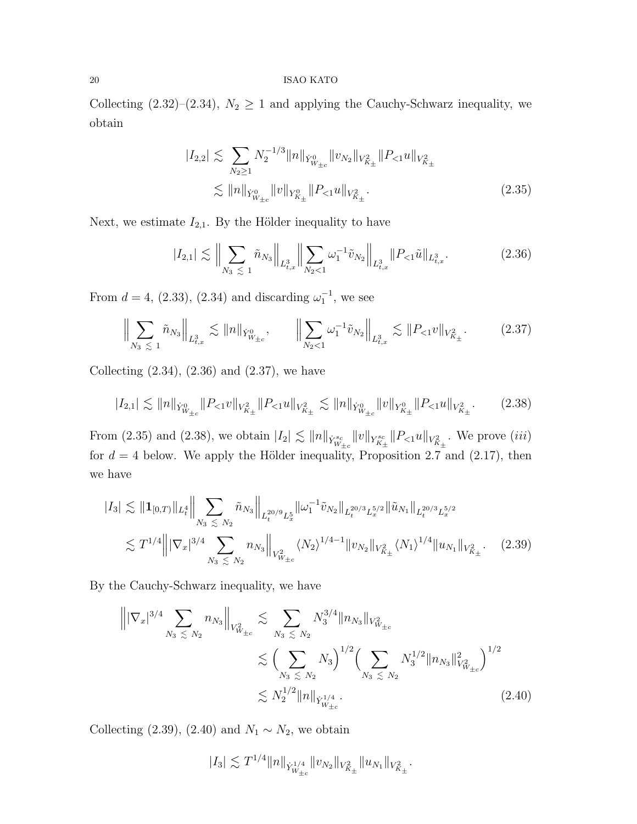Collecting (2.32)–(2.34),  $N_2 \ge 1$  and applying the Cauchy-Schwarz inequality, we obtain

$$
|I_{2,2}| \lesssim \sum_{N_2 \ge 1} N_2^{-1/3} ||n||_{\dot{Y}_{W_{\pm c}}^0} ||v_{N_2}||_{V_{K_{\pm}}^2} ||P_{<1}u||_{V_{K_{\pm}}^2}
$$
  

$$
\lesssim ||n||_{\dot{Y}_{W_{\pm c}}^0} ||v||_{Y_{K_{\pm}}^0} ||P_{<1}u||_{V_{K_{\pm}}^2}.
$$
 (2.35)

Next, we estimate  $I_{2,1}$ . By the Hölder inequality to have

$$
|I_{2,1}| \lesssim \Big\| \sum_{N_3 \leq 1} \tilde{n}_{N_3} \Big\|_{L^3_{t,x}} \Big\| \sum_{N_2 < 1} \omega_1^{-1} \tilde{v}_{N_2} \Big\|_{L^3_{t,x}} \|P_{< 1} \tilde{u} \|_{L^3_{t,x}}. \tag{2.36}
$$

From  $d = 4$ , (2.33), (2.34) and discarding  $\omega_1^{-1}$ , we see

$$
\Big\|\sum_{N_3\,\leq\,1}\tilde{n}_{N_3}\Big\|_{L^3_{t,x}}\lesssim \|n\|_{\dot{Y}^0_{W_{\pm c}}},\qquad \Big\|\sum_{N_2\,<\,1}\omega_1^{-1}\tilde{v}_{N_2}\Big\|_{L^3_{t,x}}\lesssim \|P_{\lt,\,1}v\|_{V^2_{K_\pm}}.\tag{2.37}
$$

Collecting  $(2.34)$ ,  $(2.36)$  and  $(2.37)$ , we have

$$
|I_{2,1}| \lesssim \|n\|_{\dot{Y}_{W_{\pm c}}^0} \|P_{< 1}v\|_{V_{K_\pm}^2} \|P_{< 1}u\|_{V_{K_\pm}^2} \lesssim \|n\|_{\dot{Y}_{W_{\pm c}}^0} \|v\|_{Y_{K_\pm}^0} \|P_{< 1}u\|_{V_{K_\pm}^2}.
$$
 (2.38)

From (2.35) and (2.38), we obtain  $|I_2| \lesssim ||n||_{\dot{Y}_{W_{\pm c}}^{sc}} ||v||_{Y_{K_{\pm}}^{sc}} ||P_{<1} u||_{V_{K_{\pm}}^2}$ . We prove (*iii*) for  $d = 4$  below. We apply the Hölder inequality, Proposition 2.7 and (2.17), then we have

$$
|I_{3}| \lesssim \| \mathbf{1}_{[0,T)} \|_{L_{t}^{4}} \| \sum_{N_{3} \lesssim N_{2}} \tilde{n}_{N_{3}} \|_{L_{t}^{20/9} L_{x}^{5}} \| \omega_{1}^{-1} \tilde{v}_{N_{2}} \|_{L_{t}^{20/3} L_{x}^{5/2}} \| \tilde{u}_{N_{1}} \|_{L_{t}^{20/3} L_{x}^{5/2}} \lesssim T^{1/4} \| |\nabla_{x}|^{3/4} \sum_{N_{3} \lesssim N_{2}} n_{N_{3}} \|_{V_{W_{\pm c}}^{2}} \langle N_{2} \rangle^{1/4-1} \| v_{N_{2}} \|_{V_{K_{\pm}}^{2}} \langle N_{1} \rangle^{1/4} \| u_{N_{1}} \|_{V_{K_{\pm}}^{2}}.
$$
 (2.39)

By the Cauchy-Schwarz inequality, we have

$$
\left\| |\nabla_x|^{3/4} \sum_{N_3 \le N_2} n_{N_3} \right\|_{V_{W_{\pm c}}^2} \lesssim \sum_{N_3 \le N_2} N_3^{3/4} \|n_{N_3}\|_{V_{W_{\pm c}}^2}
$$
  

$$
\lesssim \left( \sum_{N_3 \le N_2} N_3 \right)^{1/2} \left( \sum_{N_3 \le N_2} N_3^{1/2} \|n_{N_3}\|_{V_{W_{\pm c}}^2}^2 \right)^{1/2}
$$
  

$$
\lesssim N_2^{1/2} \|n\|_{\dot{Y}_{W_{\pm c}}^{1/4}}.
$$
 (2.40)

Collecting (2.39), (2.40) and  $N_1 \sim N_2$ , we obtain

$$
|I_3| \lesssim T^{1/4} ||n||_{\dot{Y}_{W_{\pm c}}^{1/4}} ||v_{N_2}||_{V_{K_{\pm}}^2} ||u_{N_1}||_{V_{K_{\pm}}^2}.
$$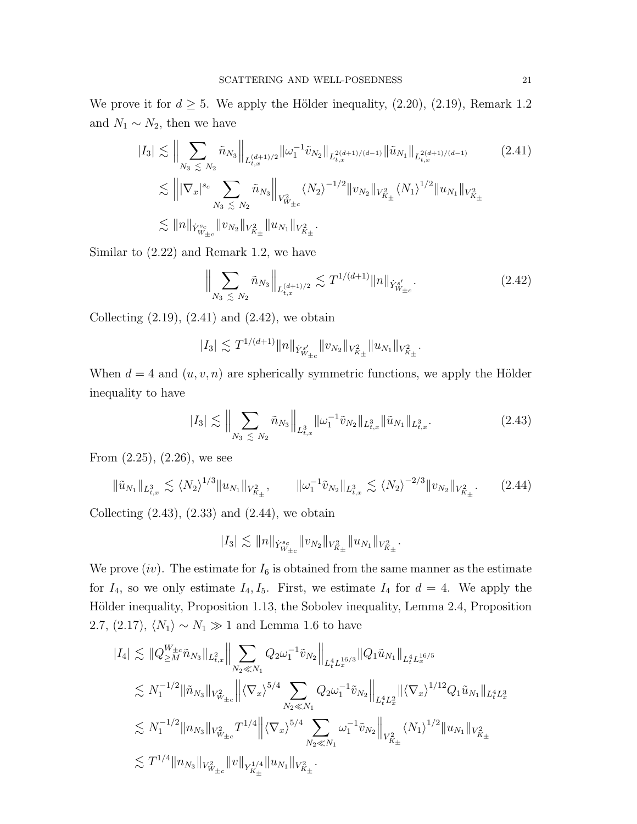We prove it for  $d \geq 5$ . We apply the Hölder inequality, (2.20), (2.19), Remark 1.2 and  $N_1 \sim N_2$ , then we have

$$
|I_{3}| \lesssim \Big\| \sum_{N_{3}} \sum_{\leq N_{2}} \tilde{n}_{N_{3}} \Big\|_{L_{t,x}^{(d+1)/2}} \|\omega_{1}^{-1} \tilde{v}_{N_{2}}\|_{L_{t,x}^{2(d+1)/(d-1)}} \|\tilde{u}_{N_{1}}\|_{L_{t,x}^{2(d+1)/(d-1)}} \qquad (2.41)
$$
  

$$
\lesssim \left\| |\nabla_{x}|^{s_{c}} \sum_{N_{3} \leq N_{2}} \tilde{n}_{N_{3}} \right\|_{V_{W_{\pm c}}^{2}} \langle N_{2} \rangle^{-1/2} \|v_{N_{2}}\|_{V_{K_{\pm}}^{2}} \langle N_{1} \rangle^{1/2} \|u_{N_{1}}\|_{V_{K_{\pm}}^{2}} \lesssim \|n\|_{\dot{Y}_{W_{\pm c}}^{s_{c}}} \|v_{N_{2}}\|_{V_{K_{\pm}}^{2}} \|u_{N_{1}}\|_{V_{K_{\pm}}^{2}}.
$$

Similar to (2.22) and Remark 1.2, we have

$$
\Big\|\sum_{N_3\leq N_2} \tilde{n}_{N_3}\Big\|_{L_{t,x}^{(d+1)/2}} \lesssim T^{1/(d+1)} \|n\|_{\dot{Y}_{W_{\pm c}}^{s'}}.
$$
\n(2.42)

Collecting  $(2.19)$ ,  $(2.41)$  and  $(2.42)$ , we obtain

$$
|I_3| \lesssim T^{1/(d+1)} \|n\|_{\dot Y^{s'}_{W_{\pm c}}} \|v_{N_2}\|_{V^2_{K_\pm}} \|u_{N_1}\|_{V^2_{K_\pm}}.
$$

When  $d = 4$  and  $(u, v, n)$  are spherically symmetric functions, we apply the Hölder inequality to have

$$
|I_3| \lesssim \Big\| \sum_{N_3 \lesssim N_2} \tilde{n}_{N_3} \Big\|_{L^3_{t,x}} \|\omega_1^{-1} \tilde{v}_{N_2}\|_{L^3_{t,x}} \|\tilde{u}_{N_1}\|_{L^3_{t,x}}.
$$
 (2.43)

From (2.25), (2.26), we see

$$
\|\tilde{u}_{N_1}\|_{L^3_{t,x}} \lesssim \langle N_2 \rangle^{1/3} \|u_{N_1}\|_{V^2_{K_\pm}}, \qquad \|\omega_1^{-1}\tilde{v}_{N_2}\|_{L^3_{t,x}} \lesssim \langle N_2 \rangle^{-2/3} \|v_{N_2}\|_{V^2_{K_\pm}}.
$$
 (2.44)

Collecting  $(2.43)$ ,  $(2.33)$  and  $(2.44)$ , we obtain

$$
|I_3| \lesssim \|n\|_{\dot Y^{s_c}_{W_{\pm c}}}\|v_{N_2}\|_{V^2_{K_{\pm}}}\|u_{N_1}\|_{V^2_{K_{\pm}}}.
$$

We prove  $(iv)$ . The estimate for  $I_6$  is obtained from the same manner as the estimate for  $I_4$ , so we only estimate  $I_4$ ,  $I_5$ . First, we estimate  $I_4$  for  $d = 4$ . We apply the Hölder inequality, Proposition 1.13, the Sobolev inequality, Lemma 2.4, Proposition 2.7, (2.17),  $\langle N_1 \rangle \sim N_1 \gg 1$  and Lemma 1.6 to have

$$
\begin{split} |I_4| \lesssim & \|\tQ_{\geq M}^{W_{\pm c}} \tilde{n}_{N_3}\|_{L^2_{t,x}} \Big\| \sum_{N_2 \ll N_1} Q_2 \omega_1^{-1} \tilde{v}_{N_2} \Big\|_{L^4_t L^{16/3}_x} \|\tQ_1 \tilde{u}_{N_1}\|_{L^4_t L^{16/5}_x} \\ \lesssim & N_1^{-1/2} \|\tilde{n}_{N_3}\|_{V^2_{W_{\pm c}}} \Big\| \langle \nabla_x \rangle^{5/4} \sum_{N_2 \ll N_1} Q_2 \omega_1^{-1} \tilde{v}_{N_2} \Big\|_{L^4_t L^2_x} \|\langle \nabla_x \rangle^{1/12} Q_1 \tilde{u}_{N_1}\|_{L^4_t L^3_x} \\ \lesssim & N_1^{-1/2} \|n_{N_3}\|_{V^2_{W_{\pm c}}} T^{1/4} \Big\| \langle \nabla_x \rangle^{5/4} \sum_{N_2 \ll N_1} \omega_1^{-1} \tilde{v}_{N_2} \Big\|_{V^2_{K_\pm}} \langle N_1 \rangle^{1/2} \|u_{N_1}\|_{V^2_{K_\pm}} \\ \lesssim & T^{1/4} \|n_{N_3}\|_{V^2_{W_{\pm c}}} \|v\|_{Y^{1/4}_{K_\pm}} \|u_{N_1}\|_{V^2_{K_\pm}} . \end{split}
$$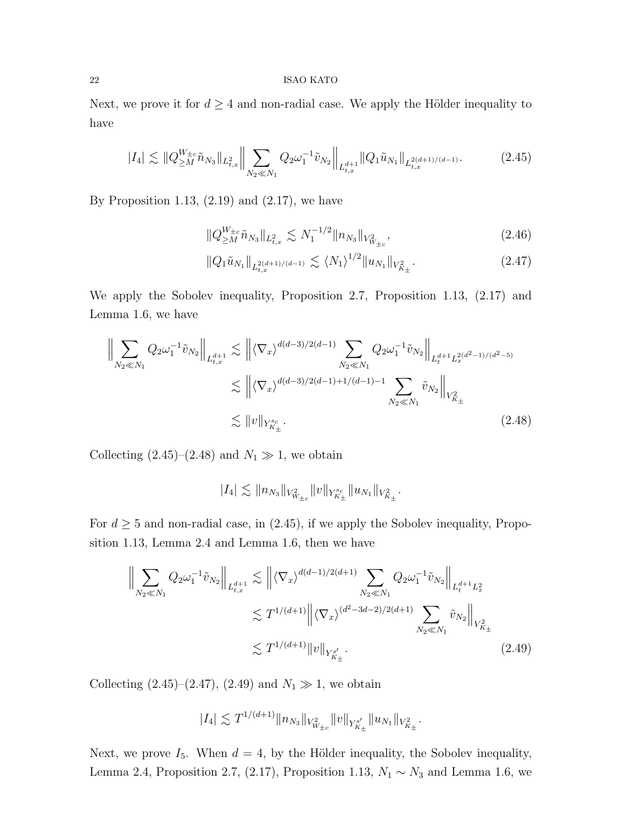Next, we prove it for  $d \geq 4$  and non-radial case. We apply the Hölder inequality to have

$$
|I_4| \lesssim \|Q_{\geq M}^{W_{\pm c}} \tilde{n}_{N_3}\|_{L^2_{t,x}} \Big\| \sum_{N_2 \ll N_1} Q_2 \omega_1^{-1} \tilde{v}_{N_2} \Big\|_{L^{d+1}_{t,x}} \|Q_1 \tilde{u}_{N_1}\|_{L^{2(d+1)/(d-1)}_{t,x}}. \tag{2.45}
$$

By Proposition 1.13,  $(2.19)$  and  $(2.17)$ , we have

$$
||Q_{\geq M}^{W_{\pm c}} \tilde{n}_{N_3}||_{L^2_{t,x}} \lesssim N_1^{-1/2} ||n_{N_3}||_{V^2_{W_{\pm c}}},
$$
\n(2.46)

$$
||Q_1\tilde{u}_{N_1}||_{L^{2(d+1)/(d-1)}_{t,x}} \lesssim \langle N_1 \rangle^{1/2} ||u_{N_1}||_{V^2_{K_\pm}}.
$$
\n(2.47)

We apply the Sobolev inequality, Proposition 2.7, Proposition 1.13, (2.17) and Lemma 1.6, we have

$$
\left\| \sum_{N_2 \ll N_1} Q_2 \omega_1^{-1} \tilde{v}_{N_2} \right\|_{L_{t,x}^{d+1}} \lesssim \left\| \langle \nabla_x \rangle^{d(d-3)/2(d-1)} \sum_{N_2 \ll N_1} Q_2 \omega_1^{-1} \tilde{v}_{N_2} \right\|_{L_t^{d+1} L_x^{2(d^2-1)/(d^2-5)}} \lesssim \left\| \langle \nabla_x \rangle^{d(d-3)/2(d-1)+1/(d-1)-1} \sum_{N_2 \ll N_1} \tilde{v}_{N_2} \right\|_{V_{K_\pm}^2}
$$
\n
$$
\lesssim \|v\|_{Y_{K_\pm}^{sc}}.
$$
\n(2.48)

Collecting  $(2.45)-(2.48)$  and  $N_1 \gg 1$ , we obtain

$$
|I_4|\lesssim \|\t{n}_{N_3}\|_{V^2_{W_{\pm c}}}\|v\|_{Y^{s_c}_{K_{\pm}}}\|u_{N_1}\|_{V^2_{K_{\pm}}}.
$$

For  $d \geq 5$  and non-radial case, in  $(2.45)$ , if we apply the Sobolev inequality, Proposition 1.13, Lemma 2.4 and Lemma 1.6, then we have

$$
\left\| \sum_{N_2 \ll N_1} Q_2 \omega_1^{-1} \tilde{v}_{N_2} \right\|_{L_{t,x}^{d+1}} \lesssim \left\| \langle \nabla_x \rangle^{d(d-1)/2(d+1)} \sum_{N_2 \ll N_1} Q_2 \omega_1^{-1} \tilde{v}_{N_2} \right\|_{L_t^{d+1} L_x^2}
$$
  

$$
\lesssim T^{1/(d+1)} \left\| \langle \nabla_x \rangle^{(d^2 - 3d - 2)/2(d+1)} \sum_{N_2 \ll N_1} \tilde{v}_{N_2} \right\|_{V_{K_\pm}^2}
$$
  

$$
\lesssim T^{1/(d+1)} \|v\|_{Y_{K_\pm}^{s'}}.
$$
 (2.49)

Collecting (2.45)–(2.47), (2.49) and  $N_1 \gg 1$ , we obtain

$$
|I_4| \lesssim T^{1/(d+1)} \|n_{N_3}\|_{V^2_{W_{\pm c}}} \|v\|_{Y^{s'}_{K_{\pm}}} \|u_{N_1}\|_{V^2_{K_{\pm}}}.
$$

Next, we prove  $I_5$ . When  $d = 4$ , by the Hölder inequality, the Sobolev inequality, Lemma 2.4, Proposition 2.7, (2.17), Proposition 1.13,  $N_1 \sim N_3$  and Lemma 1.6, we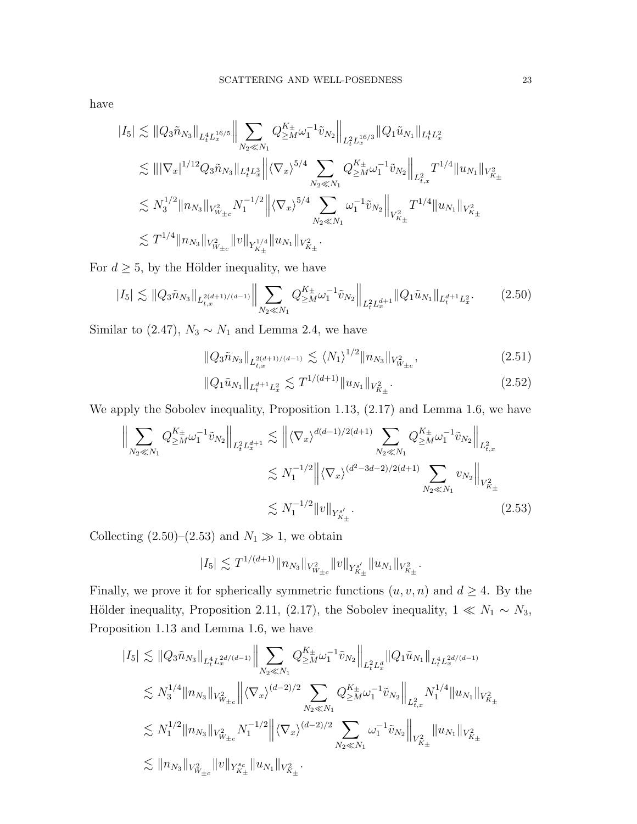have

$$
\begin{split} |I_5| \lesssim & \left\| Q_3 \tilde{n}_{N_3} \right\|_{L^4_t L^{16/5}_x} \Big\| \sum_{N_2 \ll N_1} Q^{{\cal K}_\pm}_{\geq M} \omega_1^{-1} \tilde{v}_{N_2} \Big\|_{L^2_t L^{16/3}_x} \|Q_1 \tilde{u}_{N_1} \|_{L^4_t L^2_x} \\ \lesssim & \left\| |\nabla_x|^{1/12} Q_3 \tilde{n}_{N_3} \|_{L^4_t L^3_x} \Big\| \langle \nabla_x \rangle^{5/4} \sum_{N_2 \ll N_1} Q^{{\cal K}_\pm}_{\geq M} \omega_1^{-1} \tilde{v}_{N_2} \Big\|_{L^2_{t,x}} T^{1/4} \|u_{N_1} \|_{V^2_{K_\pm}} \\ \lesssim & N_3^{1/2} \|n_{N_3} \|_{V^2_{W_{\pm c}}} N_1^{-1/2} \Big\| \langle \nabla_x \rangle^{5/4} \sum_{N_2 \ll N_1} \omega_1^{-1} \tilde{v}_{N_2} \Big\|_{V^2_{K_\pm}} T^{1/4} \|u_{N_1} \|_{V^2_{K_\pm}} \\ \lesssim & T^{1/4} \|n_{N_3} \|_{V^2_{W_{\pm c}}} \|v\|_{Y^{1/4}_{K_\pm}} \|u_{N_1} \|_{V^2_{K_\pm}} . \end{split}
$$

For  $d\geq 5,$  by the Hölder inequality, we have

$$
|I_5| \lesssim \|Q_3\tilde{n}_{N_3}\|_{L_{t,x}^{2(d+1)/(d-1)}} \Big\| \sum_{N_2 \ll N_1} Q_{\geq M}^{K_{\pm}} \omega_1^{-1} \tilde{v}_{N_2} \Big\|_{L_t^2 L_x^{d+1}} \|Q_1 \tilde{u}_{N_1}\|_{L_t^{d+1} L_x^2}.
$$
 (2.50)

Similar to (2.47),  $N_3 \sim N_1$  and Lemma 2.4, we have

$$
||Q_3\tilde{n}_{N_3}||_{L_{t,x}^{2(d+1)/(d-1)}} \lesssim \langle N_1 \rangle^{1/2} ||n_{N_3}||_{V_{W_{\pm c}}^2},
$$
\n(2.51)

$$
||Q_1\tilde{u}_{N_1}||_{L_t^{d+1}L_x^2} \lesssim T^{1/(d+1)}||u_{N_1}||_{V_{K_\pm}^2}.
$$
\n(2.52)

We apply the Sobolev inequality, Proposition 1.13, (2.17) and Lemma 1.6, we have

$$
\left\| \sum_{N_2 \ll N_1} Q_{\geq M}^{K_{\pm}} \omega_1^{-1} \tilde{v}_{N_2} \right\|_{L_t^2 L_x^{d+1}} \lesssim \left\| \langle \nabla_x \rangle^{d(d-1)/2(d+1)} \sum_{N_2 \ll N_1} Q_{\geq M}^{K_{\pm}} \omega_1^{-1} \tilde{v}_{N_2} \right\|_{L_{t,x}^2}
$$
  

$$
\lesssim N_1^{-1/2} \left\| \langle \nabla_x \rangle^{(d^2 - 3d - 2)/2(d+1)} \sum_{N_2 \ll N_1} v_{N_2} \right\|_{V_{K_{\pm}}^2}
$$
  

$$
\lesssim N_1^{-1/2} \|v\|_{Y_{K_{\pm}}^{s'}}.
$$
 (2.53)

Collecting (2.50)–(2.53) and  $N_1 \gg 1$ , we obtain

$$
|I_5| \lesssim T^{1/(d+1)} \|n_{N_3}\|_{V^2_{W_{\pm c}}} \|v\|_{Y^{s'}_{K_{\pm}}} \|u_{N_1}\|_{V^2_{K_{\pm}}}.
$$

Finally, we prove it for spherically symmetric functions  $(u, v, n)$  and  $d \geq 4$ . By the Hölder inequality, Proposition 2.11, (2.17), the Sobolev inequality,  $1 \ll N_1 \sim N_3$ , Proposition 1.13 and Lemma 1.6, we have

$$
\begin{aligned} |I_5| &\lesssim \|Q_3\tilde{n}_{N_3}\|_{L^4_tL^{2d/(d-1)}_x} \Big\| \sum_{N_2 \ll N_1} Q_{\geq M}^{K_\pm} \omega_1^{-1} \tilde{v}_{N_2} \Big\|_{L^2_tL^d_x} \|Q_1\tilde{u}_{N_1}\|_{L^4_tL^{2d/(d-1)}_x} \\ &\lesssim N_3^{1/4} \|n_{N_3}\|_{V^2_{W_{\pm c}}} \Big\| \langle \nabla_x \rangle^{(d-2)/2} \sum_{N_2 \ll N_1} Q_{\geq M}^{K_\pm} \omega_1^{-1} \tilde{v}_{N_2} \Big\|_{L^2_{t,x}} N_1^{1/4} \|u_{N_1}\|_{V^2_{K_\pm}} \\ &\lesssim N_1^{1/2} \|n_{N_3}\|_{V^2_{W_{\pm c}}} N_1^{-1/2} \Big\| \langle \nabla_x \rangle^{(d-2)/2} \sum_{N_2 \ll N_1} \omega_1^{-1} \tilde{v}_{N_2} \Big\|_{V^2_{K_\pm}} \|u_{N_1}\|_{V^2_{K_\pm}} \\ &\lesssim \|n_{N_3}\|_{V^2_{W_{\pm c}}} \|v\|_{Y^s_{K_\pm}} \|u_{N_1}\|_{V^2_{K_\pm}} . \end{aligned}
$$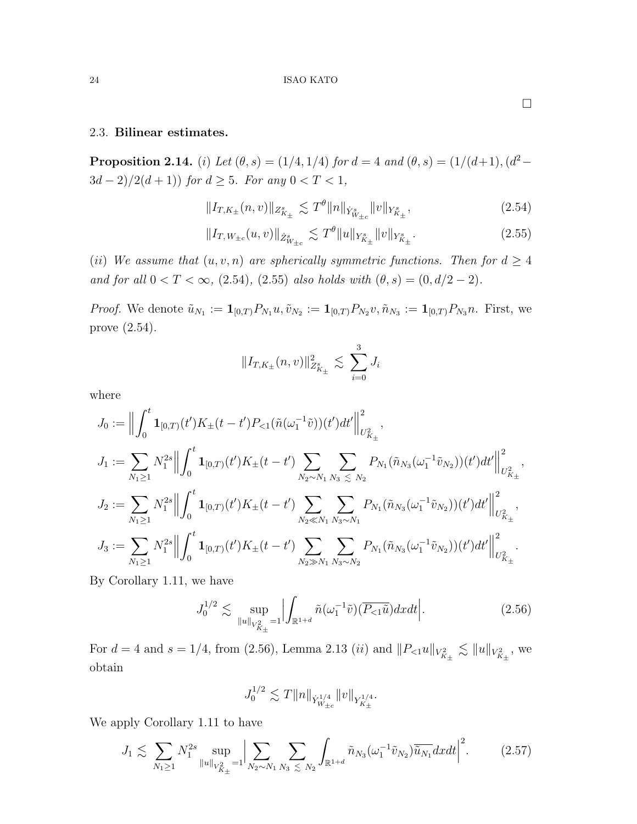## 2.3. Bilinear estimates.

**Proposition 2.14.** (i) Let  $(\theta, s) = (1/4, 1/4)$  for  $d = 4$  and  $(\theta, s) = (1/(d+1), (d^2 3d-2)/2(d+1)\big)\; for\; d\geq 5.\;\; For\; any\; 0< T< 1,$ 

$$
||I_{T,K_{\pm}}(n,v)||_{Z^s_{K_{\pm}}} \lesssim T^{\theta} ||n||_{\dot{Y}^s_{W_{\pm c}}} ||v||_{Y^s_{K_{\pm}}},
$$
\n(2.54)

$$
||I_{T,W_{\pm c}}(u,v)||_{\dot{Z}_{W_{\pm c}}^{s}} \lesssim T^{\theta}||u||_{Y_{K_{\pm}}^{s}}||v||_{Y_{K_{\pm}}^{s}}.
$$
\n(2.55)

(ii) We assume that  $(u, v, n)$  are spherically symmetric functions. Then for  $d \geq 4$ and for all  $0 < T < \infty$ , (2.54), (2.55) also holds with  $(\theta, s) = (0, d/2 - 2)$ .

*Proof.* We denote  $\tilde{u}_{N_1} := \mathbf{1}_{[0,T)} P_{N_1} u$ ,  $\tilde{v}_{N_2} := \mathbf{1}_{[0,T)} P_{N_2} v$ ,  $\tilde{n}_{N_3} := \mathbf{1}_{[0,T)} P_{N_3} n$ . First, we prove (2.54).

$$
||I_{T,K_{\pm}}(n,v)||_{Z^s_{K_{\pm}}}^2 \lesssim \sum_{i=0}^3 J_i
$$

where

$$
J_0 := \Big\|\int_0^t \mathbf{1}_{[0,T)}(t')K_{\pm}(t-t')P_{<1}(\tilde{n}(\omega_1^{-1}\tilde{v}))(t')dt'\Big\|_{U_{K_{\pm}}^2}^2,
$$
  
\n
$$
J_1 := \sum_{N_1 \geq 1} N_1^{2s} \Big\|\int_0^t \mathbf{1}_{[0,T)}(t')K_{\pm}(t-t')\sum_{N_2 \sim N_1} \sum_{N_3 \leq N_2} P_{N_1}(\tilde{n}_{N_3}(\omega_1^{-1}\tilde{v}_{N_2}))(t')dt'\Big\|_{U_{K_{\pm}}^2}^2,
$$
  
\n
$$
J_2 := \sum_{N_1 \geq 1} N_1^{2s} \Big\|\int_0^t \mathbf{1}_{[0,T)}(t')K_{\pm}(t-t')\sum_{N_2 \ll N_1} \sum_{N_3 \sim N_1} P_{N_1}(\tilde{n}_{N_3}(\omega_1^{-1}\tilde{v}_{N_2}))(t')dt'\Big\|_{U_{K_{\pm}}^2}^2,
$$
  
\n
$$
J_3 := \sum_{N_1 \geq 1} N_1^{2s} \Big\|\int_0^t \mathbf{1}_{[0,T)}(t')K_{\pm}(t-t')\sum_{N_2 \gg N_1} \sum_{N_3 \sim N_2} P_{N_1}(\tilde{n}_{N_3}(\omega_1^{-1}\tilde{v}_{N_2}))(t')dt'\Big\|_{U_{K_{\pm}}^2}^2.
$$

By Corollary 1.11, we have

$$
J_0^{1/2} \lesssim \sup_{\|u\|_{V_{K_\pm}^2} = 1} \Big| \int_{\mathbb{R}^{1+d}} \tilde{n}(\omega_1^{-1}\tilde{v}) (\overline{P_{\leq 1}\tilde{u}}) dx dt \Big|.
$$
 (2.56)

For  $d = 4$  and  $s = 1/4$ , from (2.56), Lemma 2.13 (*ii*) and  $||P_{<1}u||_{V_{K_{\pm}}^2} \lesssim ||u||_{V_{K_{\pm}}^2}$ , we obtain

$$
J_0^{1/2} \lesssim T \|n\|_{\dot Y^{1/4}_{W_{\pm c}}} \|v\|_{Y^{1/4}_{K_\pm}}.
$$

We apply Corollary 1.11 to have

$$
J_1 \lesssim \sum_{N_1 \ge 1} N_1^{2s} \sup_{\|u\|_{V_{K_{\pm}}^2} = 1} \Big| \sum_{N_2 \sim N_1} \sum_{N_3 \lesssim N_2} \int_{\mathbb{R}^{1+d}} \tilde{n}_{N_3}(\omega_1^{-1} \tilde{v}_{N_2}) \overline{\tilde{u}_{N_1}} dx dt \Big|^2. \tag{2.57}
$$

 $\Box$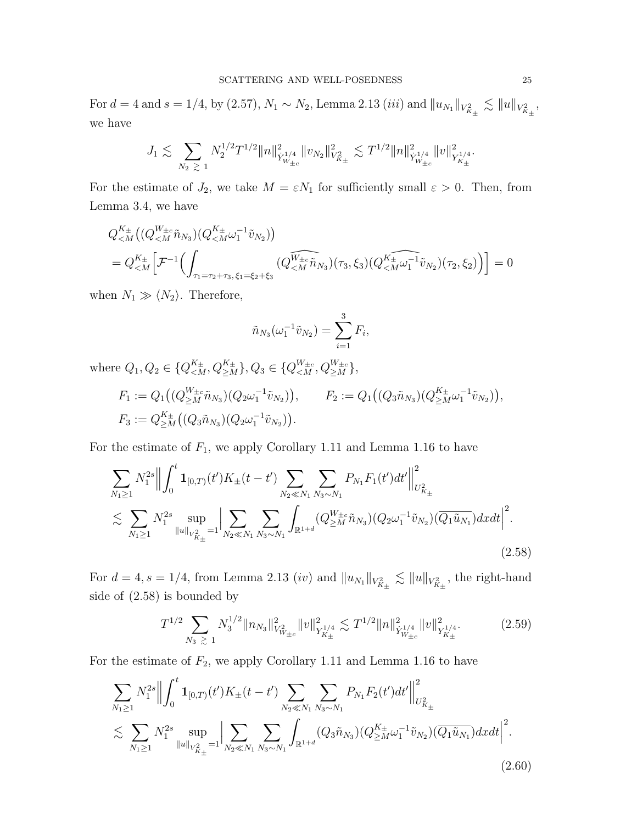For  $d = 4$  and  $s = 1/4$ , by (2.57),  $N_1 \sim N_2$ , Lemma 2.13 (*iii*) and  $||u_{N_1}||_{V_{K_{\pm}}^2} \lesssim ||u||_{V_{K_{\pm}}^2}$ , we have

$$
J_1 \lesssim \sum_{N_2 \ \gtrsim \ 1} N_2^{1/2} T^{1/2} \|n\|_{\dot Y^{1/4}_{W_{\pm c}}}^2 \|v_{N_2}\|_{V^2_{K_\pm}}^2 \lesssim T^{1/2} \|n\|_{\dot Y^{1/4}_{W_{\pm c}}}^2 \|v\|_{Y^{1/4}_{K_\pm}}^2.
$$

For the estimate of  $J_2$ , we take  $M = \varepsilon N_1$  for sufficiently small  $\varepsilon > 0$ . Then, from Lemma 3.4, we have

$$
Q_{\leq M}^{K_{\pm}}\left((Q_{\leq M}^{W_{\pm c}}\tilde{n}_{N_3})(Q_{\leq M}^{K_{\pm}}\omega_1^{-1}\tilde{v}_{N_2})\right)
$$
  
=  $Q_{\leq M}^{K_{\pm}}\left[\mathcal{F}^{-1}\left(\int_{\tau_1=\tau_2+\tau_3,\xi_1=\xi_2+\xi_3} (Q_{\leq M}^{\widetilde{W_{\pm c}}}\tilde{n}_{N_3})(\tau_3,\xi_3)(Q_{\leq M}^{K_{\pm}}\omega_1^{-1}\tilde{v}_{N_2})(\tau_2,\xi_2)\right)\right]=0$ 

when  $N_1 \gg \langle N_2 \rangle$ . Therefore,

$$
\tilde{n}_{N_3}(\omega_1^{-1}\tilde{v}_{N_2}) = \sum_{i=1}^3 F_i,
$$

where  $Q_1, Q_2 \in \{Q_{\leq M}^{K_{\pm}}, Q_{\geq M}^{K_{\pm}}\}, Q_3 \in \{Q_{\leq M}^{W_{\pm c}}, Q_{\geq M}^{W_{\pm c}}\},$ 

$$
F_1 := Q_1((Q_{\geq M}^{W_{\pm c}} \tilde{n}_{N_3})(Q_2 \omega_1^{-1} \tilde{v}_{N_2})), \qquad F_2 := Q_1((Q_3 \tilde{n}_{N_3})(Q_{\geq M}^{K_{\pm}} \omega_1^{-1} \tilde{v}_{N_2})),
$$
  

$$
F_3 := Q_{\geq M}^{K_{\pm}}((Q_3 \tilde{n}_{N_3})(Q_2 \omega_1^{-1} \tilde{v}_{N_2})).
$$

For the estimate of  $F_1$ , we apply Corollary 1.11 and Lemma 1.16 to have

$$
\sum_{N_1 \ge 1} N_1^{2s} \left\| \int_0^t \mathbf{1}_{[0,T)}(t') K_{\pm}(t-t') \sum_{N_2 \ll N_1} \sum_{N_3 \sim N_1} P_{N_1} F_1(t') dt' \right\|_{U_{K_{\pm}}^2}^2
$$
\n
$$
\lesssim \sum_{N_1 \ge 1} N_1^{2s} \sup_{\|u\|_{V_{K_{\pm}}^2} = 1} \left| \sum_{N_2 \ll N_1} \sum_{N_3 \sim N_1} \int_{\mathbb{R}^{1+d}} (Q_{\ge M}^{W_{\pm c}} \tilde{n}_{N_3}) (Q_2 \omega_1^{-1} \tilde{v}_{N_2}) (\overline{Q_1 \tilde{u}_{N_1}}) dx dt \right|^2.
$$
\n(2.58)

For  $d = 4$ ,  $s = 1/4$ , from Lemma 2.13 *(iv)* and  $||u_{N_1}||_{V_{K_{\pm}}^2} \lesssim ||u||_{V_{K_{\pm}}^2}$ , the right-hand side of (2.58) is bounded by

$$
T^{1/2} \sum_{N_3} \sum_{\geq 1} N_3^{1/2} \|n_{N_3}\|_{V^2_{W_{\pm c}}}^2 \|v\|_{Y^{1/4}_{K_\pm}}^2 \lesssim T^{1/2} \|n\|_{\dot{Y}^{1/4}_{W_{\pm c}}}^2 \|v\|_{Y^{1/4}_{K_\pm}}^2. \tag{2.59}
$$

For the estimate of  $F_2$ , we apply Corollary 1.11 and Lemma 1.16 to have

$$
\sum_{N_1 \ge 1} N_1^{2s} \left\| \int_0^t \mathbf{1}_{[0,T)}(t') K_{\pm}(t-t') \sum_{N_2 \ll N_1} \sum_{N_3 \sim N_1} P_{N_1} F_2(t') dt' \right\|_{U_{K_{\pm}}^2}^2
$$
  

$$
\lesssim \sum_{N_1 \ge 1} N_1^{2s} \sup_{\|u\|_{V_{K_{\pm}}^2} = 1} \left| \sum_{N_2 \ll N_1} \sum_{N_3 \sim N_1} \int_{\mathbb{R}^{1+d}} (Q_3 \tilde{n}_{N_3}) (Q_{\ge M}^{K_{\pm}} \omega_1^{-1} \tilde{v}_{N_2}) (\overline{Q_1 \tilde{u}_{N_1}}) dx dt \right|^2.
$$
  
(2.60)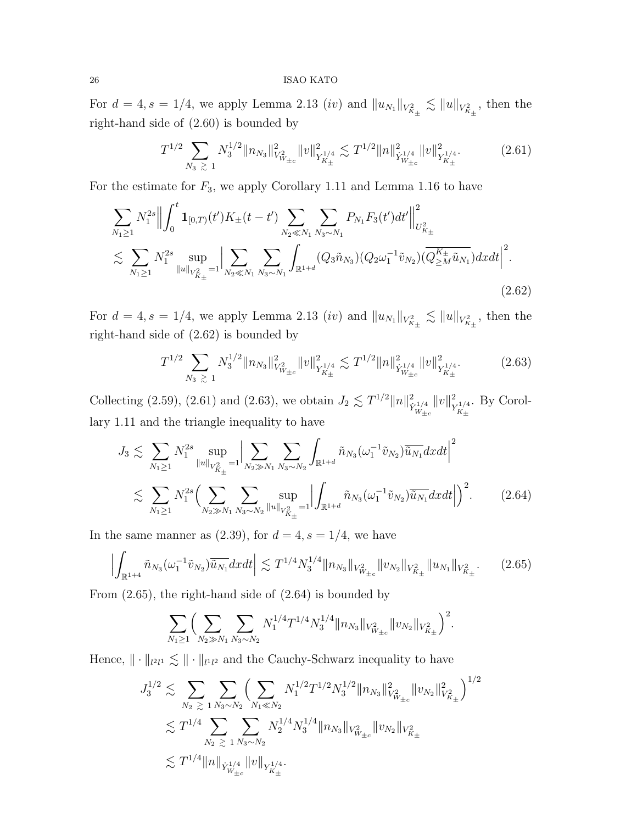For  $d = 4$ ,  $s = 1/4$ , we apply Lemma 2.13 *(iv)* and  $||u_{N_1}||_{V_{K_{\pm}}^2} \lesssim ||u||_{V_{K_{\pm}}^2}$ , then the right-hand side of (2.60) is bounded by

$$
T^{1/2} \sum_{N_3 \geq 1} N_3^{1/2} \|n_{N_3}\|_{V^2_{W_{\pm c}}}^2 \|v\|_{Y^{1/4}_{K_\pm}}^2 \lesssim T^{1/2} \|n\|_{\dot{Y}^{1/4}_{W_{\pm c}}}^2 \|v\|_{Y^{1/4}_{K_\pm}}^2. \tag{2.61}
$$

For the estimate for  $F_3$ , we apply Corollary 1.11 and Lemma 1.16 to have

$$
\sum_{N_1 \ge 1} N_1^{2s} \left\| \int_0^t \mathbf{1}_{[0,T)}(t') K_{\pm}(t-t') \sum_{N_2 \ll N_1} \sum_{N_3 \sim N_1} P_{N_1} F_3(t') dt' \right\|_{U_{K_{\pm}}^2}^2
$$
\n
$$
\lesssim \sum_{N_1 \ge 1} N_1^{2s} \sup_{\|u\|_{V_{K_{\pm}}^2} = 1} \left| \sum_{N_2 \ll N_1} \sum_{N_3 \sim N_1} \int_{\mathbb{R}^{1+d}} (Q_3 \tilde{n}_{N_3}) (Q_2 \omega_1^{-1} \tilde{v}_{N_2}) (\overline{Q_{\ge M}^{K_{\pm}} \tilde{u}_{N_1}}) dx dt \right|^2.
$$
\n(2.62)

For  $d = 4$ ,  $s = 1/4$ , we apply Lemma 2.13 *(iv)* and  $||u_{N_1}||_{V_{K_{\pm}}^2} \lesssim ||u||_{V_{K_{\pm}}^2}$ , then the right-hand side of (2.62) is bounded by

$$
T^{1/2} \sum_{N_3 \geq 1} N_3^{1/2} \|n_{N_3}\|_{V^2_{W_{\pm c}}}^2 \|v\|_{Y^{1/4}_{K_\pm}}^2 \lesssim T^{1/2} \|n\|_{\dot{Y}^{1/4}_{W_{\pm c}}}^2 \|v\|_{Y^{1/4}_{K_\pm}}^2. \tag{2.63}
$$

Collecting (2.59), (2.61) and (2.63), we obtain  $J_2 \lesssim T^{1/2} ||n||_{\mathcal{R}}^2$  $\dot Y^{1/4}_{W_{\pm c}}$  $||v||^2$  $Y^{1/4}_{K_\pm}$ . By Corollary 1.11 and the triangle inequality to have

$$
J_3 \lesssim \sum_{N_1 \ge 1} N_1^{2s} \sup_{\|u\|_{V_{K_{\pm}}^2} = 1} \Big| \sum_{N_2 \gg N_1} \sum_{N_3 \sim N_2} \int_{\mathbb{R}^{1+d}} \tilde{n}_{N_3}(\omega_1^{-1} \tilde{v}_{N_2}) \overline{\tilde{u}_{N_1}} dx dt \Big|^2
$$
  

$$
\lesssim \sum_{N_1 \ge 1} N_1^{2s} \Big( \sum_{N_2 \gg N_1} \sum_{N_3 \sim N_2} \sup_{\|u\|_{V_{K_{\pm}}^2} = 1} \Big| \int_{\mathbb{R}^{1+d}} \tilde{n}_{N_3}(\omega_1^{-1} \tilde{v}_{N_2}) \overline{\tilde{u}_{N_1}} dx dt \Big| \Big)^2.
$$
 (2.64)

In the same manner as  $(2.39)$ , for  $d = 4$ ,  $s = 1/4$ , we have

$$
\left| \int_{\mathbb{R}^{1+4}} \tilde{n}_{N_3}(\omega_1^{-1}\tilde{v}_{N_2}) \overline{\tilde{u}_{N_1}} dxdt \right| \lesssim T^{1/4} N_3^{1/4} \|n_{N_3}\|_{V^2_{W_{\pm c}}} \|v_{N_2}\|_{V^2_{K_\pm}} \|u_{N_1}\|_{V^2_{K_\pm}}.
$$
 (2.65)

From (2.65), the right-hand side of (2.64) is bounded by

$$
\sum_{N_1 \geq 1} \Big( \sum_{N_2 \gg N_1} \sum_{N_3 \sim N_2} N_1^{1/4} T^{1/4} N_3^{1/4} ||n_{N_3}||_{V^2_{W_{\pm c}}} ||v_{N_2}||_{V^2_{K_{\pm}}} \Big)^2.
$$

Hence,  $\|\cdot\|_{l^2l^1} \lesssim \|\cdot\|_{l^1l^2}$  and the Cauchy-Schwarz inequality to have

$$
J_3^{1/2} \lesssim \sum_{N_2} \sum_{\geq 1} \sum_{N_3 \sim N_2} \left( \sum_{N_1 \ll N_2} N_1^{1/2} T^{1/2} N_3^{1/2} \|n_{N_3}\|_{V^2_{W_{\pm c}}}^2 \|v_{N_2}\|_{V^2_{K_\pm}}^2 \right)^{1/2}
$$
  

$$
\lesssim T^{1/4} \sum_{N_2} \sum_{\geq 1} \sum_{N_3 \sim N_2} N_2^{1/4} N_3^{1/4} \|n_{N_3}\|_{V^2_{W_{\pm c}}} \|v_{N_2}\|_{V^2_{K_\pm}}
$$
  

$$
\lesssim T^{1/4} \|n\|_{\dot{Y}_{W_{\pm c}}^{1/4}} \|v\|_{Y_{K_\pm}^{1/4}}.
$$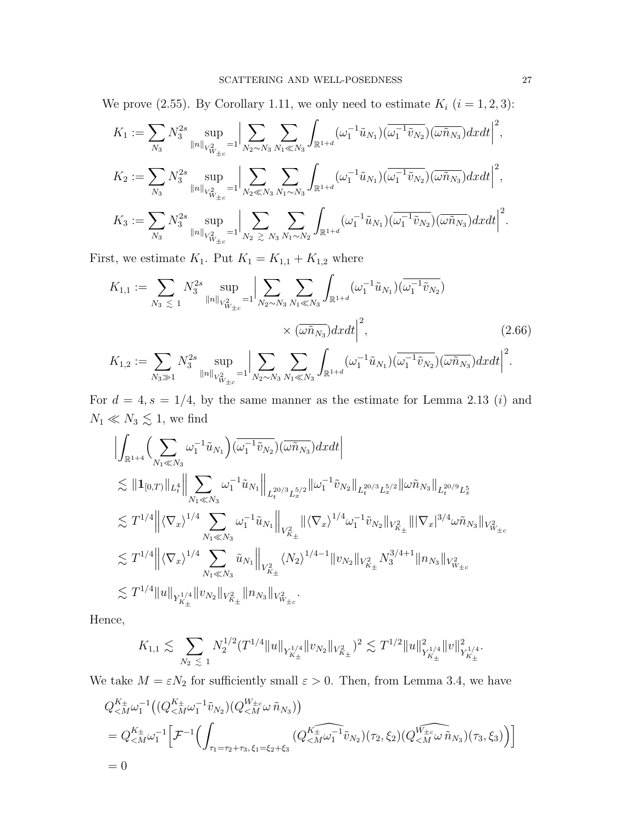We prove (2.55). By Corollary 1.11, we only need to estimate  $K_i$   $(i = 1, 2, 3)$ :

$$
K_1 := \sum_{N_3} N_3^{2s} \sup_{\|n\|_{V_{W_{\pm c}}^2} = 1} \Big| \sum_{N_2 \sim N_3} \sum_{N_1 \ll N_3} \int_{\mathbb{R}^{1+d}} (\omega_1^{-1} \tilde{u}_{N_1}) (\overline{\omega_1^{-1} \tilde{v}_{N_2}}) (\overline{\omega \tilde{n}_{N_3}}) dxdt \Big|^2,
$$
  
\n
$$
K_2 := \sum_{N_3} N_3^{2s} \sup_{\|n\|_{V_{W_{\pm c}}^2} = 1} \Big| \sum_{N_2 \ll N_3} \sum_{N_1 \sim N_3} \int_{\mathbb{R}^{1+d}} (\omega_1^{-1} \tilde{u}_{N_1}) (\overline{\omega_1^{-1} \tilde{v}_{N_2}}) (\overline{\omega \tilde{n}_{N_3}}) dxdt \Big|^2,
$$
  
\n
$$
K_3 := \sum_{N_3} N_3^{2s} \sup_{\|n\|_{V_{W_{\pm c}}^2} = 1} \Big| \sum_{N_2 \ \gtrsim N_3} \sum_{N_1 \sim N_2} \int_{\mathbb{R}^{1+d}} (\omega_1^{-1} \tilde{u}_{N_1}) (\overline{\omega_1^{-1} \tilde{v}_{N_2}}) (\overline{\omega \tilde{n}_{N_3}}) dxdt \Big|^2.
$$

First, we estimate  $K_1$ . Put  $K_1 = K_{1,1} + K_{1,2}$  where

$$
K_{1,1} := \sum_{N_3 \leq 1} N_3^{2s} \sup_{\|n\|_{V_{W\pm c}}^2} = 1 \Big| \sum_{N_2 \sim N_3} \sum_{N_1 \ll N_3} \int_{\mathbb{R}^{1+d}} (\omega_1^{-1} \tilde{u}_{N_1}) (\overline{\omega_1^{-1} \tilde{v}_{N_2}}) \times (\overline{\omega \tilde{n}_{N_3}}) dx dt \Big|^2,
$$
\n
$$
\times (\overline{\omega \tilde{n}_{N_3}}) dx dt \Big|^2,
$$
\n(2.66)\n
$$
K_{1,2} := \sum_{N_3 \gg 1} N_3^{2s} \sup_{\|n\|_{V_{W\pm c}}^2 = 1} \Big| \sum_{N_2 \sim N_3} \sum_{N_1 \ll N_3} \int_{\mathbb{R}^{1+d}} (\omega_1^{-1} \tilde{u}_{N_1}) (\overline{\omega_1^{-1} \tilde{v}_{N_2}}) (\overline{\omega \tilde{n}_{N_3}}) dx dt \Big|^2.
$$

For  $d = 4, s = 1/4$ , by the same manner as the estimate for Lemma 2.13 (*i*) and  $N_1 \ll N_3 \lesssim 1,$  we find

$$
\begin{aligned} &\Big|\int_{\mathbb{R}^{1+4}}\Big(\sum_{N_1\ll N_3}\omega_1^{-1}\tilde{u}_{N_1}\Big)(\overline{\omega_1^{-1}\tilde{v}_{N_2}})(\overline{\omega}\tilde{n}_{N_3})dxdt\Big|\\ &\lesssim \|{\bf 1}_{[0,T)}\|_{L^4_t}\Big\|\sum_{N_1\ll N_3}\omega_1^{-1}\tilde{u}_{N_1}\Big\|_{L^{20/3}_tL^{5/2}_x}\|\omega_1^{-1}\tilde{v}_{N_2}\|_{L^{20/3}_tL^{5/2}_x}\|\omega\tilde{n}_{N_3}\|_{L^{20/9}_tL^5_x}\\ &\lesssim T^{1/4}\Big\|\langle\nabla_x\rangle^{1/4}\sum_{N_1\ll N_3}\omega_1^{-1}\tilde{u}_{N_1}\Big\|_{V^2_{K_\pm}}\|\langle\nabla_x\rangle^{1/4}\omega_1^{-1}\tilde{v}_{N_2}\|_{V^2_{K_\pm}}\||\nabla_x|^{3/4}\omega\tilde{n}_{N_3}\|_{V^2_{W_{\pm c}}}\\ &\lesssim T^{1/4}\Big\|\langle\nabla_x\rangle^{1/4}\sum_{N_1\ll N_3}\tilde{u}_{N_1}\Big\|_{V^2_{K_\pm}}\langle N_2\rangle^{1/4-1}\|v_{N_2}\|_{V^2_{K_\pm}}N^{3/4+1}_3\|n_{N_3}\|_{V^2_{W_{\pm c}}}\\ &\lesssim T^{1/4}\|u\|_{Y^{1/4}_{K_\pm}}\|v_{N_2}\|_{V^2_{K_\pm}}\|n_{N_3}\|_{V^2_{W_{\pm c}}}.\end{aligned}
$$

Hence,

$$
K_{1,1} \lesssim \sum_{N_2 \lesssim 1} N_2^{1/2} (T^{1/4} \|u\|_{Y^{1/4}_{K_\pm}} \|v_{N_2}\|_{V^2_{K_\pm}})^2 \lesssim T^{1/2} \|u\|_{Y^{1/4}_{K_\pm}}^2 \|v\|_{Y^{1/4}_{K_\pm}}^2.
$$

We take  $M = \varepsilon N_2$  for sufficiently small  $\varepsilon > 0$ . Then, from Lemma 3.4, we have

$$
Q_{\langle M}^{K_{\pm}} \omega_{1}^{-1} \Big( (Q_{\langle M}^{K_{\pm}} \omega_{1}^{-1} \tilde{v}_{N_{2}}) (Q_{\langle M}^{W_{\pm c}} \omega \tilde{n}_{N_{3}}) \Big) = Q_{\langle M}^{K_{\pm}} \omega_{1}^{-1} \Big[ \mathcal{F}^{-1} \Big( \int_{\tau_{1} = \tau_{2} + \tau_{3}, \xi_{1} = \xi_{2} + \xi_{3}} (Q_{\langle M}^{K_{\pm}} \omega_{1}^{-1} \tilde{v}_{N_{2}}) (\tau_{2}, \xi_{2}) (Q_{\langle M}^{W_{\pm c}} \omega \tilde{n}_{N_{3}}) (\tau_{3}, \xi_{3}) \Big) \Big] = 0
$$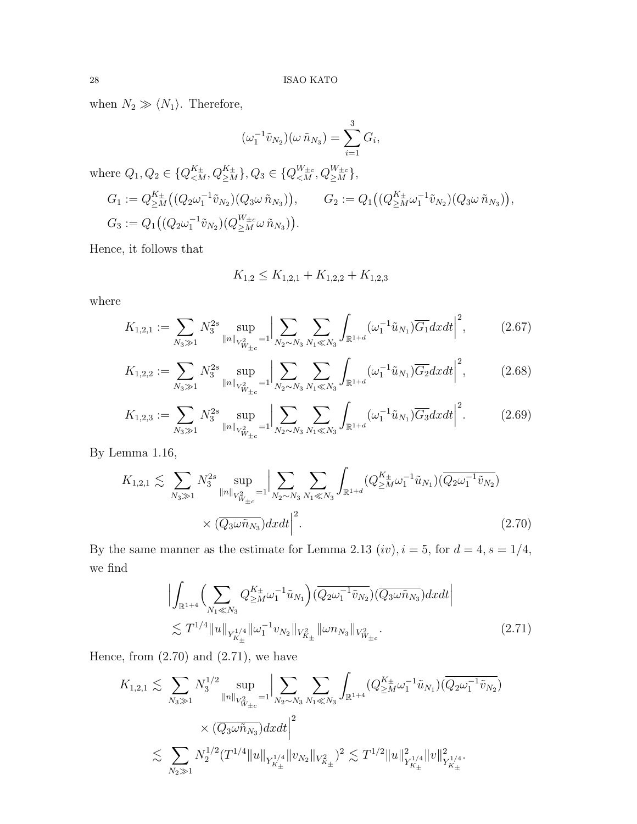when  $N_2 \gg \langle N_1 \rangle$ . Therefore,

$$
(\omega_1^{-1}\tilde{v}_{N_2})(\omega \tilde{n}_{N_3}) = \sum_{i=1}^3 G_i,
$$
  
where  $Q_1, Q_2 \in \{Q_{  

$$
G_1 := Q_{\geq M}^{K_{\pm}}((Q_2\omega_1^{-1}\tilde{v}_{N_2})(Q_3\omega \tilde{n}_{N_3})), \qquad G_2 := Q_1((Q_{\geq M}^{K_{\pm}}\omega_1^{-1}\tilde{v}_{N_2})(Q_3\omega \tilde{n}_{N_3})),
$$

$$
G_3 := Q_1((Q_2\omega_1^{-1}\tilde{v}_{N_2})(Q_{\geq M}^{W_{\pm c}}\omega \tilde{n}_{N_3})).
$$$ 

Hence, it follows that

$$
K_{1,2} \le K_{1,2,1} + K_{1,2,2} + K_{1,2,3}
$$

where

$$
K_{1,2,1} := \sum_{N_3 \gg 1} N_3^{2s} \sup_{\|n\|_{V_{W_{\pm c}}^2} = 1} \left| \sum_{N_2 \sim N_3} \sum_{N_1 \ll N_3} \int_{\mathbb{R}^{1+d}} (\omega_1^{-1} \tilde{u}_{N_1}) \overline{G_1} dx dt \right|^2, \tag{2.67}
$$

$$
K_{1,2,2} := \sum_{N_3 \gg 1} N_3^{2s} \sup_{\|n\|_{V_{W\pm c}}^2} = 1 \left| \sum_{N_2 \sim N_3} \sum_{N_1 \ll N_3} \int_{\mathbb{R}^{1+d}} (\omega_1^{-1} \tilde{u}_{N_1}) \overline{G_2} dx dt \right|^2, \tag{2.68}
$$

$$
K_{1,2,3} := \sum_{N_3 \gg 1} N_3^{2s} \sup_{\|n\|_{V_{W\pm c}^2}} = 1 \left| \sum_{N_2 \sim N_3} \sum_{N_1 \ll N_3} \int_{\mathbb{R}^{1+d}} (\omega_1^{-1} \tilde{u}_{N_1}) \overline{G_3} dx dt \right|^2.
$$
 (2.69)

By Lemma 1.16,

$$
K_{1,2,1} \lesssim \sum_{N_3 \gg 1} N_3^{2s} \sup_{\|n\|_{V_{W_{\pm c}}^2} = 1} \Big| \sum_{N_2 \sim N_3} \sum_{N_1 \ll N_3} \int_{\mathbb{R}^{1+d}} (Q_{\geq M}^{K_{\pm}} \omega_1^{-1} \tilde{u}_{N_1}) (\overline{Q_2 \omega_1^{-1} \tilde{v}_{N_2}}) \times (\overline{Q_3 \omega \tilde{n}_{N_3}}) dx dt \Big|^2.
$$
\n(2.70)

By the same manner as the estimate for Lemma 2.13  $(iv), i = 5$ , for  $d = 4, s = 1/4$ , we find

$$
\left| \int_{\mathbb{R}^{1+4}} \left( \sum_{N_1 \ll N_3} Q_{\geq M}^{K_{\pm}} \omega_1^{-1} \tilde{u}_{N_1} \right) (\overline{Q_2 \omega_1^{-1} \tilde{v}_{N_2}}) (\overline{Q_3 \omega \tilde{n}_{N_3}}) dx dt \right|
$$
  

$$
\lesssim T^{1/4} \|u\|_{Y_{K_{\pm}}^{1/4}} \|\omega_1^{-1} v_{N_2}\|_{V_{K_{\pm}}^2} \|\omega n_{N_3}\|_{V_{W_{\pm c}}^2}.
$$
 (2.71)

Hence, from  $(2.70)$  and  $(2.71)$ , we have

$$
K_{1,2,1} \lesssim \sum_{N_3 \gg 1} N_3^{1/2} \sup_{\|n\|_{V_{W\pm c}^2} = 1} \Big| \sum_{N_2 \sim N_3} \sum_{N_1 \ll N_3} \int_{\mathbb{R}^{1+4}} (Q_{\geq M}^{K_{\pm}} \omega_1^{-1} \tilde{u}_{N_1}) (\overline{Q_2 \omega_1^{-1} \tilde{v}_{N_2}}) \times (\overline{Q_3 \omega \tilde{n}_{N_3}}) dxdt \Big|^2 \lesssim \sum_{N_2 \gg 1} N_2^{1/2} (T^{1/4} \|u\|_{Y_{K_{\pm}}^{1/4}} \|v_{N_2}\|_{V_{K_{\pm}}^2})^2 \lesssim T^{1/2} \|u\|_{Y_{K_{\pm}}^{1/4}}^2 \|v\|_{Y_{K_{\pm}}^{1/4}}^2.
$$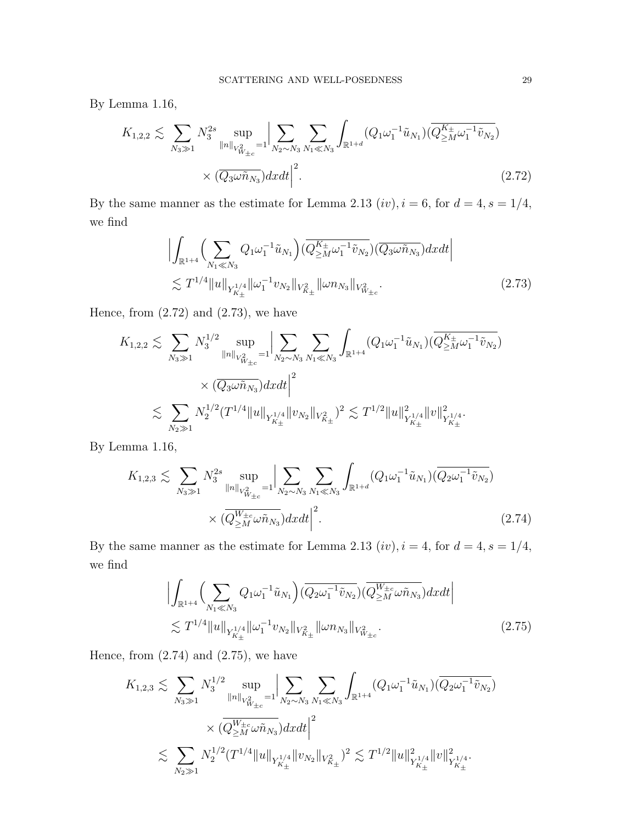By Lemma 1.16,

$$
K_{1,2,2} \lesssim \sum_{N_3 \gg 1} N_3^{2s} \sup_{\|n\|_{V_{W_{\pm c}}^2} = 1} \Big| \sum_{N_2 \sim N_3} \sum_{N_1 \ll N_3} \int_{\mathbb{R}^{1+d}} (Q_1 \omega_1^{-1} \tilde{u}_{N_1}) (\overline{Q_{\geq M}^{K_{\pm}} \omega_1^{-1} \tilde{v}_{N_2}}) \times (\overline{Q_3 \omega \tilde{n}_{N_3}}) dx dt \Big|^2.
$$
\n(2.72)

By the same manner as the estimate for Lemma 2.13  $(iv)$ ,  $i = 6$ , for  $d = 4$ ,  $s = 1/4$ , we find

$$
\left| \int_{\mathbb{R}^{1+4}} \left( \sum_{N_1 \ll N_3} Q_1 \omega_1^{-1} \tilde{u}_{N_1} \right) (\overline{Q_{\geq M}^{K_{\pm}}} \omega_1^{-1} \tilde{v}_{N_2}) (\overline{Q_3 \omega \tilde{n}_{N_3}}) dxdt \right|
$$
  

$$
\lesssim T^{1/4} \|u\|_{Y_{K_{\pm}}^{1/4}} \|\omega_1^{-1} v_{N_2}\|_{V_{K_{\pm}}^2} \|\omega n_{N_3}\|_{V_{W_{\pm}c}^2}.
$$
 (2.73)

Hence, from  $(2.72)$  and  $(2.73)$ , we have

$$
K_{1,2,2} \lesssim \sum_{N_3 \gg 1} N_3^{1/2} \sup_{\|n\|_{V_{W_{\pm c}}^2} = 1} \Big| \sum_{N_2 \sim N_3} \sum_{N_1 \ll N_3} \int_{\mathbb{R}^{1+4}} (Q_1 \omega_1^{-1} \tilde{u}_{N_1}) (\overline{Q_{\geq M}^{K_{\pm}}} \omega_1^{-1} \tilde{v}_{N_2})
$$
  
\$\times (\overline{Q\_3 \omega \tilde{n}\_{N\_3}}) dxdt \Big|^2\$  
\$\lesssim \sum\_{N\_2 \gg 1} N\_2^{1/2} (T^{1/4} \|u\|\_{Y\_{K\_{\pm}}^{1/4}} \|v\_{N\_2}\|\_{V\_{K\_{\pm}}^2})^2 \lesssim T^{1/2} \|u\|\_{Y\_{K\_{\pm}}^{1/4}}^2 \|v\|\_{Y\_{K\_{\pm}}^{1/4}}^2.

By Lemma 1.16,

$$
K_{1,2,3} \lesssim \sum_{N_3 \gg 1} N_3^{2s} \sup_{\|n\|_{V_{W_{\pm c}}^2} = 1} \Big| \sum_{N_2 \sim N_3} \sum_{N_1 \ll N_3} \int_{\mathbb{R}^{1+d}} (Q_1 \omega_1^{-1} \tilde{u}_{N_1}) (\overline{Q_2 \omega_1^{-1} \tilde{v}_{N_2}}) \times (\overline{Q_{\geq M}^{W_{\pm c}} \omega \tilde{n}_{N_3}}) dx dt \Big|^2.
$$
 (2.74)

By the same manner as the estimate for Lemma 2.13  $(iv), i = 4$ , for  $d = 4, s = 1/4$ , we find

$$
\left| \int_{\mathbb{R}^{1+4}} \left( \sum_{N_1 \ll N_3} Q_1 \omega_1^{-1} \tilde{u}_{N_1} \right) (\overline{Q_2 \omega_1^{-1} \tilde{v}_{N_2}}) (\overline{Q_{\geq M}^{W_{\pm c}} \omega \tilde{n}_{N_3}}) dx dt \right|
$$
  
 
$$
\lesssim T^{1/4} \|u\|_{Y_{K_{\pm}}^{1/4}} \|\omega_1^{-1} v_{N_2}\|_{V_{K_{\pm}}^2} \|\omega n_{N_3}\|_{V_{W_{\pm c}}^2}.
$$
 (2.75)

Hence, from  $(2.74)$  and  $(2.75)$ , we have

$$
K_{1,2,3} \lesssim \sum_{N_3 \gg 1} N_3^{1/2} \sup_{\|n\|_{V_{W_{\pm c}}^2} = 1} \Big| \sum_{N_2 \sim N_3} \sum_{N_1 \ll N_3} \int_{\mathbb{R}^{1+4}} (Q_1 \omega_1^{-1} \tilde{u}_{N_1}) (\overline{Q_2 \omega_1^{-1} \tilde{v}_{N_2}}) \times \left. \frac{\overline{Q}_{\geq M}^{W_{\pm c}} \omega \tilde{n}_{N_3}}{\omega_2^{W_{\pm c}} \omega \tilde{n}_{N_3}} \right) dx dt \Big|^2 \lesssim \sum_{N_2 \gg 1} N_2^{1/2} (T^{1/4} \|u\|_{Y_{K_{\pm}}^{1/4}} \|v_{N_2}\|_{V_{K_{\pm}}^2})^2 \lesssim T^{1/2} \|u\|_{Y_{K_{\pm}}^{1/4}}^2 \|v\|_{Y_{K_{\pm}}^{1/4}}^2.
$$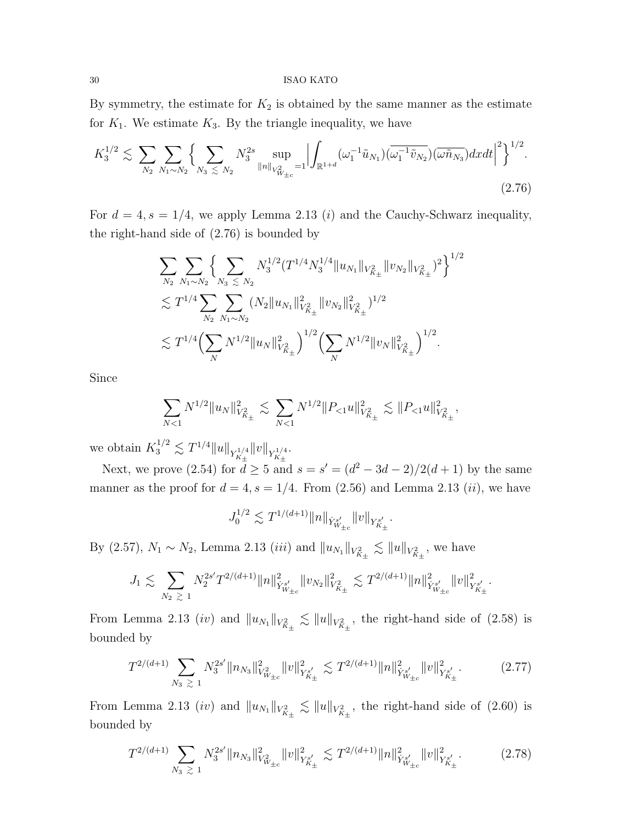By symmetry, the estimate for  $K_2$  is obtained by the same manner as the estimate for  $K_1$ . We estimate  $K_3$ . By the triangle inequality, we have

$$
K_3^{1/2} \lesssim \sum_{N_2} \sum_{N_1 \sim N_2} \Big\{ \sum_{N_3 \lesssim N_2} N_3^{2s} \sup_{\|n\|_{V_{W_{\pm c}}^2} = 1} \Big| \int_{\mathbb{R}^{1+d}} (\omega_1^{-1} \tilde{u}_{N_1}) (\overline{\omega_1^{-1} \tilde{v}_{N_2}}) (\overline{\omega \tilde{n}_{N_3}}) dx dt \Big|^2 \Big\}^{1/2}.
$$
\n(2.76)

For  $d = 4$ ,  $s = 1/4$ , we apply Lemma 2.13 (*i*) and the Cauchy-Schwarz inequality, the right-hand side of (2.76) is bounded by

$$
\sum_{N_2} \sum_{N_1 \sim N_2} \left\{ \sum_{N_3 \le N_2} N_3^{1/2} (T^{1/4} N_3^{1/4} ||u_{N_1}||_{V_{K_\pm}^2} ||v_{N_2}||_{V_{K_\pm}^2})^2 \right\}^{1/2} \n\lesssim T^{1/4} \sum_{N_2} \sum_{N_1 \sim N_2} (N_2 ||u_{N_1}||_{V_{K_\pm}^2}^2 ||v_{N_2}||_{V_{K_\pm}^2}^2)^{1/2} \n\lesssim T^{1/4} \Big( \sum_N N^{1/2} ||u_N||_{V_{K_\pm}^2}^2 \Big)^{1/2} \Big( \sum_N N^{1/2} ||v_N||_{V_{K_\pm}^2}^2 \Big)^{1/2} .
$$

Since

$$
\sum_{N<1} N^{1/2} \|u_N\|_{V_{K_\pm}^2}^2 \lesssim \sum_{N<1} N^{1/2} \|P_{<1} u\|_{V_{K_\pm}^2}^2 \lesssim \|P_{<1} u\|_{V_{K_\pm}^2}^2,
$$

we obtain  $K_3^{1/2} \lesssim T^{1/4} \|u\|_{Y^{1/4}_{K_\pm}} \|v\|_{Y^{1/4}_{K_\pm}}.$ 

Next, we prove (2.54) for  $d \ge 5$  and  $s = s' = (d^2 - 3d - 2)/2(d+1)$  by the same manner as the proof for  $d = 4$ ,  $s = 1/4$ . From  $(2.56)$  and Lemma 2.13  $(ii)$ , we have

$$
J_0^{1/2} \lesssim T^{1/(d+1)} \|n\|_{\dot Y^{s'}_{W_{\pm c}}} \|v\|_{Y^{s'}_{K_\pm}}.
$$

By (2.57),  $N_1 \sim N_2$ , Lemma 2.13 *(iii)* and  $||u_{N_1}||_{V_{K_{\pm}}^2} \lesssim ||u||_{V_{K_{\pm}}^2}$ , we have

$$
J_1 \lesssim \sum_{N_2 \ \gtrsim \ 1} N_2^{2s'} T^{2/(d+1)} \|n\|_{\dot Y^{s'}_{W_{\pm c}}}^2 \|v_{N_2}\|_{V^2_{K_\pm}}^2 \lesssim T^{2/(d+1)} \|n\|_{\dot Y^{s'}_{W_{\pm c}}}^2 \|v\|_{Y^{s'}_{K_\pm}}^2.
$$

From Lemma 2.13 *(iv)* and  $||u_{N_1}||_{V^2_{K_\pm}} \lesssim ||u||_{V^2_{K_\pm}}$ , the right-hand side of (2.58) is bounded by

$$
T^{2/(d+1)} \sum_{N_3 \geq 1} N_3^{2s'} \|n_{N_3}\|_{V^2_{W_{\pm c}}}^2 \|v\|_{Y^{s'}_{K_\pm}}^2 \lesssim T^{2/(d+1)} \|n\|_{Y^{s'}_{W_{\pm c}}}^2 \|v\|_{Y^{s'}_{K_\pm}}^2. \tag{2.77}
$$

From Lemma 2.13 *(iv)* and  $||u_{N_1}||_{V^2_{K_\pm}} \lesssim ||u||_{V^2_{K_\pm}}$ , the right-hand side of (2.60) is bounded by

$$
T^{2/(d+1)} \sum_{N_3 \ \gtrsim \ 1} N_3^{2s'} \|n_{N_3}\|_{V^2_{W_{\pm c}}}^2 \|v\|_{Y^{s'}_{K_\pm}}^2 \lesssim T^{2/(d+1)} \|n\|_{\dot{Y}^{s'}_{W_{\pm c}}}^2 \|v\|_{Y^{s'}_{K_\pm}}^2. \tag{2.78}
$$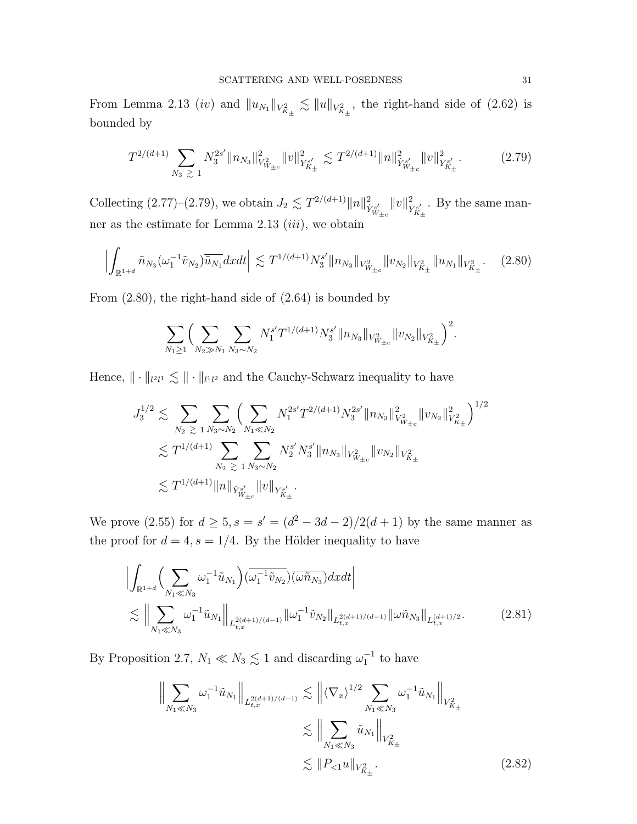From Lemma 2.13 *(iv)* and  $||u_{N_1}||_{V^2_{K_\pm}} \lesssim ||u||_{V^2_{K_\pm}}$ , the right-hand side of (2.62) is bounded by

$$
T^{2/(d+1)} \sum_{N_3 \geq 1} N_3^{2s'} \|n_{N_3}\|_{V^2_{W_{\pm c}}}^2 \|v\|_{Y^{s'}_{K_\pm}}^2 \lesssim T^{2/(d+1)} \|n\|_{Y^{s'}_{W_{\pm c}}}^2 \|v\|_{Y^{s'}_{K_\pm}}^2. \tag{2.79}
$$

Collecting (2.77)–(2.79), we obtain  $J_2 \lesssim T^{2/(d+1)} \|n\|_{\dot{Y}_{W_{\pm c}}^{s'}}^2$  $||v||^2$  $Y^{s'}_{K_{\pm}}$ . By the same manner as the estimate for Lemma 2.13  $(iii)$ , we obtain

$$
\left| \int_{\mathbb{R}^{1+d}} \tilde{n}_{N_3}(\omega_1^{-1}\tilde{v}_{N_2}) \overline{\tilde{u}_{N_1}} dxdt \right| \lesssim T^{1/(d+1)} N_3^{s'} \|n_{N_3}\|_{V^2_{W_{\pm c}}} \|v_{N_2}\|_{V^2_{K_\pm}} \|u_{N_1}\|_{V^2_{K_\pm}}.
$$
 (2.80)

From (2.80), the right-hand side of (2.64) is bounded by

$$
\sum_{N_1 \geq 1} \Big( \sum_{N_2 \gg N_1} \sum_{N_3 \sim N_2} N_1^{s'} T^{1/(d+1)} N_3^{s'} \|n_{N_3}\|_{V^2_{W_{\pm c}}} \|v_{N_2}\|_{V^2_{K_\pm}} \Big)^2.
$$

Hence,  $\|\cdot\|_{l^2l^1} \lesssim \|\cdot\|_{l^1l^2}$  and the Cauchy-Schwarz inequality to have

$$
J_3^{1/2} \lesssim \sum_{N_2 \geq 1} \sum_{N_3 \sim N_2} \Biggl( \sum_{N_1 \ll N_2} N_1^{2s'} T^{2/(d+1)} N_3^{2s'} \|n_{N_3}\|_{V^2_{W_{\pm c}}}^2 \|v_{N_2}\|_{V^2_{K_\pm}}^2 \Biggr)^{1/2}
$$
  

$$
\lesssim T^{1/(d+1)} \sum_{N_2 \geq 1} \sum_{N_3 \sim N_2} N_2^{s'} N_3^{s'} \|n_{N_3}\|_{V^2_{W_{\pm c}}} \|v_{N_2}\|_{V^2_{K_\pm}}
$$
  

$$
\lesssim T^{1/(d+1)} \|n\|_{\dot{Y}^{s'}_{W_{\pm c}}} \|v\|_{Y^{s'}_{K_\pm}}.
$$

We prove (2.55) for  $d \geq 5$ ,  $s = s' = (d^2 - 3d - 2)/2(d+1)$  by the same manner as the proof for  $d = 4, s = 1/4$ . By the Hölder inequality to have

$$
\left| \int_{\mathbb{R}^{1+d}} \left( \sum_{N_1 \ll N_3} \omega_1^{-1} \tilde{u}_{N_1} \right) (\overline{\omega_1^{-1} \tilde{v}_{N_2}}) (\overline{\omega \tilde{n}_{N_3}}) dx dt \right|
$$
  
 
$$
\lesssim \left\| \sum_{N_1 \ll N_3} \omega_1^{-1} \tilde{u}_{N_1} \right\|_{L_{t,x}^{2(d+1)/(d-1)}} \left\| \omega_1^{-1} \tilde{v}_{N_2} \right\|_{L_{t,x}^{2(d+1)/(d-1)}} \left\| \omega \tilde{n}_{N_3} \right\|_{L_{t,x}^{(d+1)/2}}.
$$
 (2.81)

By Proposition 2.7,  $N_1 \ll N_3 \lesssim 1$  and discarding  $\omega_1^{-1}$  to have

$$
\left\| \sum_{N_1 \ll N_3} \omega_1^{-1} \tilde{u}_{N_1} \right\|_{L_{t,x}^{2(d+1)/(d-1)}} \lesssim \left\| \langle \nabla_x \rangle^{1/2} \sum_{N_1 \ll N_3} \omega_1^{-1} \tilde{u}_{N_1} \right\|_{V_{K_{\pm}}^2}
$$

$$
\lesssim \left\| \sum_{N_1 \ll N_3} \tilde{u}_{N_1} \right\|_{V_{K_{\pm}}^2}
$$

$$
\lesssim \| P_{\leq 1} u \|_{V_{K_{\pm}}^2}.
$$
(2.82)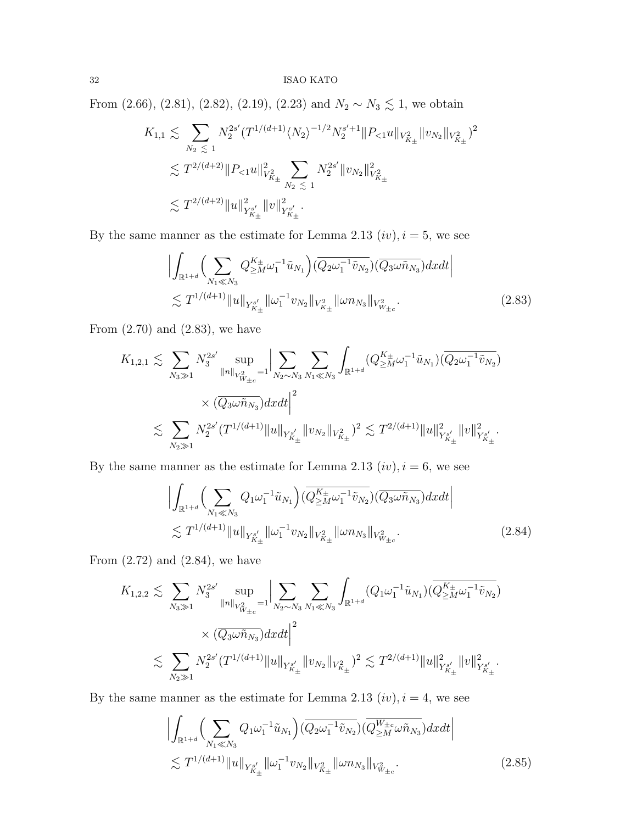From (2.66), (2.81), (2.82), (2.19), (2.23) and  $N_2 \sim N_3 \lesssim 1$ , we obtain

$$
K_{1,1} \lesssim \sum_{N_2 \leq 1} N_2^{2s'} (T^{1/(d+1)} \langle N_2 \rangle^{-1/2} N_2^{s'+1} ||P_{<1} u||_{V_{K_\pm}^2} ||v_{N_2}||_{V_{K_\pm}^2})^2
$$
  

$$
\lesssim T^{2/(d+2)} ||P_{<1} u||_{V_{K_\pm}^2}^2 \sum_{N_2 \leq 1} N_2^{2s'} ||v_{N_2}||_{V_{K_\pm}^2}^2
$$
  

$$
\lesssim T^{2/(d+2)} ||u||_{Y_{K_\pm}^{s'}}^2 ||v||_{Y_{K_\pm}^{s'}}^2.
$$

By the same manner as the estimate for Lemma 2.13  $(iv), i = 5$ , we see

$$
\left| \int_{\mathbb{R}^{1+d}} \left( \sum_{N_1 \ll N_3} Q_{\geq M}^{K_{\pm}} \omega_1^{-1} \tilde{u}_{N_1} \right) (\overline{Q_2 \omega_1^{-1} \tilde{v}_{N_2}}) (\overline{Q_3 \omega \tilde{n}_{N_3}}) dx dt \right|
$$
  

$$
\lesssim T^{1/(d+1)} \|u\|_{Y^{s'}_{K_{\pm}}} \| \omega_1^{-1} v_{N_2} \|_{V^2_{K_{\pm}}} \| \omega n_{N_3} \|_{V^2_{W_{\pm c}}}.
$$
 (2.83)

From  $(2.70)$  and  $(2.83)$ , we have

$$
K_{1,2,1} \lesssim \sum_{N_3 \gg 1} N_3^{2s'} \sup_{\|n\|_{V^2_{W_{\pm c}}}} \Big| \sum_{N_2 \sim N_3} \sum_{N_1 \ll N_3} \int_{\mathbb{R}^{1+d}} (Q_{\geq M}^{K_{\pm}} \omega_1^{-1} \tilde{u}_{N_1}) (\overline{Q_2 \omega_1^{-1} \tilde{v}_{N_2}}) \times (\overline{Q_3 \omega \tilde{n}_{N_3}}) dxdt \Big|^2 \lesssim \sum_{N_2 \gg 1} N_2^{2s'} (T^{1/(d+1)} \|u\|_{Y^{s'}_{K_{\pm}}} \|v_{N_2}\|_{V^2_{K_{\pm}}} )^2 \lesssim T^{2/(d+1)} \|u\|_{Y^{s'}_{K_{\pm}}}^2 \|v\|_{Y^{s'}_{K_{\pm}}}^2.
$$

By the same manner as the estimate for Lemma 2.13  $(iv), i = 6$ , we see

$$
\left| \int_{\mathbb{R}^{1+d}} \left( \sum_{N_1 \ll N_3} Q_1 \omega_1^{-1} \tilde{u}_{N_1} \right) \left( Q_{\geq M}^{K_{\pm}} \omega_1^{-1} \tilde{v}_{N_2} \right) \left( Q_3 \omega \tilde{n}_{N_3} \right) dx dt \right|
$$
  

$$
\lesssim T^{1/(d+1)} \|u\|_{Y^{s'}_{K_{\pm}}} \| \omega_1^{-1} v_{N_2} \|_{V^2_{K_{\pm}}} \| \omega n_{N_3} \|_{V^2_{W_{\pm c}}}.
$$
 (2.84)

From  $(2.72)$  and  $(2.84)$ , we have

$$
K_{1,2,2} \lesssim \sum_{N_3 \gg 1} N_3^{2s'} \sup_{\|n\|_{V^2_{W_{\pm c}}}} \Big| \sum_{N_2 \sim N_3} \sum_{N_1 \ll N_3} \int_{\mathbb{R}^{1+d}} (Q_1 \omega_1^{-1} \tilde{u}_{N_1}) (\overline{Q_{\geq M}^{K_{\pm}} \omega_1^{-1} \tilde{v}_{N_2}}) \times (\overline{Q_3 \omega \tilde{n}_{N_3}}) dxdt \Big|^2 \lesssim \sum_{N_2 \gg 1} N_2^{2s'} (T^{1/(d+1)} \|u\|_{Y^{s'}_{K_{\pm}}} \|v_{N_2}\|_{V^2_{K_{\pm}}} )^2 \lesssim T^{2/(d+1)} \|u\|_{Y^{s'}_{K_{\pm}}}^2 \|v\|_{Y^{s'}_{K_{\pm}}}^2.
$$

By the same manner as the estimate for Lemma 2.13  $(iv)$ ,  $i = 4$ , we see

$$
\left| \int_{\mathbb{R}^{1+d}} \left( \sum_{N_1 \ll N_3} Q_1 \omega_1^{-1} \tilde{u}_{N_1} \right) (\overline{Q_2 \omega_1^{-1} \tilde{v}_{N_2}}) (\overline{Q_{\geq M}^{W_{\pm c}} \omega \tilde{n}_{N_3}}) dx dt \right|
$$
  
 
$$
\lesssim T^{1/(d+1)} \|u\|_{Y^{s'}_{K_{\pm}}} \| \omega_1^{-1} v_{N_2} \|_{V^2_{K_{\pm}}} \| \omega n_{N_3} \|_{V^2_{W_{\pm c}}}.
$$
 (2.85)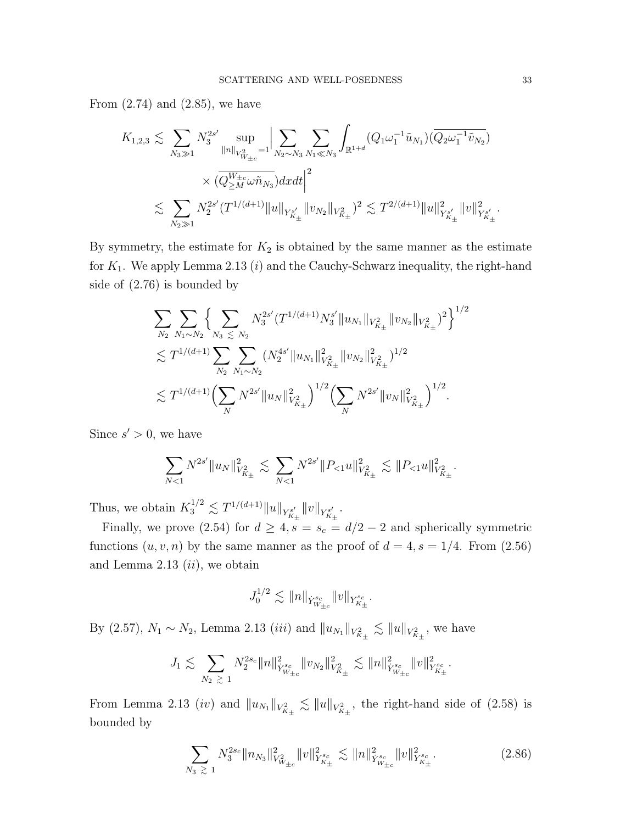From  $(2.74)$  and  $(2.85)$ , we have

$$
K_{1,2,3} \lesssim \sum_{N_3 \gg 1} N_3^{2s'} \sup_{\|n\|_{V_{W_{\pm c}}^2} = 1} \Big| \sum_{N_2 \sim N_3} \sum_{N_1 \ll N_3} \int_{\mathbb{R}^{1+d}} (Q_1 \omega_1^{-1} \tilde{u}_{N_1}) (\overline{Q_2 \omega_1^{-1} \tilde{v}_{N_2}}) \times (\overline{Q_{\geq M}^{W_{\pm c}} \omega \tilde{n}_{N_3}}) dxdt \Big|^2 \lesssim \sum_{N_2 \gg 1} N_2^{2s'} (T^{1/(d+1)} \|u\|_{Y_{K_{\pm}}^{s'}} \|v_{N_2}\|_{V_{K_{\pm}}^2})^2 \lesssim T^{2/(d+1)} \|u\|_{Y_{K_{\pm}}^{s'}}^2 \|v\|_{Y_{K_{\pm}}^{s'}}^{2}.
$$

By symmetry, the estimate for  $K_2$  is obtained by the same manner as the estimate for  $K_1$ . We apply Lemma 2.13 (*i*) and the Cauchy-Schwarz inequality, the right-hand side of (2.76) is bounded by

$$
\sum_{N_2} \sum_{N_1 \sim N_2} \Big\{ \sum_{N_3 \le N_2} N_3^{2s'} (T^{1/(d+1)} N_3^{s'} \|u_{N_1}\|_{V_{K_{\pm}}^2} \|v_{N_2}\|_{V_{K_{\pm}}^2})^2 \Big\}^{1/2} \n\lesssim T^{1/(d+1)} \sum_{N_2} \sum_{N_1 \sim N_2} (N_2^{4s'} \|u_{N_1}\|_{V_{K_{\pm}}^2}^2 \|v_{N_2}\|_{V_{K_{\pm}}^2}^2)^{1/2} \n\lesssim T^{1/(d+1)} \Big(\sum_N N^{2s'} \|u_N\|_{V_{K_{\pm}}^2}^2\Big)^{1/2} \Big(\sum_N N^{2s'} \|v_N\|_{V_{K_{\pm}}^2}^2\Big)^{1/2}.
$$

Since  $s' > 0$ , we have

$$
\sum_{N<1}N^{2s'}\|u_N\|_{V^2_{K_\pm}}^2\lesssim \sum_{N<1}N^{2s'}\|P_{<1}u\|_{V^2_{K_\pm}}^2\lesssim \|P_{<1}u\|_{V^2_{K_\pm}}^2.
$$

Thus, we obtain  $K_3^{1/2} \lesssim T^{1/(d+1)} \|u\|_{Y^{s'}_{K_{\pm}}} \|v\|_{Y^{s'}_{K_{\pm}}}$ .

Finally, we prove (2.54) for  $d \geq 4$ ,  $s = s_c = d/2 - 2$  and spherically symmetric functions  $(u, v, n)$  by the same manner as the proof of  $d = 4, s = 1/4$ . From  $(2.56)$ and Lemma 2.13  $(ii)$ , we obtain

$$
J_0^{1/2} \lesssim \|n\|_{\dot Y^{s_c}_{W_{\pm c}}}\|v\|_{Y^{s_c}_{K_\pm}}.
$$

By (2.57),  $N_1 \sim N_2$ , Lemma 2.13 *(iii)* and  $||u_{N_1}||_{V_{K_{\pm}}^2} \lesssim ||u||_{V_{K_{\pm}}^2}$ , we have

$$
J_1 \lesssim \sum_{N_2 \ \gtrsim \ 1} N_2^{2s_c} \|n\|_{\dot Y^{s_c}_{W_{\pm c}}}^2 \|v_{N_2}\|_{V^2_{K_\pm}}^2 \lesssim \|n\|_{\dot Y^{s_c}_{W_{\pm c}}}^2 \|v\|_{Y^{s_c}_{K_\pm}}^2.
$$

From Lemma 2.13 (iv) and  $||u_{N_1}||_{V_{K_+}^2} \lesssim ||u||_{V_{K_+}^2}$ , the right-hand side of (2.58) is bounded by

$$
\sum_{N_3 \geq 1} N_3^{2s_c} \|n_{N_3}\|_{V^2_{W_{\pm c}}}^2 \|v\|_{Y^{s_c}_{K_\pm}}^2 \lesssim \|n\|_{\dot{Y}^{s_c}_{W_{\pm c}}}^2 \|v\|_{Y^{s_c}_{K_\pm}}^2. \tag{2.86}
$$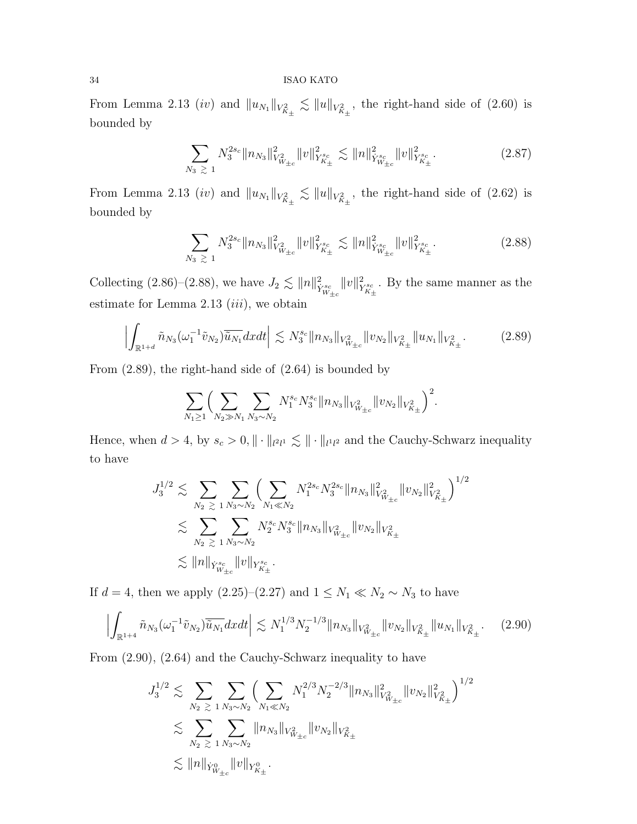From Lemma 2.13 (iv) and  $||u_{N_1}||_{V_{K_+}^2} \lesssim ||u||_{V_{K_+}^2}$ , the right-hand side of (2.60) is bounded by

$$
\sum_{N_3 \geq 1} N_3^{2s_c} \|n_{N_3}\|_{V^2_{W_{\pm c}}}^2 \|v\|_{Y^{s_c}_{K_\pm}}^2 \lesssim \|n\|_{\dot{Y}^{s_c}_{W_{\pm c}}}^2 \|v\|_{Y^{s_c}_{K_\pm}}^2. \tag{2.87}
$$

From Lemma 2.13 *(iv)* and  $||u_{N_1}||_{V_{K_{\pm}}^2} \lesssim ||u||_{V_{K_{\pm}}^2}$ , the right-hand side of (2.62) is bounded by

$$
\sum_{N_3 \geq 1} N_3^{2s_c} \|n_{N_3}\|_{V^2_{W_{\pm c}}}^2 \|v\|_{Y^{s_c}_{K_\pm}}^2 \lesssim \|n\|_{\dot{Y}^{s_c}_{W_{\pm c}}}^2 \|v\|_{Y^{s_c}_{K_\pm}}^2.
$$
 (2.88)

Collecting (2.86)–(2.88), we have  $J_2 \lesssim ||n||_{\dot{Y}_{W_{\pm c}}^{s_c}}^2$  $||v||^2$  $Y_{K_{\pm}}^{s_c}$ . By the same manner as the estimate for Lemma  $2.13$   $(iii)$ , we obtain

$$
\left| \int_{\mathbb{R}^{1+d}} \tilde{n}_{N_3}(\omega_1^{-1}\tilde{v}_{N_2}) \overline{\tilde{u}_{N_1}} dxdt \right| \lesssim N_3^{s_c} \|n_{N_3}\|_{V^2_{W_{\pm c}}} \|v_{N_2}\|_{V^2_{K_\pm}} \|u_{N_1}\|_{V^2_{K_\pm}}.
$$
 (2.89)

From (2.89), the right-hand side of (2.64) is bounded by

$$
\sum_{N_1\geq 1}\Big(\sum_{N_2\gg N_1}\sum_{N_3\sim N_2}N_1^{s_c}N_3^{s_c}\|n_{N_3}\|_{V^2_{W_{\pm c}}}\|v_{N_2}\|_{V^2_{K_\pm}}\Big)^2.
$$

Hence, when  $d > 4$ , by  $s_c > 0$ ,  $\|\cdot\|_{l^2 l^1} \lesssim \|\cdot\|_{l^1 l^2}$  and the Cauchy-Schwarz inequality to have

$$
J_3^{1/2} \leq \sum_{N_2 \geq 1} \sum_{N_3 \sim N_2} \left( \sum_{N_1 \ll N_2} N_1^{2s_c} N_3^{2s_c} \|n_{N_3}\|_{V^2_{W_{\pm c}}}^2 \|v_{N_2}\|_{V^2_{K_\pm}}^2 \right)^{1/2}
$$
  

$$
\lesssim \sum_{N_2 \geq 1} \sum_{N_3 \sim N_2} N_2^{s_c} N_3^{s_c} \|n_{N_3}\|_{V^2_{W_{\pm c}}} \|v_{N_2}\|_{V^2_{K_\pm}}
$$
  

$$
\lesssim \|n\|_{\dot{Y}^{s_c}_{W_{\pm c}}} \|v\|_{Y^{s_c}_{K_\pm}}.
$$

If  $d = 4$ , then we apply (2.25)–(2.27) and  $1 \leq N_1 \ll N_2 \sim N_3$  to have

$$
\left| \int_{\mathbb{R}^{1+4}} \tilde{n}_{N_3}(\omega_1^{-1}\tilde{v}_{N_2}) \overline{\tilde{u}_{N_1}} dxdt \right| \lesssim N_1^{1/3} N_2^{-1/3} \|n_{N_3}\|_{V^2_{W_{\pm c}}} \|v_{N_2}\|_{V^2_{K_\pm}} \|u_{N_1}\|_{V^2_{K_\pm}}.
$$
 (2.90)

From (2.90), (2.64) and the Cauchy-Schwarz inequality to have

$$
J_3^{1/2} \lesssim \sum_{N_2 \geq 1} \sum_{N_3 \sim N_2} \left( \sum_{N_1 \ll N_2} N_1^{2/3} N_2^{-2/3} \|n_{N_3}\|_{V^2_{W_{\pm c}}}^2 \|v_{N_2}\|_{V^2_{K_\pm}}^2 \right)^{1/2}
$$
  

$$
\lesssim \sum_{N_2 \geq 1} \sum_{N_3 \sim N_2} \|n_{N_3}\|_{V^2_{W_{\pm c}}} \|v_{N_2}\|_{V^2_{K_\pm}}
$$
  

$$
\lesssim \|n\|_{\dot{Y}^0_{W_{\pm c}}} \|v\|_{Y^0_{K_\pm}}.
$$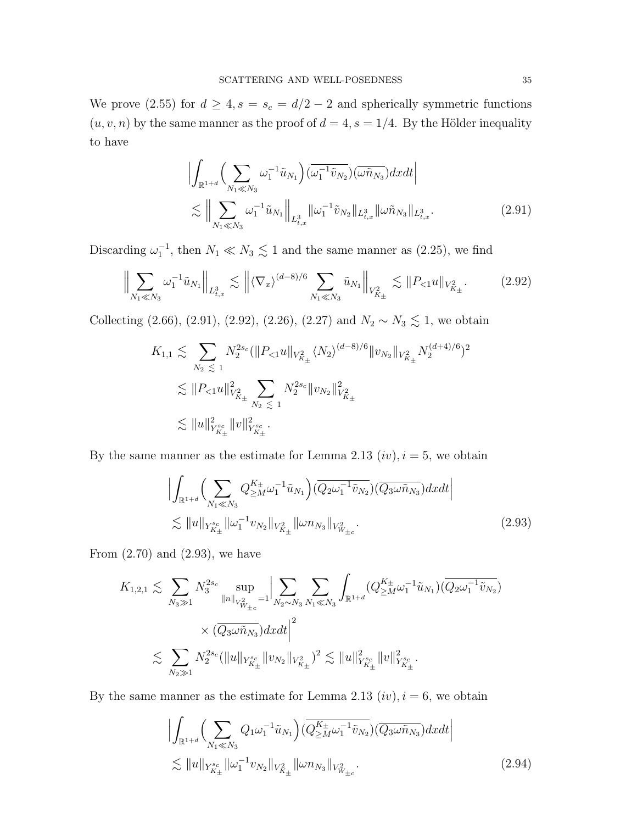We prove (2.55) for  $d \geq 4$ ,  $s = s_c = d/2 - 2$  and spherically symmetric functions  $(u, v, n)$  by the same manner as the proof of  $d = 4$ ,  $s = 1/4$ . By the Hölder inequality to have

$$
\left| \int_{\mathbb{R}^{1+d}} \left( \sum_{N_1 \ll N_3} \omega_1^{-1} \tilde{u}_{N_1} \right) (\overline{\omega_1^{-1} \tilde{v}_{N_2}}) (\overline{\omega \tilde{n}_{N_3}}) dxdt \right|
$$
  

$$
\lesssim \left\| \sum_{N_1 \ll N_3} \omega_1^{-1} \tilde{u}_{N_1} \right\|_{L^3_{t,x}} \|\omega_1^{-1} \tilde{v}_{N_2}\|_{L^3_{t,x}} \|\omega \tilde{n}_{N_3}\|_{L^3_{t,x}}.
$$
 (2.91)

Discarding  $\omega_1^{-1}$ , then  $N_1 \ll N_3 \lesssim 1$  and the same manner as (2.25), we find

$$
\left\| \sum_{N_1 \ll N_3} \omega_1^{-1} \tilde{u}_{N_1} \right\|_{L^3_{t,x}} \lesssim \left\| \langle \nabla_x \rangle^{(d-8)/6} \sum_{N_1 \ll N_3} \tilde{u}_{N_1} \right\|_{V^2_{K_\pm}} \lesssim \|P_{\leq 1} u\|_{V^2_{K_\pm}}.
$$
 (2.92)

Collecting (2.66), (2.91), (2.92), (2.26), (2.27) and  $N_2 \sim N_3 \lesssim 1$ , we obtain

$$
K_{1,1} \lesssim \sum_{N_2 \leq 1} N_2^{2s_c} (\|P_{<1} u\|_{V_{K_\pm}^2} \langle N_2 \rangle^{(d-8)/6} \|v_{N_2}\|_{V_{K_\pm}^2} N_2^{(d+4)/6})^2
$$
  

$$
\lesssim \|P_{<1} u\|_{V_{K_\pm}^2}^2 \sum_{N_2 \leq 1} N_2^{2s_c} \|v_{N_2}\|_{V_{K_\pm}^2}^2
$$
  

$$
\lesssim \|u\|_{Y_{K_\pm}^{s_c}}^2 \|v\|_{Y_{K_\pm}^{s_c}}^2.
$$

By the same manner as the estimate for Lemma 2.13  $(iv)$ ,  $i = 5$ , we obtain

$$
\left| \int_{\mathbb{R}^{1+d}} \left( \sum_{N_1 \ll N_3} Q_{\geq M}^{K_{\pm}} \omega_1^{-1} \tilde{u}_{N_1} \right) (\overline{Q_2 \omega_1^{-1} \tilde{v}_{N_2}}) (\overline{Q_3 \omega \tilde{n}_{N_3}}) dxdt \right|
$$
  

$$
\lesssim \|u\|_{Y_{K_{\pm}}^{s_c}} \|\omega_1^{-1} v_{N_2}\|_{V_{K_{\pm}}^2} \|\omega n_{N_3}\|_{V_{W_{\pm c}}^2}.
$$
 (2.93)

From  $(2.70)$  and  $(2.93)$ , we have

$$
K_{1,2,1} \lesssim \sum_{N_3 \gg 1} N_3^{2s_c} \sup_{\|n\|_{V_{W_{\pm c}}^2} = 1} \Big| \sum_{N_2 \sim N_3} \sum_{N_1 \ll N_3} \int_{\mathbb{R}^{1+d}} (Q_{\geq M}^{K_{\pm}} \omega_1^{-1} \tilde{u}_{N_1}) (\overline{Q_2 \omega_1^{-1} \tilde{v}_{N_2}}) \times (\overline{Q_3 \omega \tilde{n}_{N_3}}) dxdt \Big|^2 \lesssim \sum_{N_2 \gg 1} N_2^{2s_c} (\|u\|_{Y_{K_{\pm}}^{s_c}} \|v_{N_2}\|_{V_{K_{\pm}}^2})^2 \lesssim \|u\|_{Y_{K_{\pm}}^{s_c}}^2 \|v\|_{Y_{K_{\pm}}^{s_c}}^2.
$$

By the same manner as the estimate for Lemma 2.13  $(iv)$ ,  $i = 6$ , we obtain

$$
\left| \int_{\mathbb{R}^{1+d}} \left( \sum_{N_1 \ll N_3} Q_1 \omega_1^{-1} \tilde{u}_{N_1} \right) (\overline{Q_{\geq M}^{K_{\pm}}} \omega_1^{-1} \tilde{v}_{N_2}) (\overline{Q_3 \omega \tilde{n}_{N_3}}) dxdt \right|
$$
  
 
$$
\lesssim \|u\|_{Y^{s_c}_{K_{\pm}}} \| \omega_1^{-1} v_{N_2} \|_{V^2_{K_{\pm}}} \| \omega n_{N_3} \|_{V^2_{W_{\pm}c}}.
$$
 (2.94)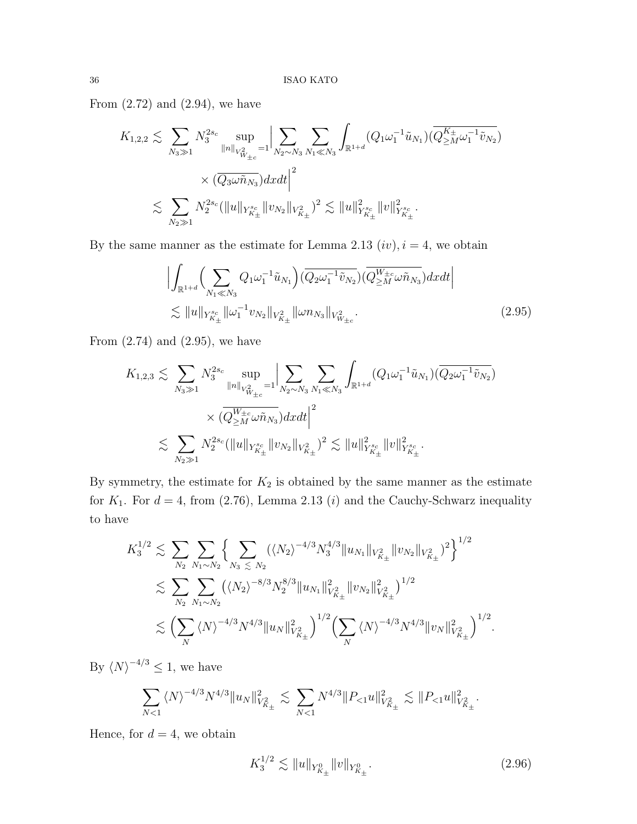From  $(2.72)$  and  $(2.94)$ , we have

$$
K_{1,2,2} \lesssim \sum_{N_3 \gg 1} N_3^{2s_c} \sup_{\|n\|_{V_{W_{\pm c}}^2} = 1} \Big| \sum_{N_2 \sim N_3} \sum_{N_1 \ll N_3} \int_{\mathbb{R}^{1+d}} (Q_1 \omega_1^{-1} \tilde{u}_{N_1}) (\overline{Q_{\geq M}^{K_{\pm}} \omega_1^{-1} \tilde{v}_{N_2}}) \times (\overline{Q_3 \omega \tilde{n}_{N_3}}) dxdt \Big|^2 \lesssim \sum_{N_2 \gg 1} N_2^{2s_c} (\|u\|_{Y_{K_{\pm}}^{s_c}} \|v_{N_2}\|_{V_{K_{\pm}}^2})^2 \lesssim \|u\|_{Y_{K_{\pm}}^{s_c}}^2 \|v\|_{Y_{K_{\pm}}^{s_c}}^2.
$$

By the same manner as the estimate for Lemma 2.13  $(iv)$ ,  $i = 4$ , we obtain

$$
\left| \int_{\mathbb{R}^{1+d}} \left( \sum_{N_1 \ll N_3} Q_1 \omega_1^{-1} \tilde{u}_{N_1} \right) (\overline{Q_2 \omega_1^{-1} \tilde{v}_{N_2}}) (\overline{Q_{\geq M}^{W_{\pm c}} \omega \tilde{n}_{N_3}}) dx dt \right|
$$
  
 
$$
\lesssim \|u\|_{Y^{s_c}_{K_{\pm}}} \|\omega_1^{-1} v_{N_2}\|_{V^2_{K_{\pm}}} \|\omega n_{N_3}\|_{V^2_{W_{\pm c}}}.
$$
 (2.95)

From  $(2.74)$  and  $(2.95)$ , we have

$$
K_{1,2,3} \lesssim \sum_{N_3 \gg 1} N_3^{2s_c} \sup_{\|n\|_{V_{W_{\pm c}}^2} = 1} \Big| \sum_{N_2 \sim N_3} \sum_{N_1 \ll N_3} \int_{\mathbb{R}^{1+d}} (Q_1 \omega_1^{-1} \tilde{u}_{N_1}) (\overline{Q_2 \omega_1^{-1} \tilde{v}_{N_2}}) \times (\overline{Q_{\geq M}^{W_{\pm c}} \omega \tilde{n}_{N_3}}) dxdt \Big|^2 \lesssim \sum_{N_2 \gg 1} N_2^{2s_c} (\|u\|_{Y_{K_{\pm}}^{sc}} \|v_{N_2}\|_{V_{K_{\pm}}^2})^2 \lesssim \|u\|_{Y_{K_{\pm}}^{sc}}^2 \|v\|_{Y_{K_{\pm}}^{sc}}^2.
$$

By symmetry, the estimate for  $K_2$  is obtained by the same manner as the estimate for  $K_1$ . For  $d = 4$ , from (2.76), Lemma 2.13 (*i*) and the Cauchy-Schwarz inequality to have

$$
K_{3}^{1/2} \lesssim \sum_{N_{2}} \sum_{N_{1} \sim N_{2}} \left\{ \sum_{N_{3}} \left( \langle N_{2} \rangle^{-4/3} N_{3}^{4/3} \| u_{N_{1}} \|_{V_{K_{\pm}}^{2}} \| v_{N_{2}} \|_{V_{K_{\pm}}^{2}} \right)^{2} \right\}^{1/2} \lesssim \sum_{N_{2}} \sum_{N_{1} \sim N_{2}} \left( \langle N_{2} \rangle^{-8/3} N_{2}^{8/3} \| u_{N_{1}} \|_{V_{K_{\pm}}^{2}}^{2} \| v_{N_{2}} \|_{V_{K_{\pm}}^{2}}^{2} \right)^{1/2} \lesssim \left( \sum_{N} \langle N \rangle^{-4/3} N^{4/3} \| u_{N} \|_{V_{K_{\pm}}^{2}}^{2} \right)^{1/2} \left( \sum_{N} \langle N \rangle^{-4/3} N^{4/3} \| v_{N} \|_{V_{K_{\pm}}^{2}}^{2} \right)^{1/2}.
$$

By  $\langle N \rangle^{-4/3} \leq 1$ , we have

$$
\sum_{N<1} \langle N \rangle^{-4/3} N^{4/3} \|u_N\|_{V^2_{K_\pm}}^2 \lesssim \sum_{N<1} N^{4/3} \|P_{\le 1} u\|_{V^2_{K_\pm}}^2 \lesssim \|P_{\le 1} u\|_{V^2_{K_\pm}}^2.
$$

Hence, for  $d = 4$ , we obtain

$$
K_3^{1/2} \lesssim \|u\|_{Y^0_{K_\pm}} \|v\|_{Y^0_{K_\pm}}.\tag{2.96}
$$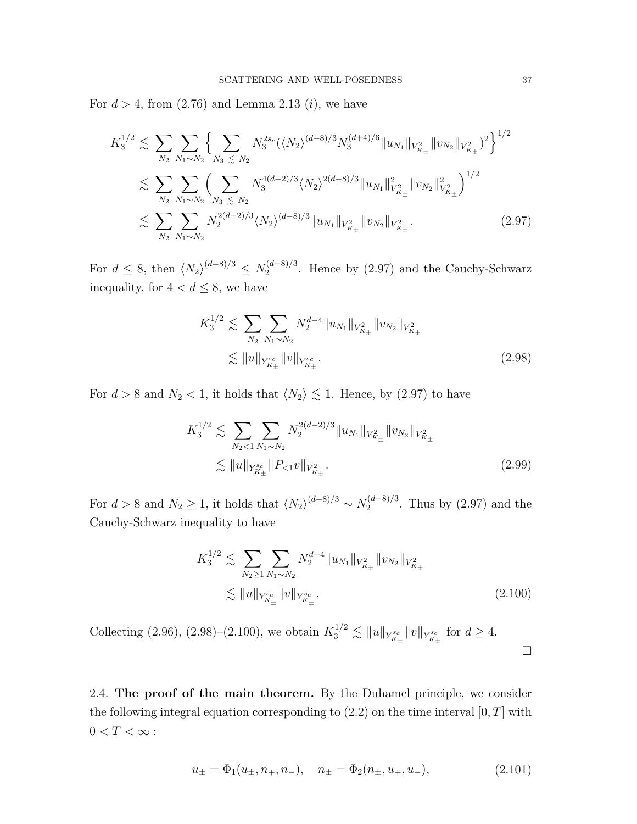For  $d > 4$ , from  $(2.76)$  and Lemma 2.13  $(i)$ , we have

$$
K_{3}^{1/2} \lesssim \sum_{N_{2}} \sum_{N_{1} \sim N_{2}} \left\{ \sum_{N_{3}} \sum_{S_{1}} N_{3}^{2s_{c}} (\langle N_{2} \rangle^{(d-8)/3} N_{3}^{(d+4)/6} \| u_{N_{1}} \|_{V_{K_{\pm}}^{2}} \| v_{N_{2}} \|_{V_{K_{\pm}}^{2}})^{2} \right\}^{1/2} \lesssim \sum_{N_{2}} \sum_{N_{1} \sim N_{2}} \left( \sum_{N_{3}} \sum_{S_{1}} N_{3}^{4(d-2)/3} \langle N_{2} \rangle^{2(d-8)/3} \| u_{N_{1}} \|_{V_{K_{\pm}}^{2}}^{2} \| v_{N_{2}} \|_{V_{K_{\pm}}^{2}}^{2} \right)^{1/2} \lesssim \sum_{N_{2}} \sum_{N_{1} \sim N_{2}} N_{2}^{2(d-2)/3} \langle N_{2} \rangle^{(d-8)/3} \| u_{N_{1}} \|_{V_{K_{\pm}}^{2}} \| v_{N_{2}} \|_{V_{K_{\pm}}^{2}}.
$$
\n(2.97)

For  $d \leq 8$ , then  $\langle N_2 \rangle^{(d-8)/3} \leq N_2^{(d-8)/3}$  $2^{(a-8)/3}$ . Hence by (2.97) and the Cauchy-Schwarz inequality, for  $4 < d \leq 8$ , we have

$$
K_3^{1/2} \lesssim \sum_{N_2} \sum_{N_1 \sim N_2} N_2^{d-4} \|u_{N_1}\|_{V_{K_\pm}^2} \|v_{N_2}\|_{V_{K_\pm}^2}
$$
  

$$
\lesssim \|u\|_{Y_{K_\pm}^{sc}} \|v\|_{Y_{K_\pm}^{sc}}.
$$
 (2.98)

For  $d > 8$  and  $N_2 < 1$ , it holds that  $\langle N_2 \rangle \lesssim 1$ . Hence, by (2.97) to have

$$
K_3^{1/2} \lesssim \sum_{N_2 < 1} \sum_{N_1 \sim N_2} N_2^{2(d-2)/3} \|u_{N_1}\|_{V_{K_\pm}^2} \|v_{N_2}\|_{V_{K_\pm}^2}
$$
\n
$$
\lesssim \|u\|_{Y_{K_\pm}^{s_c}} \|P_{<1}v\|_{V_{K_\pm}^2}.
$$
\n
$$
(2.99)
$$

For  $d > 8$  and  $N_2 \geq 1$ , it holds that  $\langle N_2 \rangle^{(d-8)/3} \sim N_2^{(d-8)/3}$  $2^{(a-8)/3}$ . Thus by  $(2.97)$  and the Cauchy-Schwarz inequality to have

$$
K_3^{1/2} \lesssim \sum_{N_2 \ge 1} \sum_{N_1 \sim N_2} N_2^{d-4} \|u_{N_1}\|_{V_{K_\pm}^2} \|v_{N_2}\|_{V_{K_\pm}^2}
$$
  

$$
\lesssim \|u\|_{Y_{K_\pm}^{sc}} \|v\|_{Y_{K_\pm}^{sc}}.
$$
 (2.100)

Collecting (2.96), (2.98)–(2.100), we obtain  $K_3^{1/2} \lesssim ||u||_{Y^{s_c}_{K_\pm}} ||v||_{Y^{s_c}_{K_\pm}}$  for  $d \geq 4$ .  $\Box$ 

2.4. The proof of the main theorem. By the Duhamel principle, we consider the following integral equation corresponding to  $(2.2)$  on the time interval  $[0, T]$  with  $0 < T < \infty$  :

$$
u_{\pm} = \Phi_1(u_{\pm}, n_{+}, n_{-}), \quad n_{\pm} = \Phi_2(n_{\pm}, u_{+}, u_{-}), \tag{2.101}
$$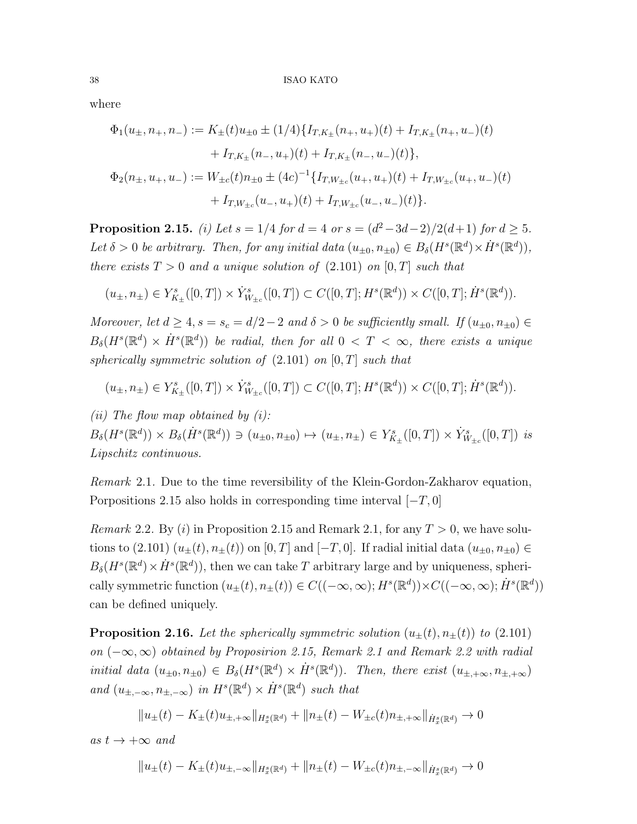where

$$
\Phi_1(u_{\pm}, n_{+}, n_{-}) := K_{\pm}(t)u_{\pm 0} \pm (1/4)\{I_{T,K_{\pm}}(n_{+}, u_{+})(t) + I_{T,K_{\pm}}(n_{+}, u_{-})(t) + I_{T,K_{\pm}}(n_{-}, u_{+})(t) + I_{T,K_{\pm}}(n_{-}, u_{-})(t)\},
$$
  

$$
\Phi_2(n_{\pm}, u_{+}, u_{-}) := W_{\pm c}(t)n_{\pm 0} \pm (4c)^{-1}\{I_{T,W_{\pm c}}(u_{+}, u_{+})(t) + I_{T,W_{\pm c}}(u_{+}, u_{-})(t) + I_{T,W_{\pm c}}(u_{-}, u_{+})(t)\}.
$$

**Proposition 2.15.** (i) Let  $s = 1/4$  for  $d = 4$  or  $s = (d^2 - 3d - 2)/2(d+1)$  for  $d \ge 5$ . Let  $\delta > 0$  be arbitrary. Then, for any initial data  $(u_{\pm 0}, n_{\pm 0}) \in B_{\delta}(H^s(\mathbb{R}^d) \times \dot{H}^s(\mathbb{R}^d)),$ there exists  $T > 0$  and a unique solution of  $(2.101)$  on  $[0, T]$  such that

$$
(u_{\pm}, n_{\pm}) \in Y^s_{K_{\pm}}([0, T]) \times \dot{Y}^s_{W_{\pm c}}([0, T]) \subset C([0, T]; H^s(\mathbb{R}^d)) \times C([0, T]; \dot{H}^s(\mathbb{R}^d)).
$$

Moreover, let  $d \geq 4$ ,  $s = s_c = d/2 - 2$  and  $\delta > 0$  be sufficiently small. If  $(u_{\pm 0}, n_{\pm 0}) \in$  $B_\delta(H^s(\mathbb{R}^d) \times \dot{H}^s(\mathbb{R}^d))$  be radial, then for all  $0 < T < \infty$ , there exists a unique spherically symmetric solution of  $(2.101)$  on  $[0, T]$  such that

$$
(u_\pm,n_\pm) \in Y^s_{K_\pm}([0,T]) \times \dot Y^s_{W_{\pm c}}([0,T]) \subset C([0,T];H^s(\mathbb{R}^d)) \times C([0,T];\dot H^s(\mathbb{R}^d)).
$$

(*ii*) The flow map obtained by  $(i)$ :  $B_{\delta}(H^s(\mathbb{R}^d)) \times B_{\delta}(\dot{H}^s(\mathbb{R}^d)) \ni (u_{\pm 0}, n_{\pm 0}) \mapsto (u_{\pm}, n_{\pm}) \in Y^s_{K_{\pm}}([0, T]) \times \dot{Y}^s_{W_{\pm c}}([0, T])$  is Lipschitz continuous.

Remark 2.1. Due to the time reversibility of the Klein-Gordon-Zakharov equation, Porpositions 2.15 also holds in corresponding time interval  $[-T, 0]$ 

*Remark* 2.2. By (*i*) in Proposition 2.15 and Remark 2.1, for any  $T > 0$ , we have solutions to (2.101)  $(u_{\pm}(t), n_{\pm}(t))$  on [0, T] and [-T, 0]. If radial initial data  $(u_{\pm 0}, n_{\pm 0}) \in$  $B_{\delta}(H^s(\mathbb{R}^d)\times \dot{H}^s(\mathbb{R}^d))$ , then we can take T arbitrary large and by uniqueness, spherically symmetric function  $(u_{\pm}(t), n_{\pm}(t)) \in C((-\infty, \infty); H^s(\mathbb{R}^d)) \times C((-\infty, \infty); \dot{H}^s(\mathbb{R}^d))$ can be defined uniquely.

**Proposition 2.16.** Let the spherically symmetric solution  $(u_+(t), n_+(t))$  to  $(2.101)$ on  $(-\infty,\infty)$  obtained by Proposirion 2.15, Remark 2.1 and Remark 2.2 with radial initial data  $(u_{\pm 0}, n_{\pm 0}) \in B_{\delta}(H^s(\mathbb{R}^d) \times \dot{H}^s(\mathbb{R}^d))$ . Then, there exist  $(u_{\pm,+\infty}, n_{\pm,+\infty})$ and  $(u_{\pm,-\infty}, n_{\pm,-\infty})$  in  $H^s(\mathbb{R}^d) \times \dot{H}^s(\mathbb{R}^d)$  such that

$$
\|u_\pm(t)-K_\pm(t)u_{\pm,+\infty}\|_{H^s_x(\mathbb{R}^d)}+\|n_\pm(t)-W_{\pm c}(t)n_{\pm,+\infty}\|_{\dot{H}^s_x(\mathbb{R}^d)}\rightarrow 0
$$

as  $t \to +\infty$  and

$$
||u_{\pm}(t) - K_{\pm}(t)u_{\pm,-\infty}||_{H_x^s(\mathbb{R}^d)} + ||n_{\pm}(t) - W_{\pm c}(t)n_{\pm,-\infty}||_{\dot{H}_x^s(\mathbb{R}^d)} \to 0
$$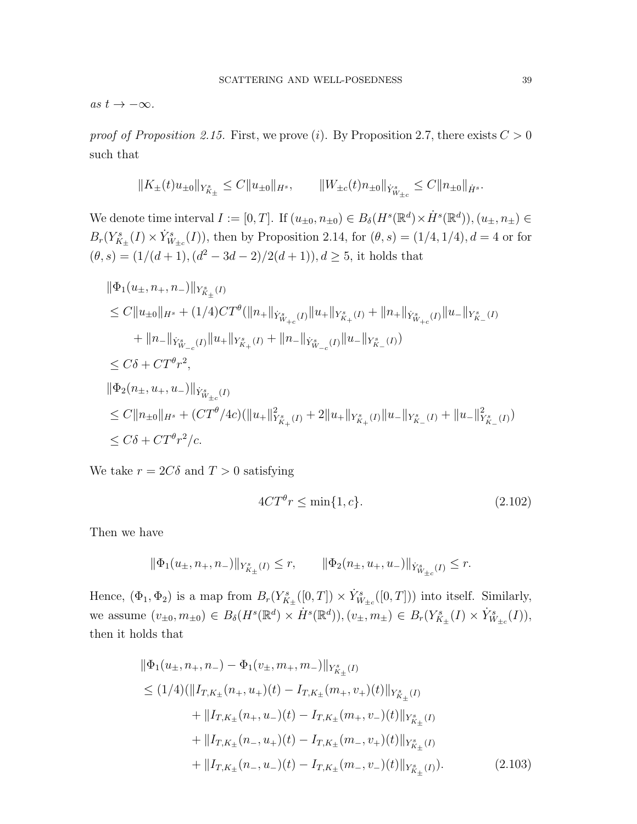as  $t \to -\infty$ .

proof of Proposition 2.15. First, we prove (i). By Proposition 2.7, there exists  $C > 0$ such that

$$
||K_{\pm}(t)u_{\pm 0}||_{Y^s_{K_{\pm}}} \leq C||u_{\pm 0}||_{H^s}, \qquad ||W_{\pm c}(t)n_{\pm 0}||_{\dot{Y}^s_{W_{\pm c}}} \leq C||n_{\pm 0}||_{\dot{H}^s}.
$$

We denote time interval  $I := [0, T]$ . If  $(u_{\pm 0}, n_{\pm 0}) \in B_\delta(H^s(\mathbb{R}^d) \times \dot{H}^s(\mathbb{R}^d)), (u_{\pm}, n_{\pm}) \in$  $B_r(Y_{K_{\pm}}^s(I) \times \dot{Y}_{W_{\pm c}}^s(I))$ , then by Proposition 2.14, for  $(\theta, s) = (1/4, 1/4), d = 4$  or for  $(\theta, s) = (1/(d+1), (d^2 - 3d - 2)/2(d+1)), d \geq 5$ , it holds that

$$
\begin{aligned} &\|\Phi_1(u_{\pm},n_+,n_-)\|_{Y^s_{K_{\pm}}(I)}\\ &\leq C\|u_{\pm 0}\|_{H^s}+(1/4)CT^{\theta}(\|n_+\|_{\dot{Y}^s_{W_{+c}}(I)}\|u_+\|_{Y^s_{K_+}(I)}+\|n_+\|_{\dot{Y}^s_{W_{+c}}(I)}\|u_-\|_{Y^s_{K_-}(I)}\\ &\quad+\|n_-\|_{\dot{Y}^s_{W_{-c}}(I)}\|u_+\|_{Y^s_{K_+}(I)}+\|n_-\|_{\dot{Y}^s_{W_{-c}}(I)}\|u_-\|_{Y^s_{K_-}(I)})\\ &\leq C\delta+CT^{\theta}r^2,\\ &\|\Phi_2(n_{\pm},u_+,u_-)\|_{\dot{Y}^s_{W_{\pm c}}(I)}\\ &\leq C\|n_{\pm 0}\|_{H^s}+(CT^{\theta}/4c)(\|u_+\|_{Y^s_{K_+}(I)}^2+2\|u_+\|_{Y^s_{K_+}(I)}\|u_-\|_{Y^s_{K_-}(I)}+\|u_-\|_{Y^s_{K_-}(I)}^2))\\ &\leq C\delta+CT^{\theta}r^2/c.\end{aligned}
$$

We take  $r=2C\delta$  and  $T>0$  satisfying

$$
4CT^{\theta}r \le \min\{1, c\}.\tag{2.102}
$$

Then we have

$$
\|\Phi_1(u_{\pm}, n_+, n_-)\|_{Y^s_{K_{\pm}}(I)} \le r, \qquad \|\Phi_2(n_{\pm}, u_+, u_-)\|_{\dot{Y}^s_{W_{\pm c}}(I)} \le r.
$$

Hence,  $(\Phi_1, \Phi_2)$  is a map from  $B_r(Y^s_{K_\pm}([0,T]) \times \dot{Y}^s_{W_{\pm c}}([0,T]))$  into itself. Similarly, we assume  $(v_{\pm 0}, m_{\pm 0}) \in B_{\delta}(H^s(\mathbb{R}^d) \times \dot{H}^s(\mathbb{R}^d)), (v_{\pm}, m_{\pm}) \in B_r(Y_{K_{\pm}}^s(I) \times \dot{Y}_{W_{\pm c}}^s(I)),$ then it holds that

$$
\|\Phi_1(u_{\pm}, n_+, n_-) - \Phi_1(v_{\pm}, m_+, m_-)\|_{Y^s_{K_{\pm}}(I)}
$$
  
\n
$$
\leq (1/4)(\|I_{T,K_{\pm}}(n_+, u_+)(t) - I_{T,K_{\pm}}(m_+, v_+)(t)\|_{Y^s_{K_{\pm}}(I)}
$$
  
\n
$$
+ \|I_{T,K_{\pm}}(n_+, u_-)(t) - I_{T,K_{\pm}}(m_+, v_-)(t)\|_{Y^s_{K_{\pm}}(I)}
$$
  
\n
$$
+ \|I_{T,K_{\pm}}(n_-, u_+)(t) - I_{T,K_{\pm}}(m_-, v_+)(t)\|_{Y^s_{K_{\pm}}(I)}
$$
  
\n
$$
+ \|I_{T,K_{\pm}}(n_-, u_-)(t) - I_{T,K_{\pm}}(m_-, v_-)(t)\|_{Y^s_{K_{\pm}}(I)}.
$$
\n(2.103)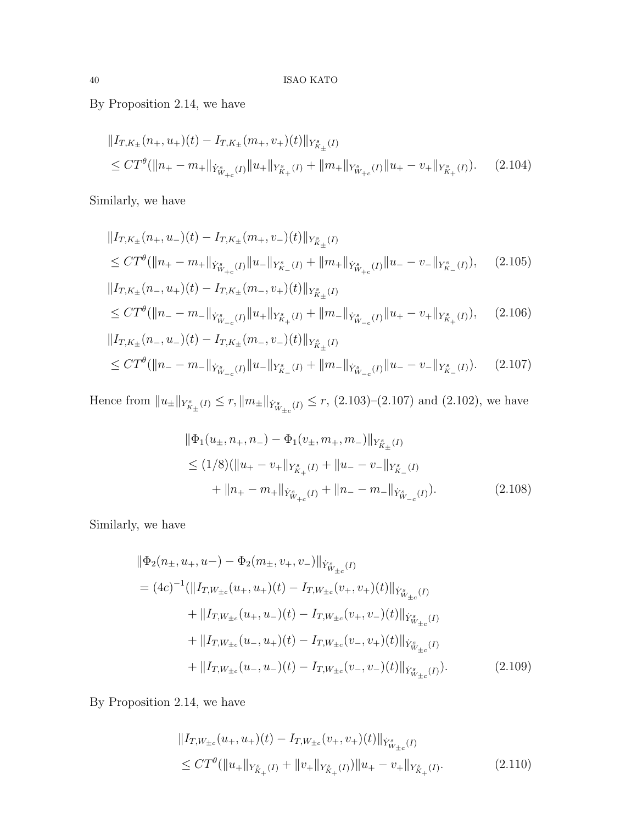By Proposition 2.14, we have

$$
||I_{T,K_{\pm}}(n_{+},u_{+})(t) - I_{T,K_{\pm}}(m_{+},v_{+})(t)||_{Y_{K_{\pm}}^{s}(I)}
$$
  
\n
$$
\leq CT^{\theta}(||n_{+}-m_{+}||_{Y_{W_{+c}}^{s}(I)}||u_{+}||_{Y_{K_{+}}^{s}(I)} + ||m_{+}||_{Y_{W_{+c}}^{s}(I)}||u_{+}-v_{+}||_{Y_{K_{+}}^{s}(I)}).
$$
 (2.104)

Similarly, we have

$$
||I_{T,K_{\pm}}(n_{+},u_{-})(t) - I_{T,K_{\pm}}(m_{+},v_{-})(t)||_{Y_{K_{\pm}}^{s}(I)}
$$
  
\n
$$
\leq CT^{\theta}(||n_{+}-m_{+}||_{\dot{Y}_{W_{+c}}^{s}(I)}||u_{-}||_{Y_{K_{-}}^{s}(I)} + ||m_{+}||_{\dot{Y}_{W_{+c}}^{s}(I)}||u_{-} - v_{-}||_{Y_{K_{-}}^{s}(I)}), \quad (2.105)
$$
  
\n
$$
||I_{T,K_{\pm}}(n_{-},u_{+})(t) - I_{T,K_{\pm}}(m_{-},v_{+})(t)||_{Y_{K_{\pm}}^{s}(I)}
$$

$$
\leq CT^{\theta}(\|n_{-}-m_{-}\|_{\dot{Y}^s_{W_{-c}}(I)}\|u_{+}\|_{Y^s_{K_+}(I)}+\|m_{-}\|_{\dot{Y}^s_{W_{-c}}(I)}\|u_{+}-v_{+}\|_{Y^s_{K_+}(I)}),\tag{2.106}
$$

$$
||I_{T,K_{\pm}}(n_{-},u_{-})(t) - I_{T,K_{\pm}}(m_{-},v_{-})(t)||_{Y_{K_{\pm}}^{s}(I)}
$$
  
\n
$$
\leq CT^{\theta}(||n_{-} - m_{-}||_{\dot{Y}_{W_{-c}}^{s}(I)}||u_{-}||_{Y_{K_{-}}^{s}(I)} + ||m_{-}||_{\dot{Y}_{W_{-c}}^{s}(I)}||u_{-} - v_{-}||_{Y_{K_{-}}^{s}(I)}).
$$
 (2.107)

Hence from  $||u_{\pm}||_{Y_{K_{\pm}}^s(I)} \leq r$ ,  $||m_{\pm}||_{Y_{W_{\pm c}}^s(I)} \leq r$ , (2.103)–(2.107) and (2.102), we have

$$
\|\Phi_1(u_\pm, n_+, n_-) - \Phi_1(v_\pm, m_+, m_-)\|_{Y^s_{K_\pm}(I)}
$$
  
\n
$$
\leq (1/8)(\|u_+ - v_+\|_{Y^s_{K_\pm}(I)} + \|u_- - v_-\|_{Y^s_{K_\pm}(I)}
$$
  
\n
$$
+ \|n_+ - m_+\|_{\dot{Y}^s_{W_{+\mathrm{c}}}(I)} + \|n_- - m_-\|_{\dot{Y}^s_{W_{-\mathrm{c}}}(I)}).
$$
\n(2.108)

Similarly, we have

$$
\|\Phi_2(n_{\pm}, u_+, u_-) - \Phi_2(m_{\pm}, v_+, v_-)\|_{\dot{Y}^s_{W_{\pm c}}(I)}
$$
  
=  $(4c)^{-1}(\|I_{T, W_{\pm c}}(u_+, u_+)(t) - I_{T, W_{\pm c}}(v_+, v_+)(t)\|_{\dot{Y}^s_{W_{\pm c}}(I)}$   
+  $\|I_{T, W_{\pm c}}(u_+, u_-)(t) - I_{T, W_{\pm c}}(v_+, v_-)(t)\|_{\dot{Y}^s_{W_{\pm c}}(I)}$   
+  $\|I_{T, W_{\pm c}}(u_-, u_+)(t) - I_{T, W_{\pm c}}(v_-, v_+)(t)\|_{\dot{Y}^s_{W_{\pm c}}(I)}$   
+  $\|I_{T, W_{\pm c}}(u_-, u_-)(t) - I_{T, W_{\pm c}}(v_-, v_-)(t)\|_{\dot{Y}^s_{W_{\pm c}}(I)}.$  (2.109)

By Proposition 2.14, we have

$$
||I_{T,W_{\pm c}}(u_+, u_+)(t) - I_{T,W_{\pm c}}(v_+, v_+)(t)||_{\dot{Y}^s_{W_{\pm c}}(I)}
$$
  
\n
$$
\leq CT^{\theta}(||u_+||_{Y^s_{K_+}(I)} + ||v_+||_{Y^s_{K_+}(I)})||u_+ - v_+||_{Y^s_{K_+}(I)}.
$$
\n(2.110)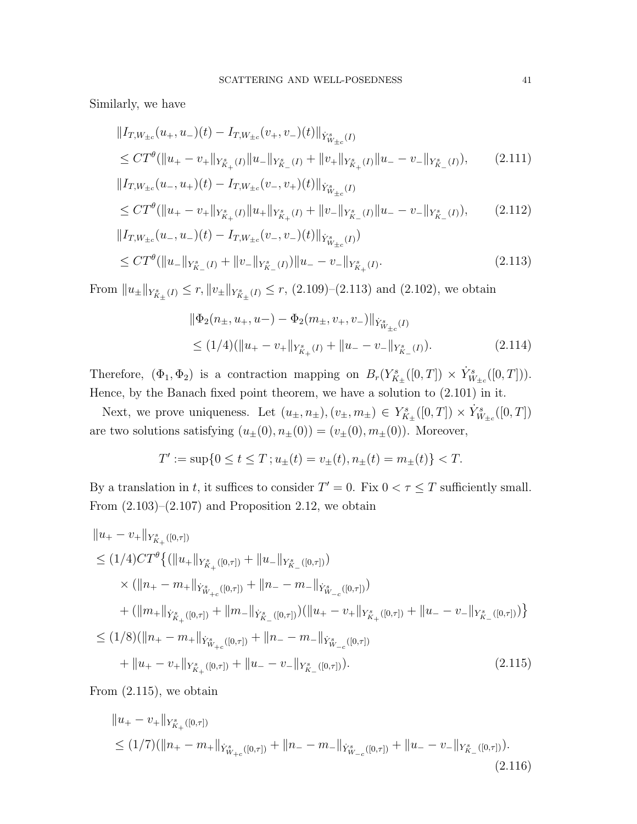Similarly, we have

$$
||I_{T,W_{\pm c}}(u_+, u_-)(t) - I_{T,W_{\pm c}}(v_+, v_-)(t)||_{\dot{Y}^s_{W_{\pm c}}(I)}
$$
  
\n
$$
\leq C T^{\theta} (||u_+ - v_+||_{Y^s_{K_+}(I)} ||u_-||_{Y^s_{K_-}(I)} + ||v_+||_{Y^s_{K_+}(I)} ||u_- - v_-||_{Y^s_{K_-}(I)}),
$$
\n(2.111)

$$
\|I_{T,W_{\pm c}}(u_-, u_+)(t) - I_{T,W_{\pm c}}(v_-, v_+)(t)\|_{\dot{Y}^s_{W_{\pm c}}(I)}
$$
\n
$$
\leq CT^{\theta}(\|u_+ - v_+\|_{Y^s_{K_+}(I)}\|u_+\|_{Y^s_{K_+}(I)} + \|v_-\|_{Y^s_{K_-}(I)}\|u_- - v_-\|_{Y^s_{K_-}(I)}),
$$
\n
$$
\|I_{T,W_{\pm c}}(u_-, u_-)(t) - I_{T,W_{\pm c}}(v_-, v_-)(t)\|_{\dot{Y}^s_{W_{\pm c}}(I)})
$$
\n
$$
(2.112)
$$

$$
\leq CT^{\theta}(\|u_{-}\|_{Y_{K_{-}}^{s}(I)}+\|v_{-}\|_{Y_{K_{-}}^{s}(I)})\|u_{-}-v_{-}\|_{Y_{K_{+}}^{s}(I)}.
$$
\n(2.113)

From  $||u_{\pm}||_{Y_{K_{\pm}}^s(I)} \leq r$ ,  $||v_{\pm}||_{Y_{K_{\pm}}^s(I)} \leq r$ , (2.109)–(2.113) and (2.102), we obtain

$$
\|\Phi_2(n_\pm, u_+, u_-) - \Phi_2(m_\pm, v_+, v_-)\|_{\dot{Y}^s_{W_{\pm c}}(I)}
$$
  
\n
$$
\leq (1/4)(\|u_+ - v_+\|_{Y^s_{K_+}(I)} + \|u_- - v_-\|_{Y^s_{K_-}(I)}).
$$
\n(2.114)

Therefore,  $(\Phi_1, \Phi_2)$  is a contraction mapping on  $B_r(Y^s_{K_\pm}([0,T]) \times \dot{Y}^s_{W_{\pm c}}([0,T])).$ Hence, by the Banach fixed point theorem, we have a solution to (2.101) in it.

Next, we prove uniqueness. Let  $(u_\pm, n_\pm), (v_\pm, m_\pm) \in Y^s_{K_\pm}([0,T]) \times \dot{Y}^s_{W_{\pm c}}([0,T])$ are two solutions satisfying  $(u_{\pm}(0), n_{\pm}(0)) = (v_{\pm}(0), m_{\pm}(0))$ . Moreover,

$$
T' := \sup\{0 \le t \le T; u_{\pm}(t) = v_{\pm}(t), n_{\pm}(t) = m_{\pm}(t)\} < T.
$$

By a translation in t, it suffices to consider  $T' = 0$ . Fix  $0 < \tau \leq T$  sufficiently small. From  $(2.103)$ – $(2.107)$  and Proposition 2.12, we obtain

$$
||u_{+} - v_{+}||_{Y_{K_{+}}^{s}([0,\tau])}
$$
\n
$$
\leq (1/4)CT^{\theta}\{ (||u_{+}||_{Y_{K_{+}}^{s}([0,\tau])} + ||u_{-}||_{Y_{K_{-}}^{s}([0,\tau])})
$$
\n
$$
\times (||n_{+} - m_{+}||_{Y_{W_{+c}}^{s}([0,\tau])} + ||n_{-} - m_{-}||_{Y_{W_{-c}}^{s}([0,\tau])})
$$
\n
$$
+ (||m_{+}||_{Y_{K_{+}}^{s}([0,\tau])} + ||m_{-}||_{Y_{K_{-}}^{s}([0,\tau])}) (||u_{+} - v_{+}||_{Y_{K_{+}}^{s}([0,\tau])} + ||u_{-} - v_{-}||_{Y_{K_{-}}^{s}([0,\tau])}) \}
$$
\n
$$
\leq (1/8)(||n_{+} - m_{+}||_{Y_{W_{+c}}^{s}([0,\tau])} + ||n_{-} - m_{-}||_{Y_{W_{-c}}^{s}([0,\tau])})
$$
\n
$$
+ ||u_{+} - v_{+}||_{Y_{K_{+}}^{s}([0,\tau])} + ||u_{-} - v_{-}||_{Y_{K_{-}}^{s}([0,\tau])}).
$$
\n(2.115)

From (2.115), we obtain

$$
||u_{+} - v_{+}||_{Y_{K_{+}}^{s}([0,\tau])}
$$
  
\n
$$
\leq (1/7)(||n_{+} - m_{+}||_{Y_{W_{+c}}^{s}([0,\tau])} + ||n_{-} - m_{-}||_{Y_{W_{-c}}^{s}([0,\tau])} + ||u_{-} - v_{-}||_{Y_{K_{-}}^{s}([0,\tau])}).
$$
\n(2.116)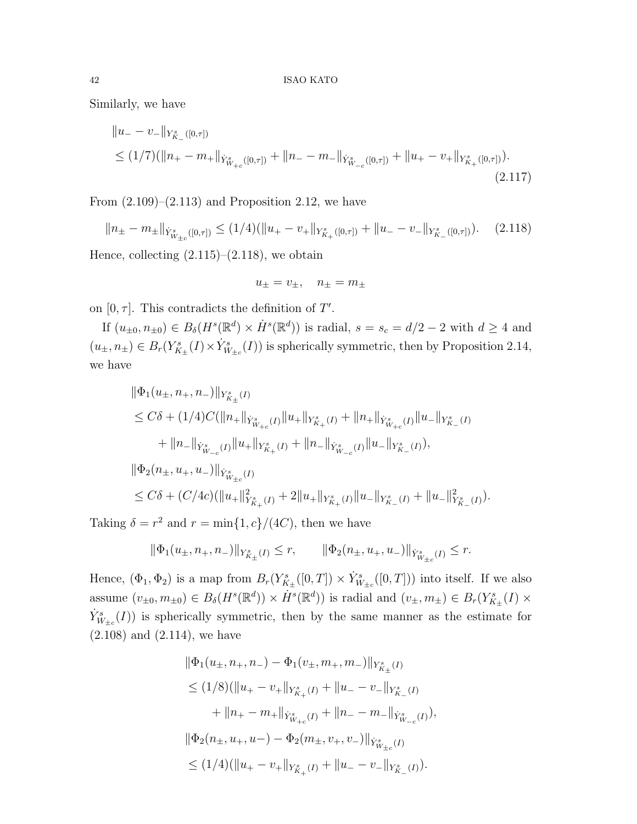Similarly, we have

$$
||u_{-} - v_{-}||_{Y_{K_{-}}^{s}([0,\tau])}
$$
  
\n
$$
\leq (1/7)(||n_{+} - m_{+}||_{\dot{Y}_{W_{+c}}^{s}([0,\tau])} + ||n_{-} - m_{-}||_{\dot{Y}_{W_{-c}}^{s}([0,\tau])} + ||u_{+} - v_{+}||_{Y_{K_{+}}^{s}([0,\tau])}).
$$
\n
$$
(2.117)
$$

From  $(2.109)$ – $(2.113)$  and Proposition 2.12, we have

$$
||n_{\pm} - m_{\pm}||_{\dot{Y}_{W_{\pm c}}^s([0,\tau])} \le (1/4)(||u_{+} - v_{+}||_{Y_{K_{+}}^s([0,\tau])} + ||u_{-} - v_{-}||_{Y_{K_{-}}^s([0,\tau])}).
$$
 (2.118)

Hence, collecting  $(2.115)$ – $(2.118)$ , we obtain

$$
u_{\pm} = v_{\pm}, \quad n_{\pm} = m_{\pm}
$$

on  $[0, \tau]$ . This contradicts the definition of T'.

If  $(u_{\pm 0}, n_{\pm 0}) \in B_\delta(H^s(\mathbb{R}^d) \times \dot{H}^s(\mathbb{R}^d))$  is radial,  $s = s_c = d/2 - 2$  with  $d \geq 4$  and  $(u_{\pm}, n_{\pm}) \in B_r(Y^s_{K_{\pm}}(I) \times \dot{Y}^s_{W_{\pm}c}(I))$  is spherically symmetric, then by Proposition 2.14, we have

$$
\label{eq:est} \begin{split} \|\Phi_1(u_\pm,n_+,n_-)\|_{Y^s_{K_\pm}(I)}\\ &\leq C\delta+(1/4)C(\|n_+\|_{\dot Y^s_{W_{+c}}(I)}\|u_+\|_{Y^s_{K_+}(I)}+\|n_+\|_{\dot Y^s_{W_{+c}}(I)}\|u_-\|_{Y^s_{K_-}(I)}\\ &\qquad+\|n_-\|_{\dot Y^s_{W_{-c}}(I)}\|u_+\|_{Y^s_{K_+}(I)}+\|n_-\|_{\dot Y^s_{W_{-c}}(I)}\|u_-\|_{Y^s_{K_-}(I)}),\\ \|\Phi_2(n_\pm,u_+,u_-)\|_{\dot Y^s_{W_{\pm c}}(I)}\\ &\leq C\delta+(C/4c)(\|u_+\|_{Y^s_{K_+}(I)}^2+2\|u_+\|_{Y^s_{K_+}(I)}\|u_-\|_{Y^s_{K_-}(I)}+\|u_-\|_{Y^s_{K_-}(I)}^2). \end{split}
$$

Taking  $\delta = r^2$  and  $r = \min\{1, c\}/(4C)$ , then we have

$$
\|\Phi_1(u_{\pm},n_+,n_-)\|_{Y^s_{K_{\pm}}(I)}\leq r,\qquad \|\Phi_2(n_{\pm},u_+,u_-)\|_{\dot Y^s_{W_{\pm c}}(I)}\leq r.
$$

Hence,  $(\Phi_1, \Phi_2)$  is a map from  $B_r(Y^s_{K_\pm}([0,T]) \times \dot{Y}^s_{W_{\pm c}}([0,T]))$  into itself. If we also assume  $(v_{\pm 0}, m_{\pm 0}) \in B_\delta(H^s(\mathbb{R}^d)) \times \dot{H}^s(\mathbb{R}^d))$  is radial and  $(v_{\pm}, m_{\pm}) \in B_r(Y^s_{K_{\pm}}(I) \times$  $\dot{Y}^s_{W_{\pm c}}(I)$  is spherically symmetric, then by the same manner as the estimate for (2.108) and (2.114), we have

$$
\|\Phi_1(u_{\pm}, n_+, n_-) - \Phi_1(v_{\pm}, m_+, m_-)\|_{Y^s_{K_{\pm}}(I)}
$$
\n
$$
\leq (1/8)(\|u_+ - v_+\|_{Y^s_{K_{\pm}}(I)} + \|u_- - v_-\|_{Y^s_{K_{\pm}}(I)}
$$
\n
$$
+ \|n_+ - m_+\|_{\dot{Y}^s_{W_{+c}}(I)} + \|n_- - m_-\|_{\dot{Y}^s_{W_{-c}}(I)}),
$$
\n
$$
\|\Phi_2(n_{\pm}, u_+, u_-) - \Phi_2(m_{\pm}, v_+, v_-)\|_{\dot{Y}^s_{W_{\pm c}}(I)}
$$
\n
$$
\leq (1/4)(\|u_+ - v_+\|_{Y^s_{K_{\pm}}(I)} + \|u_- - v_-\|_{Y^s_{K_{\pm}}(I)}).
$$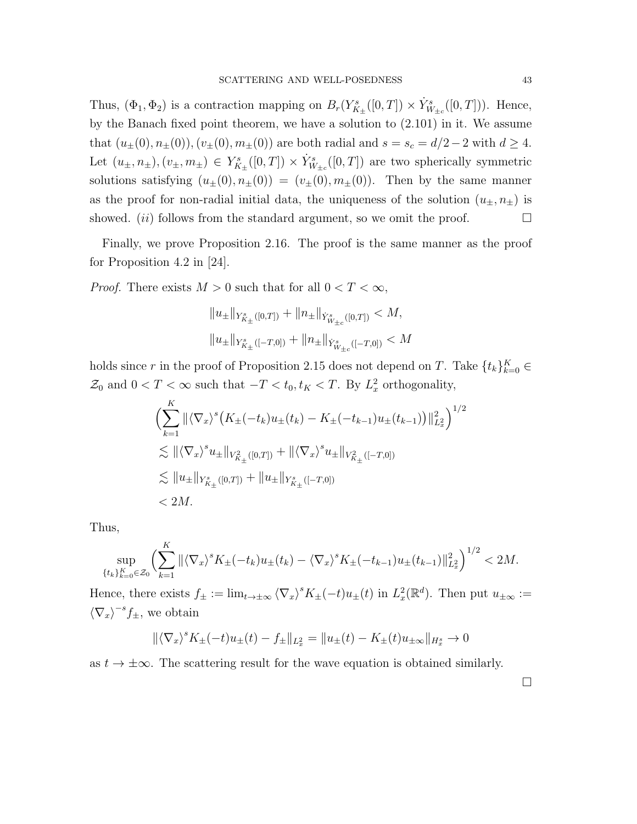Thus,  $(\Phi_1, \Phi_2)$  is a contraction mapping on  $B_r(Y^s_{K_\pm}([0,T]) \times \dot{Y}^s_{W_{\pm c}}([0,T]))$ . Hence, by the Banach fixed point theorem, we have a solution to (2.101) in it. We assume that  $(u_{\pm}(0), n_{\pm}(0)),(v_{\pm}(0), m_{\pm}(0))$  are both radial and  $s = s_c = d/2 - 2$  with  $d \ge 4$ . Let  $(u_\pm, n_\pm), (v_\pm, m_\pm) \in Y^s_{K_\pm}([0,T]) \times \dot{Y}^s_{W_{\pm c}}([0,T])$  are two spherically symmetric solutions satisfying  $(u_{\pm}(0), n_{\pm}(0)) = (v_{\pm}(0), m_{\pm}(0))$ . Then by the same manner as the proof for non-radial initial data, the uniqueness of the solution  $(u_{\pm}, n_{\pm})$  is showed. (*ii*) follows from the standard argument, so we omit the proof.  $\Box$ 

Finally, we prove Proposition 2.16. The proof is the same manner as the proof for Proposition 4.2 in [24].

*Proof.* There exists  $M > 0$  such that for all  $0 < T < \infty$ ,

$$
||u_{\pm}||_{Y^{s}_{K_{\pm}}([0,T])} + ||n_{\pm}||_{Y^{s}_{W_{\pm c}}([0,T])} < M,
$$
  

$$
||u_{\pm}||_{Y^{s}_{K_{\pm}}([-T,0])} + ||n_{\pm}||_{Y^{s}_{W_{\pm c}}([-T,0])} < M
$$

holds since r in the proof of Proposition 2.15 does not depend on T. Take  $\{t_k\}_{k=0}^K \in$  $\mathcal{Z}_0$  and  $0 < T < \infty$  such that  $-T < t_0, t_K < T$ . By  $L_x^2$  orthogonality,

$$
\left(\sum_{k=1}^{K} \|\langle \nabla_x \rangle^s \left( K_{\pm}(-t_k) u_{\pm}(t_k) - K_{\pm}(-t_{k-1}) u_{\pm}(t_{k-1}) \right) \|_{L_x^2}^2 \right)^{1/2}
$$
  
\n
$$
\lesssim \| \langle \nabla_x \rangle^s u_{\pm} \|_{V_{K_{\pm}}^2([0,T])} + \| \langle \nabla_x \rangle^s u_{\pm} \|_{V_{K_{\pm}}^2([-T,0])}
$$
  
\n
$$
\lesssim \| u_{\pm} \|_{V_{K_{\pm}}^s([0,T])} + \| u_{\pm} \|_{V_{K_{\pm}}^s([-T,0])}
$$
  
\n
$$
< 2M.
$$

Thus,

$$
\sup_{\{t_k\}_{k=0}^K \in \mathcal{Z}_0} \left( \sum_{k=1}^K \|\langle \nabla_x \rangle^s K_{\pm}(-t_k) u_{\pm}(t_k) - \langle \nabla_x \rangle^s K_{\pm}(-t_{k-1}) u_{\pm}(t_{k-1}) \|_{L_x^2}^2 \right)^{1/2} < 2M.
$$

Hence, there exists  $f_{\pm} := \lim_{t \to \pm \infty} \langle \nabla_x \rangle^s K_{\pm}(-t) u_{\pm}(t)$  in  $L_x^2(\mathbb{R}^d)$ . Then put  $u_{\pm \infty} :=$  $\langle \nabla_x \rangle^{-s} f_{\pm}$ , we obtain

$$
\|\langle \nabla_x \rangle^s K_{\pm}(-t) u_{\pm}(t) - f_{\pm} \|_{L^2_x} = \| u_{\pm}(t) - K_{\pm}(t) u_{\pm \infty} \|_{H^s_x} \to 0
$$

as  $t \to \pm \infty$ . The scattering result for the wave equation is obtained similarly.

 $\Box$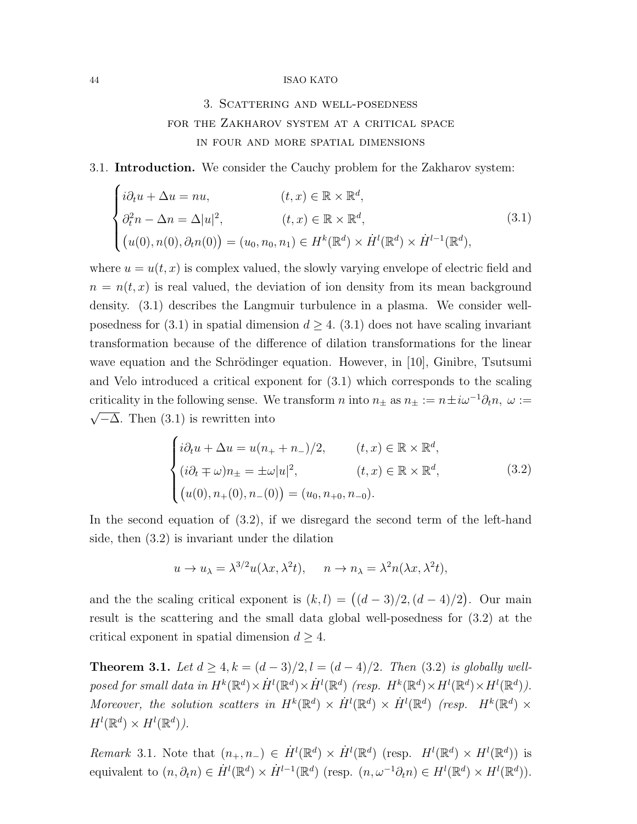# 3. Scattering and well-posedness for the Zakharov system at a critical space in four and more spatial dimensions

## 3.1. Introduction. We consider the Cauchy problem for the Zakharov system:

$$
\begin{cases}\ni\partial_t u + \Delta u = nu, & (t, x) \in \mathbb{R} \times \mathbb{R}^d, \\
\partial_t^2 n - \Delta n = \Delta |u|^2, & (t, x) \in \mathbb{R} \times \mathbb{R}^d, \\
(u(0), n(0), \partial_t n(0)) = (u_0, n_0, n_1) \in H^k(\mathbb{R}^d) \times \dot{H}^l(\mathbb{R}^d) \times \dot{H}^{l-1}(\mathbb{R}^d),\n\end{cases}
$$
\n(3.1)

where  $u = u(t, x)$  is complex valued, the slowly varying envelope of electric field and  $n = n(t, x)$  is real valued, the deviation of ion density from its mean background density. (3.1) describes the Langmuir turbulence in a plasma. We consider wellposedness for (3.1) in spatial dimension  $d \geq 4$ . (3.1) does not have scaling invariant transformation because of the difference of dilation transformations for the linear wave equation and the Schrödinger equation. However, in [10], Ginibre, Tsutsumi and Velo introduced a critical exponent for (3.1) which corresponds to the scaling criticality in the following sense. We transform *n* into  $n_{\pm}$  as  $n_{\pm} := n \pm i\omega^{-1} \partial_t n$ ,  $\omega := \sqrt{\overline{\Delta}} \cdot \overline{\Delta}$  $\sqrt{-\Delta}$ . Then (3.1) is rewritten into

$$
\begin{cases}\ni\partial_t u + \Delta u = u(n_+ + n_-)/2, & (t, x) \in \mathbb{R} \times \mathbb{R}^d, \\
(i\partial_t \mp \omega)n_{\pm} = \pm \omega |u|^2, & (t, x) \in \mathbb{R} \times \mathbb{R}^d, \\
(u(0), n_+(0), n_-(0)) = (u_0, n_{+0}, n_{-0}).\n\end{cases}
$$
\n(3.2)

In the second equation of (3.2), if we disregard the second term of the left-hand side, then (3.2) is invariant under the dilation

$$
u \to u_{\lambda} = \lambda^{3/2} u(\lambda x, \lambda^2 t), \quad n \to n_{\lambda} = \lambda^2 n(\lambda x, \lambda^2 t),
$$

and the the scaling critical exponent is  $(k, l) = ((d - 3)/2, (d - 4)/2)$ . Our main result is the scattering and the small data global well-posedness for (3.2) at the critical exponent in spatial dimension  $d \geq 4$ .

**Theorem 3.1.** Let  $d \geq 4$ ,  $k = (d-3)/2$ ,  $l = (d-4)/2$ . Then (3.2) is globally wellposed for small data in  $H^k(\mathbb{R}^d) \times \dot{H}^l(\mathbb{R}^d) \times \dot{H}^l(\mathbb{R}^d)$  (resp.  $H^k(\mathbb{R}^d) \times H^l(\mathbb{R}^d) \times H^l(\mathbb{R}^d)$ ). Moreover, the solution scatters in  $H^k(\mathbb{R}^d) \times \dot{H}^l(\mathbb{R}^d) \times \dot{H}^l(\mathbb{R}^d)$  (resp.  $H^k(\mathbb{R}^d) \times$  $H^l(\mathbb{R}^d)\times H^l(\mathbb{R}^d)$ ).

Remark 3.1. Note that  $(n_+, n_-) \in \dot{H}^l(\mathbb{R}^d) \times \dot{H}^l(\mathbb{R}^d)$  (resp.  $H^l(\mathbb{R}^d) \times H^l(\mathbb{R}^d)$ ) is equivalent to  $(n, \partial_t n) \in \dot{H}^l(\mathbb{R}^d) \times \dot{H}^{l-1}(\mathbb{R}^d)$  (resp.  $(n, \omega^{-1}\partial_t n) \in H^l(\mathbb{R}^d) \times H^l(\mathbb{R}^d)$ ).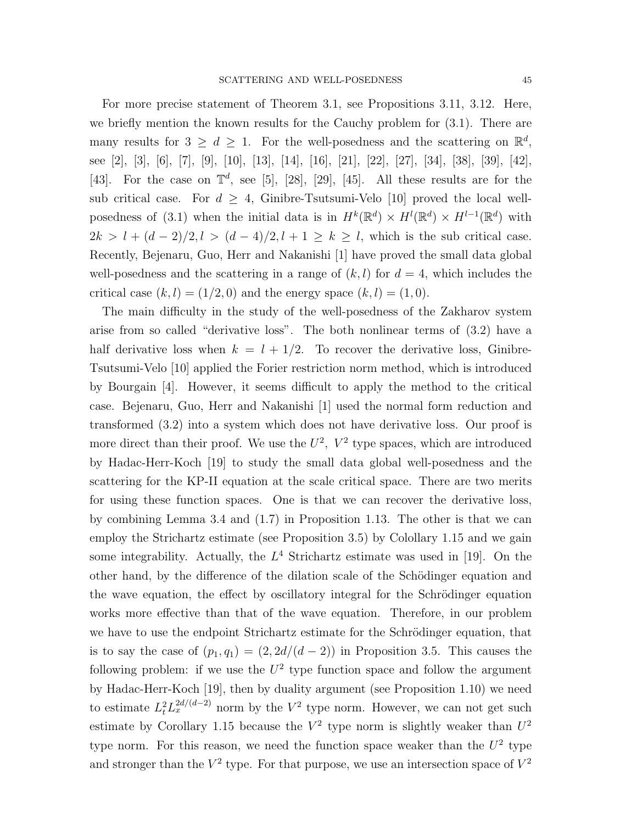For more precise statement of Theorem 3.1, see Propositions 3.11, 3.12. Here, we briefly mention the known results for the Cauchy problem for (3.1). There are many results for  $3 \geq d \geq 1$ . For the well-posedness and the scattering on  $\mathbb{R}^d$ , see [2], [3], [6], [7], [9], [10], [13], [14], [16], [21], [22], [27], [34], [38], [39], [42], [43]. For the case on  $\mathbb{T}^d$ , see [5], [28], [29], [45]. All these results are for the sub critical case. For  $d \geq 4$ , Ginibre-Tsutsumi-Velo [10] proved the local wellposedness of (3.1) when the initial data is in  $H^k(\mathbb{R}^d) \times H^l(\mathbb{R}^d) \times H^{l-1}(\mathbb{R}^d)$  with  $2k > l + (d - 2)/2, l > (d - 4)/2, l + 1 \ge k \ge l$ , which is the sub critical case. Recently, Bejenaru, Guo, Herr and Nakanishi [1] have proved the small data global well-posedness and the scattering in a range of  $(k, l)$  for  $d = 4$ , which includes the critical case  $(k, l) = (1/2, 0)$  and the energy space  $(k, l) = (1, 0)$ .

The main difficulty in the study of the well-posedness of the Zakharov system arise from so called "derivative loss". The both nonlinear terms of (3.2) have a half derivative loss when  $k = l + 1/2$ . To recover the derivative loss, Ginibre-Tsutsumi-Velo [10] applied the Forier restriction norm method, which is introduced by Bourgain [4]. However, it seems difficult to apply the method to the critical case. Bejenaru, Guo, Herr and Nakanishi [1] used the normal form reduction and transformed (3.2) into a system which does not have derivative loss. Our proof is more direct than their proof. We use the  $U^2$ ,  $V^2$  type spaces, which are introduced by Hadac-Herr-Koch [19] to study the small data global well-posedness and the scattering for the KP-II equation at the scale critical space. There are two merits for using these function spaces. One is that we can recover the derivative loss, by combining Lemma 3.4 and (1.7) in Proposition 1.13. The other is that we can employ the Strichartz estimate (see Proposition 3.5) by Colollary 1.15 and we gain some integrability. Actually, the  $L^4$  Strichartz estimate was used in [19]. On the other hand, by the difference of the dilation scale of the Schödinger equation and the wave equation, the effect by oscillatory integral for the Schrödinger equation works more effective than that of the wave equation. Therefore, in our problem we have to use the endpoint Strichartz estimate for the Schrödinger equation, that is to say the case of  $(p_1, q_1) = (2, 2d/(d-2))$  in Proposition 3.5. This causes the following problem: if we use the  $U^2$  type function space and follow the argument by Hadac-Herr-Koch [19], then by duality argument (see Proposition 1.10) we need to estimate  $L_t^2 L_x^{2d/(d-2)}$  norm by the  $V^2$  type norm. However, we can not get such estimate by Corollary 1.15 because the  $V^2$  type norm is slightly weaker than  $U^2$ type norm. For this reason, we need the function space weaker than the  $U^2$  type and stronger than the  $V^2$  type. For that purpose, we use an intersection space of  $V^2$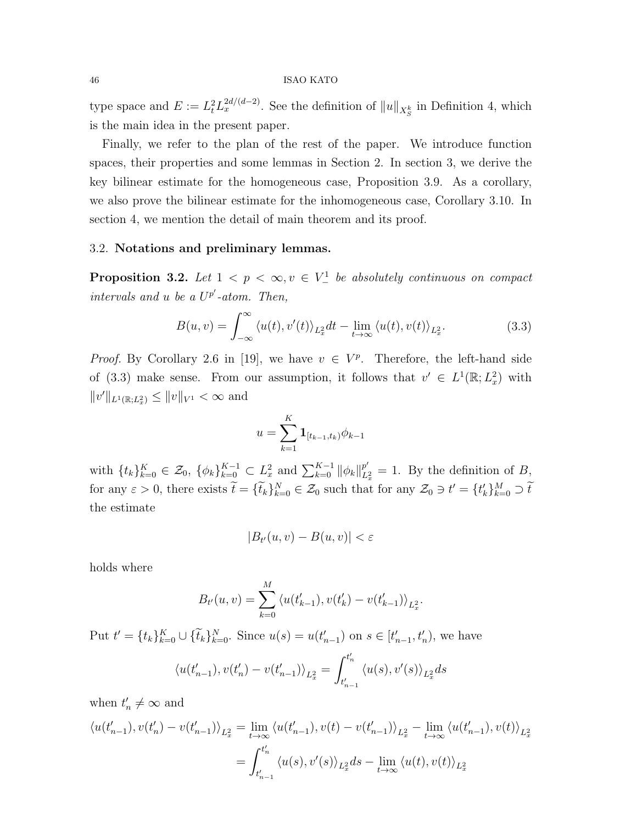type space and  $E := L_t^2 L_x^{2d/(d-2)}$ . See the definition of  $||u||_{X_S^k}$  in Definition 4, which is the main idea in the present paper.

Finally, we refer to the plan of the rest of the paper. We introduce function spaces, their properties and some lemmas in Section 2. In section 3, we derive the key bilinear estimate for the homogeneous case, Proposition 3.9. As a corollary, we also prove the bilinear estimate for the inhomogeneous case, Corollary 3.10. In section 4, we mention the detail of main theorem and its proof.

## 3.2. Notations and preliminary lemmas.

**Proposition 3.2.** Let  $1 < p < \infty$ ,  $v \in V^1$  be absolutely continuous on compact intervals and u be a  $U^{p'}$ -atom. Then,

$$
B(u,v) = \int_{-\infty}^{\infty} \langle u(t), v'(t) \rangle_{L_x^2} dt - \lim_{t \to \infty} \langle u(t), v(t) \rangle_{L_x^2}.
$$
 (3.3)

*Proof.* By Corollary 2.6 in [19], we have  $v \in V^p$ . Therefore, the left-hand side of (3.3) make sense. From our assumption, it follows that  $v' \in L^1(\mathbb{R}; L^2_x)$  with  $||v'||_{L^1(\mathbb{R};L^2_x)} \le ||v||_{V^1} < \infty$  and

$$
u = \sum_{k=1}^{K} \mathbf{1}_{[t_{k-1}, t_k)} \phi_{k-1}
$$

with  $\{t_k\}_{k=0}^K \in \mathcal{Z}_0$ ,  $\{\phi_k\}_{k=0}^{K-1} \subset L_x^2$  and  $\sum_{k=0}^{K-1} ||\phi_k||_L^{p'}$  $\frac{p}{L_x^2} = 1$ . By the definition of B, for any  $\varepsilon > 0$ , there exists  $\tilde{t} = {\tilde{t}_k}_{k=0}^N \in \mathcal{Z}_0$  such that for any  $\mathcal{Z}_0 \ni t' = {t'_k}_{k=0}^M \supset \tilde{t}$ the estimate

$$
|B_{t'}(u,v) - B(u,v)| < \varepsilon
$$

holds where

$$
B_{t'}(u,v) = \sum_{k=0}^{M} \langle u(t'_{k-1}), v(t'_{k}) - v(t'_{k-1}) \rangle_{L_x^2}.
$$

Put  $t' = \{t_k\}_{k=0}^K \cup \{\tilde{t}_k\}_{k=0}^N$ . Since  $u(s) = u(t'_{n-1})$  on  $s \in [t'_{n-1}, t'_n)$ , we have

$$
\langle u(t'_{n-1}), v(t'_n) - v(t'_{n-1}) \rangle_{L^2_x} = \int_{t'_{n-1}}^{t'_n} \langle u(s), v'(s) \rangle_{L^2_x} ds
$$

when  $t'_n \neq \infty$  and

$$
\langle u(t'_{n-1}), v(t'_n) - v(t'_{n-1}) \rangle_{L_x^2} = \lim_{t \to \infty} \langle u(t'_{n-1}), v(t) - v(t'_{n-1}) \rangle_{L_x^2} - \lim_{t \to \infty} \langle u(t'_{n-1}), v(t) \rangle_{L_x^2}
$$

$$
= \int_{t'_{n-1}}^{t'_n} \langle u(s), v'(s) \rangle_{L_x^2} ds - \lim_{t \to \infty} \langle u(t), v(t) \rangle_{L_x^2}
$$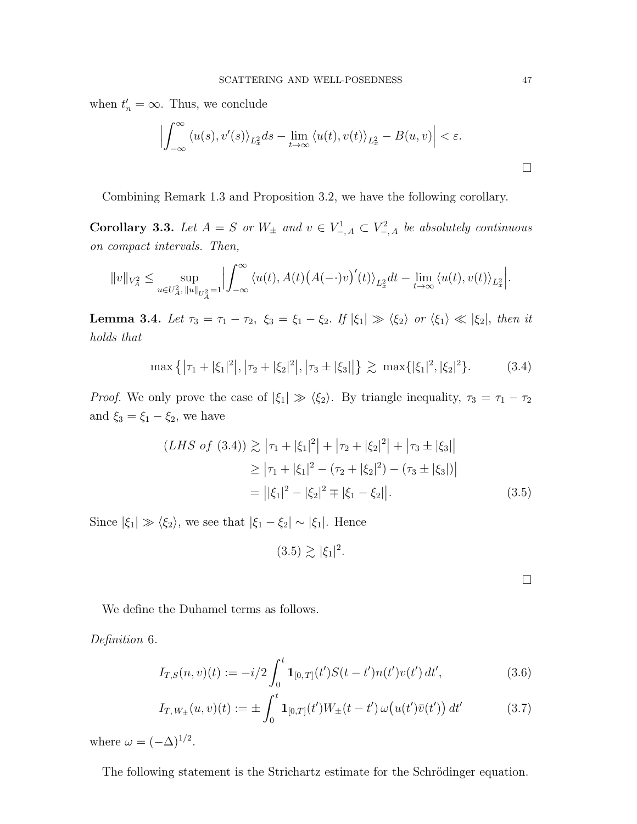when  $t'_n = \infty$ . Thus, we conclude

$$
\left| \int_{-\infty}^{\infty} \langle u(s), v'(s) \rangle_{L_x^2} ds - \lim_{t \to \infty} \langle u(t), v(t) \rangle_{L_x^2} - B(u, v) \right| < \varepsilon.
$$

Combining Remark 1.3 and Proposition 3.2, we have the following corollary.

Corollary 3.3. Let  $A = S$  or  $W_{\pm}$  and  $v \in V_{-,A}^1 \subset V_{-,A}^2$  be absolutely continuous on compact intervals. Then,

$$
||v||_{V_A^2}\leq \sup_{u\in U_A^2,\,||u||_{U_A^2}=1}\Bigl|\int_{-\infty}^\infty \langle u(t),A(t)\bigl(A(-\cdot)v\bigr)'(t)\rangle_{L_x^2}dt-\lim_{t\to\infty}\langle u(t),v(t)\rangle_{L_x^2}\Bigr|.
$$

Lemma 3.4. Let  $\tau_3 = \tau_1 - \tau_2$ ,  $\xi_3 = \xi_1 - \xi_2$ . If  $|\xi_1| \gg \langle \xi_2 \rangle$  or  $\langle \xi_1 \rangle \ll |\xi_2|$ , then it holds that

$$
\max\left\{|\tau_1+|\xi_1|^2|,|\tau_2+|\xi_2|^2|,|\tau_3\pm|\xi_3|\right\} \gtrsim \max\{|\xi_1|^2,|\xi_2|^2\}.\tag{3.4}
$$

*Proof.* We only prove the case of  $|\xi_1| \gg \langle \xi_2 \rangle$ . By triangle inequality,  $\tau_3 = \tau_1 - \tau_2$ and  $\xi_3 = \xi_1 - \xi_2$ , we have

$$
(LHS of (3.4)) \gtrsim |\tau_1 + |\xi_1|^2 + |\tau_2 + |\xi_2|^2 + |\tau_3 \pm |\xi_3||
$$
  
\n
$$
\geq |\tau_1 + |\xi_1|^2 - (\tau_2 + |\xi_2|^2) - (\tau_3 \pm |\xi_3|)|
$$
  
\n
$$
= ||\xi_1|^2 - |\xi_2|^2 \mp |\xi_1 - \xi_2| |.
$$
 (3.5)

Since  $|\xi_1| \gg \langle \xi_2 \rangle$ , we see that  $|\xi_1 - \xi_2| \sim |\xi_1|$ . Hence

$$
(3.5) \gtrsim |\xi_1|^2.
$$

We define the Duhamel terms as follows.

Definition 6.

$$
I_{T,S}(n,v)(t) := -i/2 \int_0^t \mathbf{1}_{[0,T]}(t') S(t-t') n(t') v(t') dt', \qquad (3.6)
$$

$$
I_{T,W_{\pm}}(u,v)(t) := \pm \int_0^t \mathbf{1}_{[0,T]}(t')W_{\pm}(t-t')\,\omega\big(u(t')\bar{v}(t')\big)\,dt'
$$
(3.7)

where  $\omega = (-\Delta)^{1/2}$ .

The following statement is the Strichartz estimate for the Schrödinger equation.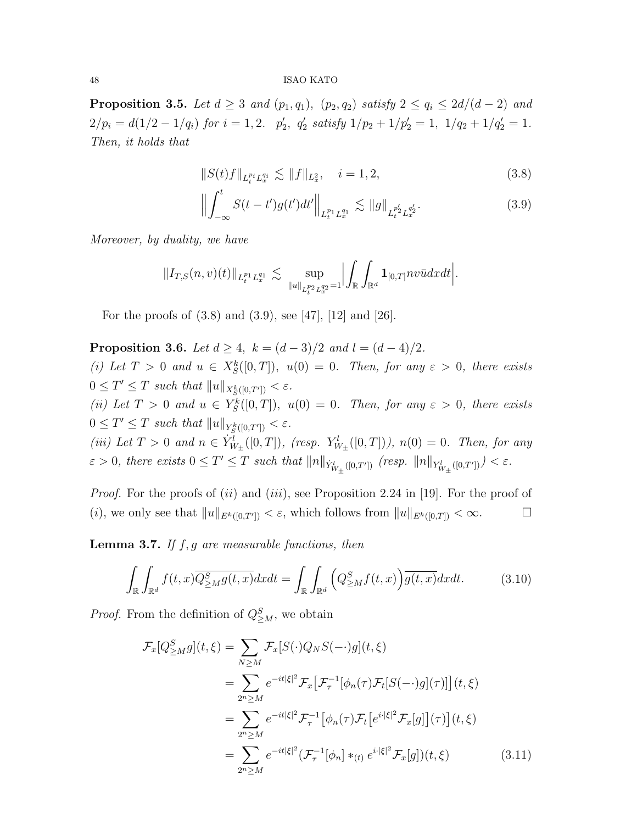**Proposition 3.5.** Let  $d \geq 3$  and  $(p_1, q_1)$ ,  $(p_2, q_2)$  satisfy  $2 \leq q_i \leq 2d/(d-2)$  and  $2/p_i = d(1/2 - 1/q_i)$  for  $i = 1, 2$ .  $p'_2$ ,  $q'_2$  satisfy  $1/p_2 + 1/p'_2 = 1$ ,  $1/q_2 + 1/q'_2 = 1$ . Then, it holds that

$$
||S(t)f||_{L_t^{p_i}L_x^{q_i}} \lesssim ||f||_{L_x^2}, \quad i = 1, 2,
$$
\n(3.8)

$$
\left\| \int_{-\infty}^{t} S(t - t') g(t') dt' \right\|_{L_{t}^{p_{1}} L_{x}^{q_{1}}} \lesssim \left\| g \right\|_{L_{t}^{p'_{2}} L_{x}^{q'_{2}}}.
$$
\n(3.9)

Moreover, by duality, we have

$$
||I_{T,S}(n,v)(t)||_{L_t^{p_1}L_x^{q_1}} \lesssim \sup_{||u||_{L_t^{p_2}L_x^{q_2}}=1} \Bigl|\int_{\mathbb{R}} \int_{\mathbb{R}^d} \mathbf{1}_{[0,T]}nv\bar{u}dxdt\Bigr|.
$$

For the proofs of (3.8) and (3.9), see [47], [12] and [26].

**Proposition 3.6.** Let  $d \geq 4$ ,  $k = (d-3)/2$  and  $l = (d-4)/2$ . (i) Let  $T > 0$  and  $u \in X_S^k([0,T])$ ,  $u(0) = 0$ . Then, for any  $\varepsilon > 0$ , there exists  $0 \leq T' \leq T$  such that  $||u||_{X_{S}^{k}([0,T'])} < \varepsilon$ . (ii) Let  $T > 0$  and  $u \in Y_S^k([0,T])$ ,  $u(0) = 0$ . Then, for any  $\varepsilon > 0$ , there exists  $0 \leq T' \leq T$  such that  $||u||_{Y_{S}^{k}([0,T'])} < \varepsilon$ . (iii) Let  $T > 0$  and  $n \in \dot{Y}_{W_{\pm}}^l([0,T])$ , (resp.  $Y_{W_{\pm}}^l([0,T])$ ),  $n(0) = 0$ . Then, for any  $\varepsilon > 0$ , there exists  $0 \leq T' \leq T$  such that  $||n||_{\dot{Y}_{W_{\pm}}^{l}([0,T'])}$  (resp.  $||n||_{Y_{W_{\pm}}^{l}([0,T'])} < \varepsilon$ .

*Proof.* For the proofs of  $(ii)$  and  $(iii)$ , see Proposition 2.24 in [19]. For the proof of (i), we only see that  $||u||_{E^k([0,T'])} < \varepsilon$ , which follows from  $||u||_{E^k([0,T])} < \infty$ .

**Lemma 3.7.** If  $f, g$  are measurable functions, then

$$
\int_{\mathbb{R}} \int_{\mathbb{R}^d} f(t,x) \overline{Q^S_{\geq M} g(t,x)} dx dt = \int_{\mathbb{R}} \int_{\mathbb{R}^d} \left( Q^S_{\geq M} f(t,x) \right) \overline{g(t,x)} dx dt. \tag{3.10}
$$

*Proof.* From the definition of  $Q_{\geq M}^S$ , we obtain

$$
\mathcal{F}_x[Q_{\geq M}^S g](t,\xi) = \sum_{N\geq M} \mathcal{F}_x[S(\cdot)Q_N S(-\cdot)g](t,\xi)
$$
  
\n
$$
= \sum_{2^n\geq M} e^{-it|\xi|^2} \mathcal{F}_x[\mathcal{F}_\tau^{-1}[\phi_n(\tau) \mathcal{F}_t[S(-\cdot)g](\tau)]](t,\xi)
$$
  
\n
$$
= \sum_{2^n\geq M} e^{-it|\xi|^2} \mathcal{F}_\tau^{-1}[\phi_n(\tau) \mathcal{F}_t[e^{i\cdot|\xi|^2} \mathcal{F}_x[g]](\tau)](t,\xi)
$$
  
\n
$$
= \sum_{2^n\geq M} e^{-it|\xi|^2} (\mathcal{F}_\tau^{-1}[\phi_n] *_{(t)} e^{i\cdot|\xi|^2} \mathcal{F}_x[g])(t,\xi)
$$
(3.11)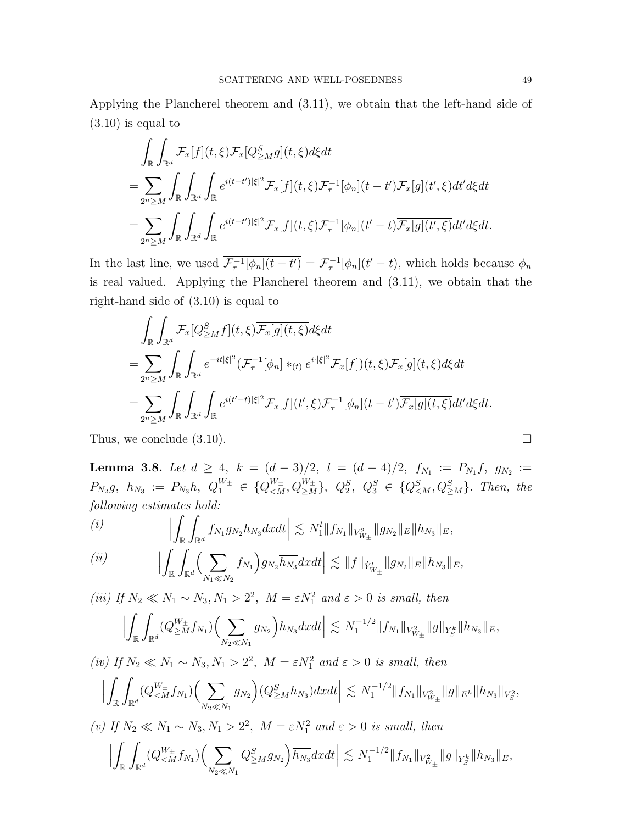Applying the Plancherel theorem and (3.11), we obtain that the left-hand side of (3.10) is equal to

$$
\int_{\mathbb{R}} \int_{\mathbb{R}^d} \mathcal{F}_x[f](t,\xi) \overline{\mathcal{F}_x[Q_{\geq M}^S g](t,\xi)} d\xi dt \n= \sum_{2^n \geq M} \int_{\mathbb{R}} \int_{\mathbb{R}^d} \int_{\mathbb{R}} e^{i(t-t')|\xi|^2} \mathcal{F}_x[f](t,\xi) \overline{\mathcal{F}_\tau^{-1}}[\phi_n](t-t') \mathcal{F}_x[g](t',\xi) dt' d\xi dt \n= \sum_{2^n \geq M} \int_{\mathbb{R}} \int_{\mathbb{R}^d} \int_{\mathbb{R}} e^{i(t-t')|\xi|^2} \mathcal{F}_x[f](t,\xi) \mathcal{F}_\tau^{-1}[\phi_n](t'-t) \overline{\mathcal{F}_x[g](t',\xi)} dt' d\xi dt.
$$

In the last line, we used  $\overline{\mathcal{F}_{\tau}^{-1}[\phi_n](t-t')} = \mathcal{F}_{\tau}^{-1}[\phi_n](t'-t)$ , which holds because  $\phi_n$ is real valued. Applying the Plancherel theorem and (3.11), we obtain that the right-hand side of (3.10) is equal to

$$
\int_{\mathbb{R}} \int_{\mathbb{R}^d} \mathcal{F}_x[Q_{\geq M}^S f](t,\xi) \overline{\mathcal{F}_x[g](t,\xi)} d\xi dt \n= \sum_{2^n \geq M} \int_{\mathbb{R}} \int_{\mathbb{R}^d} e^{-it|\xi|^2} (\mathcal{F}_\tau^{-1}[\phi_n] \ast_{(t)} e^{i\cdot|\xi|^2} \mathcal{F}_x[f])(t,\xi) \overline{\mathcal{F}_x[g](t,\xi)} d\xi dt \n= \sum_{2^n \geq M} \int_{\mathbb{R}} \int_{\mathbb{R}^d} \int_{\mathbb{R}} e^{i(t'-t)|\xi|^2} \mathcal{F}_x[f](t',\xi) \mathcal{F}_\tau^{-1}[\phi_n](t-t') \overline{\mathcal{F}_x[g](t,\xi)} dt' d\xi dt.
$$

Thus, we conclude  $(3.10)$ .

**Lemma 3.8.** Let  $d \geq 4$ ,  $k = (d-3)/2$ ,  $l = (d-4)/2$ ,  $f_{N_1} := P_{N_1}f$ ,  $g_{N_2} :=$  $P_{N_2}g, h_{N_3} := P_{N_3}h, Q_1^{W_{\pm}} \in \{Q_{ Then, the$ following estimates hold:

(i) 
$$
\left| \int_{\mathbb{R}} \int_{\mathbb{R}^d} f_{N_1} g_{N_2} \overline{h_{N_3}} dx dt \right| \lesssim N_1^l \| f_{N_1} \|_{V_{W_{\pm}}^2} \| g_{N_2} \|_{E} \| h_{N_3} \|_{E},
$$
  
(ii) 
$$
\left| \int_{\mathbb{R}} \int_{\mathbb{R}} \left( \sum_{n=1}^{\infty} f_{N_1} \right) dx dt \right| \lesssim N_1^l \| f_{N_1} \|_{V_{W_{\pm}}^2} \| g_{N_2} \|_{E} \| h_{N_3} \|_{E},
$$

$$
(ii) \qquad \qquad \Big| \int_{\mathbb{R}} \int_{\mathbb{R}^d} \Big( \sum_{N_1 \ll N_2} f_{N_1} \Big) g_{N_2} \overline{h_{N_3}} dx dt \Big| \lesssim \|f\|_{\dot{Y}_{W_{\pm}}^l} \|g_{N_2}\|_E \|h_{N_3}\|_E,
$$

(iii) If  $N_2 \ll N_1 \sim N_3, N_1 > 2^2$ ,  $M = \varepsilon N_1^2$  and  $\varepsilon > 0$  is small, then

$$
\Big|\int_{\mathbb{R}}\int_{\mathbb{R}^d}(Q_{\geq M}^{W_{\pm}}f_{N_1})\Big(\sum_{N_2\ll N_1}g_{N_2}\Big)\overline{h_{N_3}}dxdt\Big|\lesssim N_1^{-1/2}\|f_{N_1}\|_{V^2_{W_{\pm}}}\|g\|_{Y^k_S}\|h_{N_3}\|_E,
$$

(iv) If  $N_2 \ll N_1 \sim N_3, N_1 > 2^2, M = \varepsilon N_1^2$  and  $\varepsilon > 0$  is small, then

$$
\Big|\int_{\mathbb{R}}\int_{\mathbb{R}^d}(Q_{\leq M}^{W_{\pm}}f_{N_1})\Big(\sum_{N_2\ll N_1}g_{N_2}\Big)\overline{(Q_{\geq M}^Sh_{N_3})}dxdt\Big|\lesssim N_1^{-1/2}\|f_{N_1}\|_{V^2_{W_{\pm}}}\|g\|_{E^k}\|h_{N_3}\|_{V^2_{S}},
$$

(v) If  $N_2 \ll N_1 \sim N_3, N_1 > 2^2$ ,  $M = \varepsilon N_1^2$  and  $\varepsilon > 0$  is small, then

$$
\Big|\int_{\mathbb{R}}\int_{\mathbb{R}^d}(Q_{\leq M}^{W_{\pm}}f_{N_1})\Big(\sum_{N_2\ll N_1}Q_{\geq M}^Sg_{N_2}\Big)\overline{h_{N_3}}dxdt\Big|\lesssim N_1^{-1/2}\|f_{N_1}\|_{V^2_{W_{\pm}}}\|g\|_{Y^k_S}\|h_{N_3}\|_E,
$$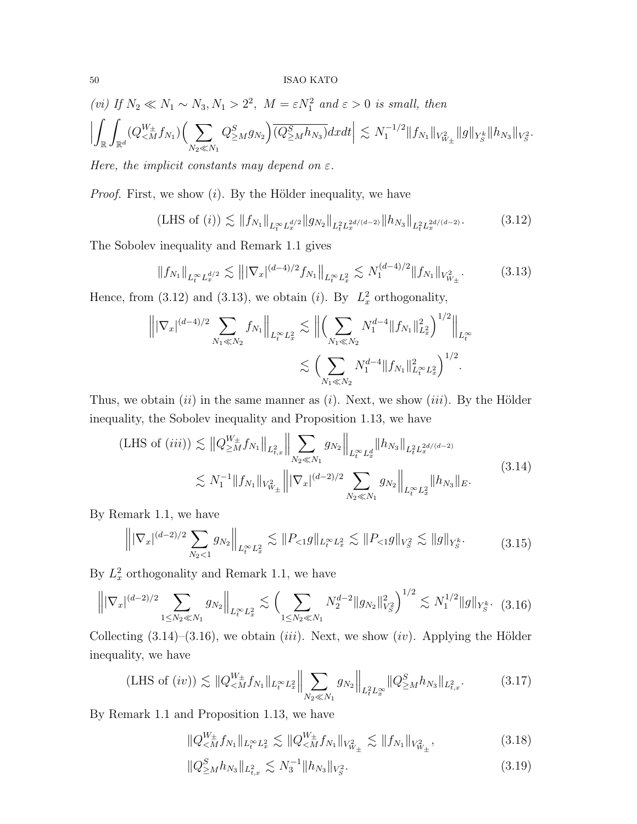$$
(vi) If N_2 \ll N_1 \sim N_3, N_1 > 2^2, M = \varepsilon N_1^2 \text{ and } \varepsilon > 0 \text{ is small, then}
$$
  

$$
\left| \int_{\mathbb{R}} \int_{\mathbb{R}^d} (Q_{\leq M}^{W_{\pm}} f_{N_1}) \Big( \sum_{N_2 \ll N_1} Q_{\geq M}^S g_{N_2} \Big) \overline{(Q_{\geq M}^S h_{N_3})} dxdt \right| \lesssim N_1^{-1/2} \|f_{N_1}\|_{V_{W_{\pm}}^2} \|g\|_{Y_S^k} \|h_{N_3}\|_{V_S^2}.
$$

Here, the implicit constants may depend on  $\varepsilon$ .

*Proof.* First, we show  $(i)$ . By the Hölder inequality, we have

(LHS of (i)) 
$$
\lesssim ||f_{N_1}||_{L_t^{\infty} L_x^{d/2}} ||g_{N_2}||_{L_t^2 L_x^{2d/(d-2)}} ||h_{N_3}||_{L_t^2 L_x^{2d/(d-2)}}.
$$
 (3.12)

The Sobolev inequality and Remark 1.1 gives

$$
||f_{N_1}||_{L_t^{\infty}L_x^{d/2}} \lesssim |||\nabla_x|^{(d-4)/2} f_{N_1}||_{L_t^{\infty}L_x^2} \lesssim N_1^{(d-4)/2} ||f_{N_1}||_{V_{W_\pm}^2}.
$$
 (3.13)

Hence, from (3.12) and (3.13), we obtain (*i*). By  $L_x^2$  orthogonality,

$$
\left\| |\nabla_x|^{(d-4)/2} \sum_{N_1 \ll N_2} f_{N_1} \right\|_{L_t^{\infty} L_x^2} \lesssim \left\| \left( \sum_{N_1 \ll N_2} N_1^{d-4} \| f_{N_1} \|^2_{L_x^2} \right)^{1/2} \right\|_{L_t^{\infty}}
$$
  

$$
\lesssim \left( \sum_{N_1 \ll N_2} N_1^{d-4} \| f_{N_1} \|^2_{L_t^{\infty} L_x^2} \right)^{1/2}.
$$

Thus, we obtain  $(ii)$  in the same manner as  $(i)$ . Next, we show  $(iii)$ . By the Hölder inequality, the Sobolev inequality and Proposition 1.13, we have

$$
\begin{split} \text{(LHS of (iii))} &\lesssim \|Q_{\geq M}^{W_{\pm}} f_{N_1}\|_{L^2_{t,x}} \left\| \sum_{N_2 \ll N_1} g_{N_2} \right\|_{L^{\infty}_t L^d_x} \|h_{N_3}\|_{L^2_t L^{2d/(d-2)}_x} \\ &\lesssim N_1^{-1} \|f_{N_1}\|_{V^2_{W_{\pm}}} \left\| |\nabla_x|^{(d-2)/2} \sum_{N_2 \ll N_1} g_{N_2} \right\|_{L^{\infty}_t L^2_x} \|h_{N_3}\|_E. \end{split} \tag{3.14}
$$

By Remark 1.1, we have

$$
\left\| |\nabla_x|^{(d-2)/2} \sum_{N_2 < 1} g_{N_2} \right\|_{L_t^\infty L_x^2} \lesssim \|P_{< 1} g\|_{L_t^\infty L_x^2} \lesssim \|P_{< 1} g\|_{V_S^2} \lesssim \|g\|_{Y_S^k}.\tag{3.15}
$$

By  $L_x^2$  orthogonality and Remark 1.1, we have

$$
\left\| |\nabla_x|^{(d-2)/2} \sum_{1 \le N_2 \ll N_1} g_{N_2} \right\|_{L_t^{\infty} L_x^2} \lesssim \left( \sum_{1 \le N_2 \ll N_1} N_2^{d-2} \|g_{N_2}\|_{V_S^2}^2 \right)^{1/2} \lesssim N_1^{1/2} \|g\|_{Y_S^k}.
$$
 (3.16)

Collecting  $(3.14)$ – $(3.16)$ , we obtain *(iii)*. Next, we show *(iv)*. Applying the Hölder inequality, we have

(LHS of (iv)) 
$$
\lesssim \|Q_{\leq M}^{W_{\pm}} f_{N_1}\|_{L_t^{\infty} L_x^2} \Big\| \sum_{N_2 \ll N_1} g_{N_2} \Big\|_{L_t^2 L_x^{\infty}} \|Q_{\geq M}^S h_{N_3}\|_{L_{t,x}^2}.
$$
 (3.17)

By Remark 1.1 and Proposition 1.13, we have

$$
||Q_{\leq M}^{W_{\pm}} f_{N_1}||_{L_t^{\infty} L_x^2} \lesssim ||Q_{\leq M}^{W_{\pm}} f_{N_1}||_{V_{W_{\pm}}^2} \lesssim ||f_{N_1}||_{V_{W_{\pm}}^2},
$$
\n(3.18)

$$
||Q_{\geq M}^S h_{N_3}||_{L^2_{t,x}} \lesssim N_3^{-1} ||h_{N_3}||_{V_S^2}.
$$
\n(3.19)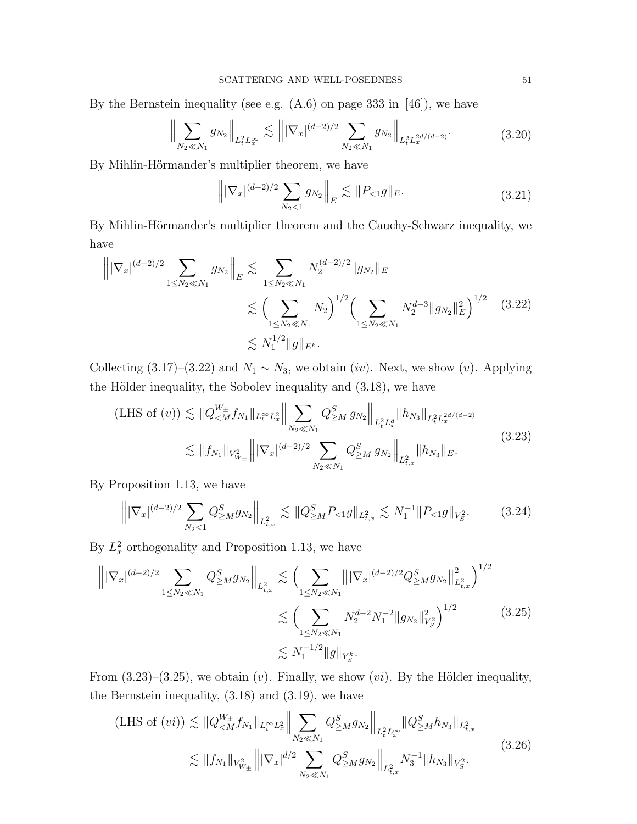By the Bernstein inequality (see e.g.  $(A.6)$  on page 333 in [46]), we have

$$
\left\| \sum_{N_2 \ll N_1} g_{N_2} \right\|_{L_t^2 L_x^{\infty}} \lesssim \left\| |\nabla_x|^{(d-2)/2} \sum_{N_2 \ll N_1} g_{N_2} \right\|_{L_t^2 L_x^{2d/(d-2)}}.
$$
 (3.20)

By Mihlin-Hörmander's multiplier theorem, we have

$$
\left\| |\nabla_x|^{(d-2)/2} \sum_{N_2 < 1} g_{N_2} \right\|_E \lesssim \|P_{< 1} g\|_E. \tag{3.21}
$$

By Mihlin-Hörmander's multiplier theorem and the Cauchy-Schwarz inequality, we have

$$
\left\| |\nabla_x|^{(d-2)/2} \sum_{1 \le N_2 \ll N_1} g_{N_2} \right\|_E \lesssim \sum_{1 \le N_2 \ll N_1} N_2^{(d-2)/2} \|g_{N_2}\|_E
$$
  

$$
\lesssim \left( \sum_{1 \le N_2 \ll N_1} N_2 \right)^{1/2} \left( \sum_{1 \le N_2 \ll N_1} N_2^{d-3} \|g_{N_2}\|_E^2 \right)^{1/2} (3.22)
$$
  

$$
\lesssim N_1^{1/2} \|g\|_{E^k}.
$$

Collecting (3.17)–(3.22) and  $N_1 \sim N_3$ , we obtain (*iv*). Next, we show (*v*). Applying the Hölder inequality, the Sobolev inequality and  $(3.18)$ , we have

$$
\begin{split} \text{(LHS of (v))} &\lesssim \|Q_{\leq M}^{W_{\pm}} f_{N_1}\|_{L_t^{\infty} L_x^2} \Big\| \sum_{N_2 \ll N_1} Q_{\geq M}^S g_{N_2} \Big\|_{L_t^2 L_x^d} \|h_{N_3}\|_{L_t^2 L_x^{2d/(d-2)}}\\ &\lesssim \|f_{N_1}\|_{V_{W_{\pm}}^2} \Big\| |\nabla_x|^{(d-2)/2} \sum_{N_2 \ll N_1} Q_{\geq M}^S g_{N_2} \Big\|_{L_{t,x}^2} \|h_{N_3}\|_E. \end{split} \tag{3.23}
$$

By Proposition 1.13, we have

$$
\left\| |\nabla_x|^{(d-2)/2} \sum_{N_2 < 1} Q^S_{\geq M} g_{N_2} \right\|_{L^2_{t,x}} \lesssim \| Q^S_{\geq M} P_{\leq 1} g \|_{L^2_{t,x}} \lesssim N_1^{-1} \| P_{\leq 1} g \|_{V^2_{\mathcal{S}}}.\tag{3.24}
$$

By  $L_x^2$  orthogonality and Proposition 1.13, we have

$$
\left\| |\nabla_x|^{(d-2)/2} \sum_{1 \le N_2 \ll N_1} Q_{\ge M}^S g_{N_2} \right\|_{L^2_{t,x}} \lesssim \left( \sum_{1 \le N_2 \ll N_1} \left\| |\nabla_x|^{(d-2)/2} Q_{\ge M}^S g_{N_2} \right\|_{L^2_{t,x}}^2 \right)^{1/2} \lesssim \left( \sum_{1 \le N_2 \ll N_1} N_2^{d-2} N_1^{-2} \| g_{N_2} \|_{V_S^2}^2 \right)^{1/2} \lesssim N_1^{-1/2} \| g \|_{Y_S^k}.
$$
\n(3.25)

From  $(3.23)$ – $(3.25)$ , we obtain  $(v)$ . Finally, we show  $(vi)$ . By the Hölder inequality, the Bernstein inequality, (3.18) and (3.19), we have

$$
\begin{split} \text{(LHS of (vi))} &\lesssim \|Q_{\leq M}^{W_{\pm}} f_{N_1}\|_{L_t^{\infty} L_x^2} \Big\| \sum_{N_2 \ll N_1} Q_{\geq M}^S g_{N_2} \Big\|_{L_t^2 L_x^{\infty}} \|Q_{\geq M}^S h_{N_3}\|_{L_{t,x}^2} \\ &\lesssim \|f_{N_1}\|_{V_{W_{\pm}}^2} \Big\| |\nabla_x|^{d/2} \sum_{N_2 \ll N_1} Q_{\geq M}^S g_{N_2} \Big\|_{L_{t,x}^2} N_3^{-1} \|h_{N_3}\|_{V_S^2} . \end{split} \tag{3.26}
$$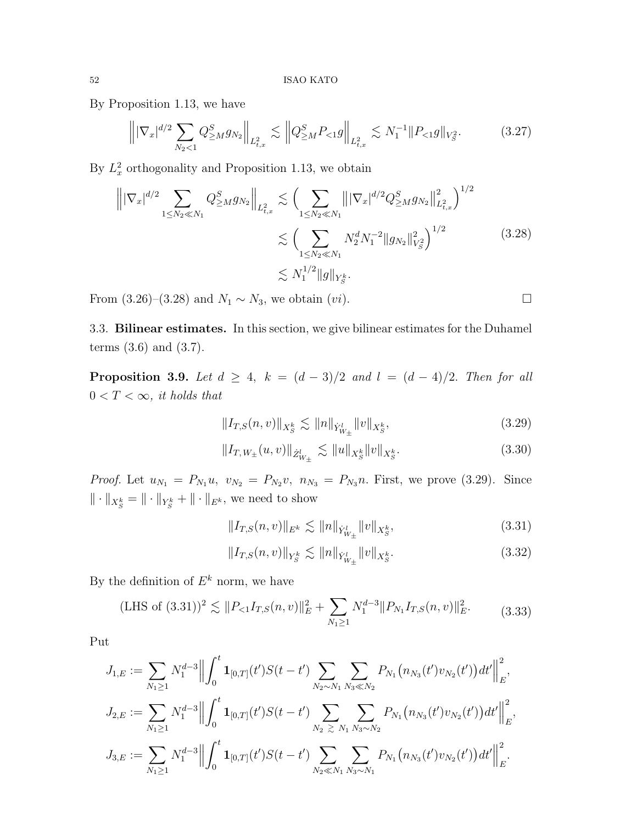By Proposition 1.13, we have

$$
\left\| |\nabla_x|^{d/2} \sum_{N_2 < 1} Q^S_{\geq M} g_{N_2} \right\|_{L^2_{t,x}} \lesssim \left\| Q^S_{\geq M} P_{\leq 1} g \right\|_{L^2_{t,x}} \lesssim N_1^{-1} \| P_{\leq 1} g \|_{V^2_S} . \tag{3.27}
$$

By  $L_x^2$  orthogonality and Proposition 1.13, we obtain

$$
\left\| |\nabla_x|^{d/2} \sum_{1 \le N_2 \ll N_1} Q_{\ge M}^S g_{N_2} \right\|_{L^2_{t,x}} \lesssim \left( \sum_{1 \le N_2 \ll N_1} \left\| |\nabla_x|^{d/2} Q_{\ge M}^S g_{N_2} \right\|_{L^2_{t,x}}^2 \right)^{1/2} \lesssim \left( \sum_{1 \le N_2 \ll N_1} N_2^d N_1^{-2} \| g_{N_2} \|^2_{V_S^2} \right)^{1/2} \lesssim N_1^{1/2} \| g \|_{Y_S^k} . \tag{3.28}
$$

From (3.26)–(3.28) and  $N_1 \sim N_3$ , we obtain  $(vi)$ . □

3.3. Bilinear estimates. In this section, we give bilinear estimates for the Duhamel terms (3.6) and (3.7).

**Proposition 3.9.** Let  $d \geq 4$ ,  $k = (d-3)/2$  and  $l = (d-4)/2$ . Then for all  $0 < T < \infty$ , it holds that

$$
||I_{T,S}(n,v)||_{X_{S}^{k}} \lesssim ||n||_{\dot{Y}_{W_{\pm}}^{l}} ||v||_{X_{S}^{k}}, \tag{3.29}
$$

$$
||I_{T,W_{\pm}}(u,v)||_{\dot{Z}_{W_{\pm}}^{l}} \lesssim ||u||_{X_{S}^{k}}||v||_{X_{S}^{k}}.
$$
\n(3.30)

*Proof.* Let  $u_{N_1} = P_{N_1}u$ ,  $v_{N_2} = P_{N_2}v$ ,  $n_{N_3} = P_{N_3}n$ . First, we prove (3.29). Since  $\|\cdot\|_{X^{k}_{S}} = \|\cdot\|_{Y^{k}_{S}} + \|\cdot\|_{E^{k}}$ , we need to show

$$
||I_{T,S}(n,v)||_{E^k} \lesssim ||n||_{\dot{Y}_{W_{\pm}}^l} ||v||_{X_S^k},
$$
\n(3.31)

$$
||I_{T,S}(n,v)||_{Y_S^k} \lesssim ||n||_{\dot{Y}_{W_{\pm}}^l} ||v||_{X_S^k}.
$$
\n(3.32)

By the definition of  $E^k$  norm, we have

(LHS of (3.31))<sup>2</sup> 
$$
\lesssim ||P_{<1}I_{T,S}(n,v)||_E^2 + \sum_{N_1 \ge 1} N_1^{d-3} ||P_{N_1}I_{T,S}(n,v)||_E^2.
$$
 (3.33)

Put

$$
J_{1,E} := \sum_{N_1 \geq 1} N_1^{d-3} \Big\| \int_0^t \mathbf{1}_{[0,T]}(t') S(t-t') \sum_{N_2 \sim N_1} \sum_{N_3 \ll N_2} P_{N_1}(n_{N_3}(t') v_{N_2}(t')) dt' \Big\|_E^2,
$$
  
\n
$$
J_{2,E} := \sum_{N_1 \geq 1} N_1^{d-3} \Big\| \int_0^t \mathbf{1}_{[0,T]}(t') S(t-t') \sum_{N_2 \geq N_1} \sum_{N_3 \sim N_2} P_{N_1}(n_{N_3}(t') v_{N_2}(t')) dt' \Big\|_E^2,
$$
  
\n
$$
J_{3,E} := \sum_{N_1 \geq 1} N_1^{d-3} \Big\| \int_0^t \mathbf{1}_{[0,T]}(t') S(t-t') \sum_{N_2 \ll N_1} \sum_{N_3 \sim N_1} P_{N_1}(n_{N_3}(t') v_{N_2}(t')) dt' \Big\|_E^2.
$$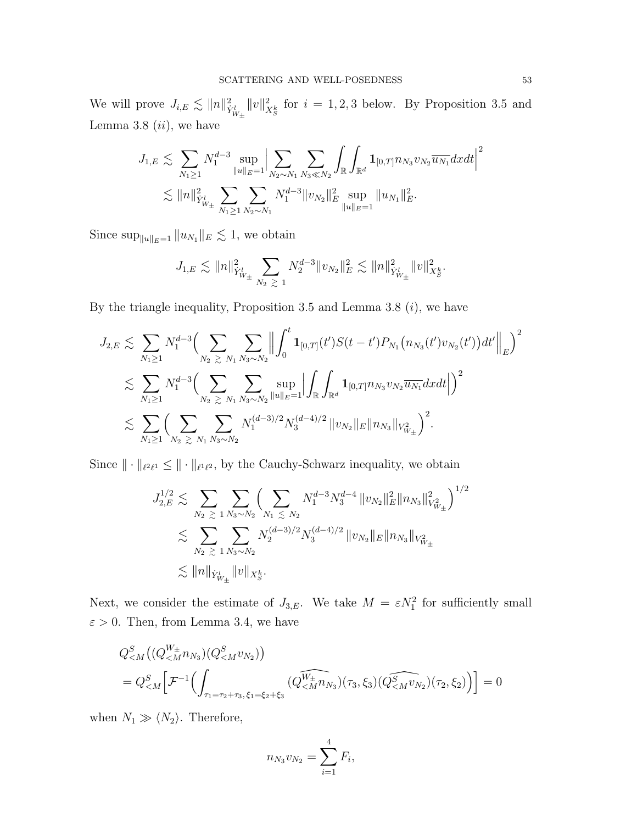We will prove  $J_{i,E} \lesssim ||n||_{\dot{Y}_{W_{\pm}}^{l}}^2$  $||v||^2_{X^k_S}$  for  $i = 1, 2, 3$  below. By Proposition 3.5 and Lemma 3.8  $(ii)$ , we have

$$
J_{1,E} \lesssim \sum_{N_1 \geq 1} N_1^{d-3} \sup_{\|u\|_E = 1} \Big| \sum_{N_2 \sim N_1} \sum_{N_3 \ll N_2} \int_{\mathbb{R}} \int_{\mathbb{R}^d} \mathbf{1}_{[0,T]} n_{N_3} v_{N_2} \overline{u_{N_1}} dxdt \Big|^2
$$
  

$$
\lesssim \|n\|_{Y^l_{W_{\pm}}}^2 \sum_{N_1 \geq 1} \sum_{N_2 \sim N_1} N_1^{d-3} \|v_{N_2}\|_E^2 \sup_{\|u\|_E = 1} \|u_{N_1}\|_E^2.
$$

Since  $\sup_{\|u\|_E=1} \|u_{N_1}\|_E \lesssim 1$ , we obtain

$$
J_{1,E}\lesssim \|n\|^2_{Y^l_{W_{\pm}}}\sum_{N_2\ \gtrsim\ 1}N_2^{d-3}\|v_{N_2}\|^2_{E}\lesssim \|n\|^2_{Y^l_{W_{\pm}}}\|v\|^2_{X^k_S}.
$$

By the triangle inequality, Proposition 3.5 and Lemma 3.8  $(i)$ , we have

$$
J_{2,E} \lesssim \sum_{N_1 \geq 1} N_1^{d-3} \Big( \sum_{N_2 \geq N_1} \sum_{N_3 \sim N_2} \Big\| \int_0^t \mathbf{1}_{[0,T]}(t') S(t-t') P_{N_1}(n_{N_3}(t') v_{N_2}(t')) dt' \Big\|_E \Big)^2
$$
  
\$\lesssim \sum\_{N\_1 \geq 1} N\_1^{d-3} \Big( \sum\_{N\_2 \geq N\_1} \sum\_{N\_3 \sim N\_2} \sup\_{\|u\|\_E=1} \Big| \int\_{\mathbb{R}} \int\_{\mathbb{R}^d} \mathbf{1}\_{[0,T]} n\_{N\_3} v\_{N\_2} \overline{u\_{N\_1}} dx dt \Big| \Big)^2\$  
\$\lesssim \sum\_{N\_1 \geq 1} \Big( \sum\_{N\_2 \geq N\_1} \sum\_{N\_3 \sim N\_2} N\_1^{(d-3)/2} N\_3^{(d-4)/2} \|v\_{N\_2}\|\_E \|n\_{N\_3}\|\_{V^2\_{W\_{\pm}}}\Big)^2\$.

Since  $\|\cdot\|_{\ell^2\ell^1} \leq \|\cdot\|_{\ell^1\ell^2}$ , by the Cauchy-Schwarz inequality, we obtain

$$
J_{2,E}^{1/2} \lesssim \sum_{N_2 \geq 1} \sum_{N_3 \sim N_2} \left( \sum_{N_1 \leq N_2} N_1^{d-3} N_3^{d-4} \|v_{N_2}\|_E^2 \|n_{N_3}\|_{V_{W_{\pm}}^2}^2 \right)^{1/2}
$$
  

$$
\lesssim \sum_{N_2 \geq 1} \sum_{N_3 \sim N_2} N_2^{(d-3)/2} N_3^{(d-4)/2} \|v_{N_2}\|_E \|n_{N_3}\|_{V_{W_{\pm}}^2}
$$
  

$$
\lesssim \|n\|_{\dot{Y}_{W_{\pm}}^l} \|v\|_{X_S^k}.
$$

Next, we consider the estimate of  $J_{3,E}$ . We take  $M = \varepsilon N_1^2$  for sufficiently small  $\varepsilon > 0$ . Then, from Lemma 3.4, we have

$$
Q_{\leq M}^{S}((Q_{\leq M}^{W_{\pm}}n_{N_3})(Q_{\leq M}^{S}v_{N_2}))
$$
  
=  $Q_{\leq M}^{S} \Big[ \mathcal{F}^{-1} \Big( \int_{\tau_1 = \tau_2 + \tau_3, \xi_1 = \xi_2 + \xi_3} (Q_{\leq M}^{\widehat{W_{\pm}}n_{N_3}})(\tau_3, \xi_3)(Q_{\leq M}^{\widehat{S}}v_{N_2})(\tau_2, \xi_2) \Big) \Big] = 0$ 

when  $N_1 \gg \langle N_2 \rangle$ . Therefore,

$$
n_{N_3}v_{N_2} = \sum_{i=1}^4 F_i,
$$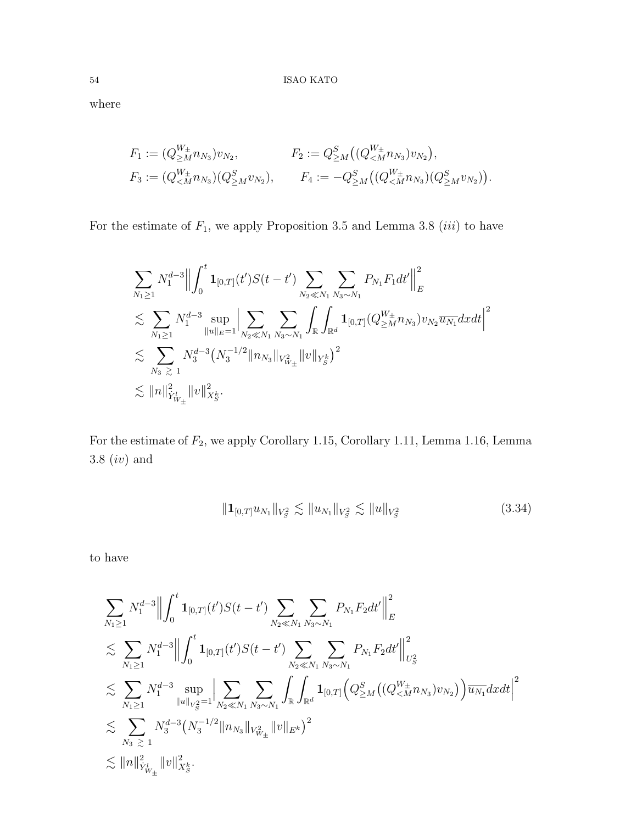where

$$
F_1 := (Q_{\geq M}^{W_{\pm}} n_{N_3}) v_{N_2}, \qquad F_2 := Q_{\geq M}^S((Q_{\leq M}^{W_{\pm}} n_{N_3}) v_{N_2}),
$$
  
\n
$$
F_3 := (Q_{\leq M}^{W_{\pm}} n_{N_3})(Q_{\geq M}^S v_{N_2}), \qquad F_4 := -Q_{\geq M}^S((Q_{\leq M}^{W_{\pm}} n_{N_3})(Q_{\geq M}^S v_{N_2})).
$$

For the estimate of  $F_1$ , we apply Proposition 3.5 and Lemma 3.8 (*iii*) to have

$$
\sum_{N_1 \geq 1} N_1^{d-3} \Big\| \int_0^t \mathbf{1}_{[0,T]}(t') S(t-t') \sum_{N_2 \ll N_1} \sum_{N_3 \sim N_1} P_{N_1} F_1 dt' \Big\|_E^2
$$
  
\n
$$
\lesssim \sum_{N_1 \geq 1} N_1^{d-3} \sup_{\|u\|_E = 1} \Big| \sum_{N_2 \ll N_1} \sum_{N_3 \sim N_1} \int_{\mathbb{R}} \int_{\mathbb{R}^d} \mathbf{1}_{[0,T]} (Q_{\geq M}^{W_{\pm}} n_{N_3}) v_{N_2} \overline{u_{N_1}} dx dt \Big|^2
$$
  
\n
$$
\lesssim \sum_{N_3} \sum_{\geq 1} N_3^{d-3} (N_3^{-1/2} \|n_{N_3}\|_{V_{W_{\pm}}^2} \|v\|_{Y_S^k})^2
$$
  
\n
$$
\lesssim \|n\|_{Y_{W_{\pm}}^2}^2 \|v\|_{X_S^k}^2.
$$

For the estimate of  $\mathcal{F}_2,$  we apply Corollary 1.15, Corollary 1.11, Lemma 1.16, Lemma 3.8 (iv) and

$$
||\mathbf{1}_{[0,T]}u_{N_1}||_{V_S^2} \lesssim ||u_{N_1}||_{V_S^2} \lesssim ||u||_{V_S^2}
$$
\n(3.34)

to have

$$
\sum_{N_1 \geq 1} N_1^{d-3} \Big\| \int_0^t \mathbf{1}_{[0,T]}(t') S(t-t') \sum_{N_2 \ll N_1} \sum_{N_3 \sim N_1} P_{N_1} F_2 dt' \Big\|_E^2
$$
\n
$$
\lesssim \sum_{N_1 \geq 1} N_1^{d-3} \Big\| \int_0^t \mathbf{1}_{[0,T]}(t') S(t-t') \sum_{N_2 \ll N_1} \sum_{N_3 \sim N_1} P_{N_1} F_2 dt' \Big\|_{U_S^2}^2
$$
\n
$$
\lesssim \sum_{N_1 \geq 1} N_1^{d-3} \sup_{\|u\|_{V_S^2} = 1} \Big| \sum_{N_2 \ll N_1} \sum_{N_3 \sim N_1} \int_{\mathbb{R}} \int_{\mathbb{R}^d} \mathbf{1}_{[0,T]} \Big( Q_{\geq M}^S \big( (Q_{\leq M}^{W_{\pm}} n_{N_3}) v_{N_2} \big) \Big) \overline{u_{N_1}} dx dt \Big\|^2
$$
\n
$$
\lesssim \sum_{N_3 \geq 1} N_3^{d-3} \big( N_3^{-1/2} \| n_{N_3} \|_{V_{W_{\pm}}^2} \| v \|_{E^k} \big)^2
$$
\n
$$
\lesssim \|n\|_{Y_{W_{\pm}}^2}^2 \| v \|_{X_S^k}^2.
$$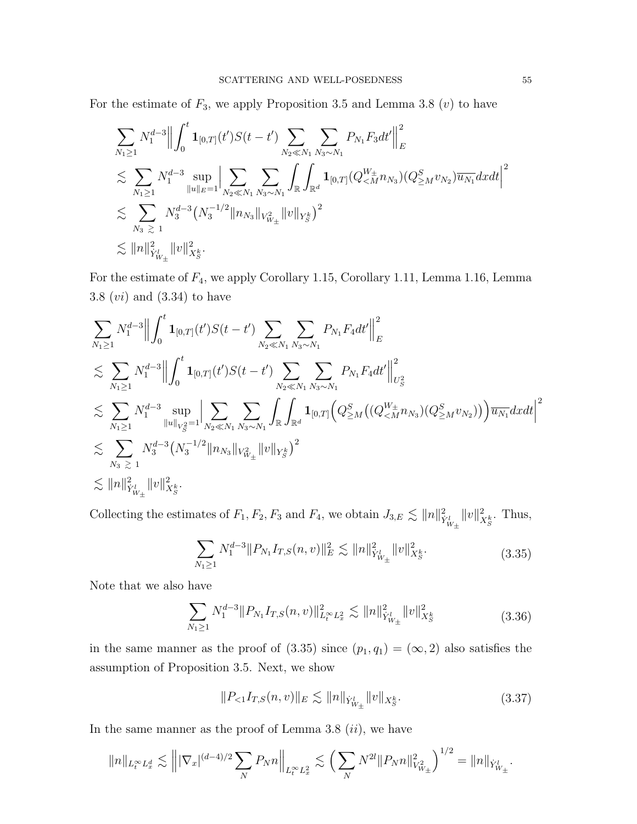For the estimate of  $F_3$ , we apply Proposition 3.5 and Lemma 3.8 (*v*) to have

$$
\sum_{N_1 \geq 1} N_1^{d-3} \Big\| \int_0^t \mathbf{1}_{[0,T]}(t') S(t-t') \sum_{N_2 \ll N_1} \sum_{N_3 \sim N_1} P_{N_1} F_3 dt' \Big\|_E^2
$$
  
\n
$$
\lesssim \sum_{N_1 \geq 1} N_1^{d-3} \sup_{\|u\|_E=1} \Big| \sum_{N_2 \ll N_1} \sum_{N_3 \sim N_1} \int_{\mathbb{R}} \int_{\mathbb{R}^d} \mathbf{1}_{[0,T]} (Q_{\leq M}^{W_{\pm}} n_{N_3}) (Q_{\geq M}^S v_{N_2}) \overline{u_{N_1}} dx dt \Big\|^2
$$
  
\n
$$
\lesssim \sum_{N_3 \geq 1} N_3^{d-3} (N_3^{-1/2} \|n_{N_3}\|_{V_{W_{\pm}}^2} \|v\|_{Y_S^k})^2
$$
  
\n
$$
\lesssim \|n\|_{Y_{W_{\pm}}^2}^2 \|v\|_{X_S^k}^2.
$$

For the estimate of F4, we apply Corollary 1.15, Corollary 1.11, Lemma 1.16, Lemma 3.8  $(vi)$  and  $(3.34)$  to have

$$
\sum_{N_1 \geq 1} N_1^{d-3} \Big\| \int_0^t \mathbf{1}_{[0,T]}(t') S(t-t') \sum_{N_2 \ll N_1} \sum_{N_3 \sim N_1} P_{N_1} F_4 dt' \Big\|_E^2
$$
\n
$$
\lesssim \sum_{N_1 \geq 1} N_1^{d-3} \Big\| \int_0^t \mathbf{1}_{[0,T]}(t') S(t-t') \sum_{N_2 \ll N_1} \sum_{N_3 \sim N_1} P_{N_1} F_4 dt' \Big\|_{U_S^2}^2
$$
\n
$$
\lesssim \sum_{N_1 \geq 1} N_1^{d-3} \sup_{\|u\|_{V_S^2} = 1} \Big| \sum_{N_2 \ll N_1} \sum_{N_3 \sim N_1} \int_{\mathbb{R}} \int_{\mathbb{R}^d} \mathbf{1}_{[0,T]} \Big( Q_{\geq M}^S \big( (Q_{\leq M}^{W_\pm} n_{N_3}) (Q_{\geq M}^S v_{N_2}) \big) \Big) \overline{u_{N_1}} dx dt \Big\|^2
$$
\n
$$
\lesssim \sum_{N_3} N_3^{d-3} (N_3^{-1/2} \|n_{N_3}\|_{V_{W_\pm}^2} \|v\|_{Y_S^k})^2
$$
\n
$$
\lesssim \|n\|_{Y_{W_\pm}}^2 \|v\|_{X_S^k}^2.
$$

Collecting the estimates of  $F_1, F_2, F_3$  and  $F_4$ , we obtain  $J_{3,E} \lesssim ||n||_{\dot{Y}_{W_{\pm}}^{1}}^2$  $||v||_{X^{k}_{S}}^{2}$ . Thus,

$$
\sum_{N_1 \ge 1} N_1^{d-3} \|P_{N_1} I_{T,S}(n,v)\|_E^2 \lesssim \|n\|_{\dot{Y}_{W_\pm}^l}^2 \|v\|_{X_S^k}^2. \tag{3.35}
$$

Note that we also have

$$
\sum_{N_1 \ge 1} N_1^{d-3} \| P_{N_1} I_{T,S}(n,v) \|_{L_t^\infty L_x^2}^2 \lesssim \| n \|_{\dot{Y}_{W_\pm}^l}^2 \| v \|_{X_S^k}^2 \tag{3.36}
$$

in the same manner as the proof of  $(3.35)$  since  $(p_1, q_1) = (\infty, 2)$  also satisfies the assumption of Proposition 3.5. Next, we show

$$
||P_{<1}I_{T,S}(n,v)||_{E} \lesssim ||n||_{\dot{Y}_{W_{\pm}}^{l}} ||v||_{X_{S}^{k}}.
$$
\n(3.37)

In the same manner as the proof of Lemma 3.8  $(ii)$ , we have

$$
||n||_{L_t^{\infty}L_x^d} \lesssim |||\nabla_x|^{(d-4)/2} \sum_N P_N n||_{L_t^{\infty}L_x^2} \lesssim \left(\sum_N N^{2l} ||P_N n||_{V_{W_\pm}^2}^2\right)^{1/2} = ||n||_{\dot{Y}_{W_\pm}^l}.
$$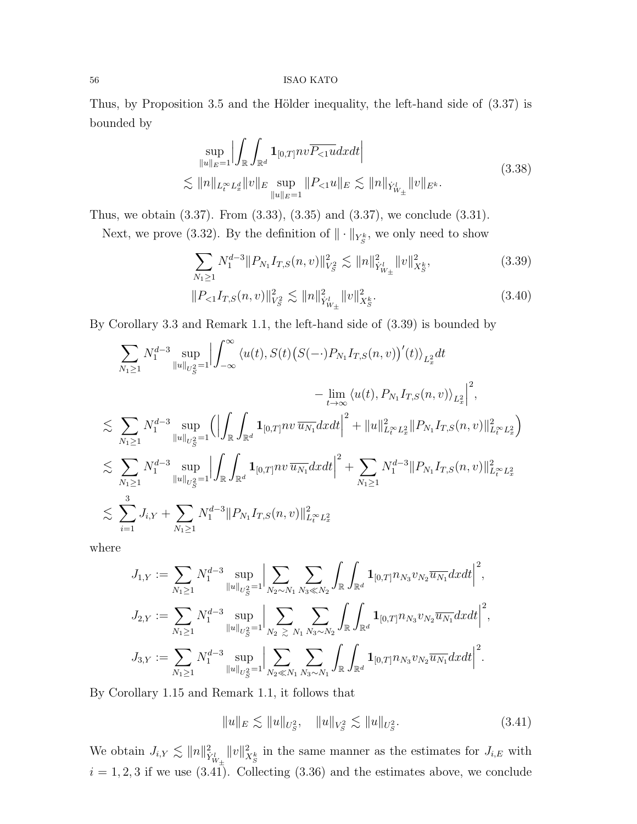Thus, by Proposition 3.5 and the Hölder inequality, the left-hand side of  $(3.37)$  is bounded by

$$
\sup_{\|u\|_{E}=1} \Big| \int_{\mathbb{R}} \int_{\mathbb{R}^{d}} \mathbf{1}_{[0,T]} n v \overline{P_{<1}} u dx dt \Big|
$$
\n
$$
\lesssim \|n\|_{L_{t}^{\infty} L_{x}^{d}} \|v\|_{E} \sup_{\|u\|_{E}=1} \|P_{<1} u\|_{E} \lesssim \|n\|_{\dot{Y}_{W_{\pm}}^{l}} \|v\|_{E^{k}}.
$$
\n(3.38)

Thus, we obtain (3.37). From (3.33), (3.35) and (3.37), we conclude (3.31).

Next, we prove (3.32). By the definition of  $\|\cdot\|_{Y^k_S}$ , we only need to show

$$
\sum_{N_1 \ge 1} N_1^{d-3} \|P_{N_1} I_{T,S}(n,v)\|_{V_S^2}^2 \lesssim \|n\|_{\dot{Y}_{W_\pm}^l}^2 \|v\|_{X_S^k}^2,\tag{3.39}
$$

$$
||P_{<1}I_{T,S}(n,v)||_{V_S^2}^2 \lesssim ||n||_{\dot{Y}_{W_{\pm}}}^2 ||v||_{X_S^k}^2. \tag{3.40}
$$

By Corollary 3.3 and Remark 1.1, the left-hand side of (3.39) is bounded by

$$
\sum_{N_1 \geq 1} N_1^{d-3} \sup_{\|u\|_{U_S^2} = 1} \left| \int_{-\infty}^{\infty} \langle u(t), S(t) (S(-\cdot) P_{N_1} I_{T,S}(n, v))'(t) \rangle_{L_x^2} dt \right|
$$
  
\n
$$
- \lim_{t \to \infty} \langle u(t), P_{N_1} I_{T,S}(n, v) \rangle_{L_x^2} \right|^2,
$$
  
\n
$$
\lesssim \sum_{N_1 \geq 1} N_1^{d-3} \sup_{\|u\|_{U_S^2} = 1} \left( \left| \int_{\mathbb{R}} \int_{\mathbb{R}^d} \mathbf{1}_{[0,T]} nv \, \overline{u_{N_1}} dx dt \right|^2 + \|u\|_{L_t^{\infty} L_x^2}^2 \|P_{N_1} I_{T,S}(n, v)\|_{L_t^{\infty} L_x^2}^2 \right)
$$
  
\n
$$
\lesssim \sum_{N_1 \geq 1} N_1^{d-3} \sup_{\|u\|_{U_S^2} = 1} \left| \int_{\mathbb{R}} \int_{\mathbb{R}^d} \mathbf{1}_{[0,T]} nv \, \overline{u_{N_1}} dx dt \right|^2 + \sum_{N_1 \geq 1} N_1^{d-3} \|P_{N_1} I_{T,S}(n, v)\|_{L_t^{\infty} L_x^2}^2
$$
  
\n
$$
\lesssim \sum_{i=1}^3 J_{i,Y} + \sum_{N_1 \geq 1} N_1^{d-3} \|P_{N_1} I_{T,S}(n, v)\|_{L_t^{\infty} L_x^2}^2
$$

where

$$
J_{1,Y} := \sum_{N_1 \geq 1} N_1^{d-3} \sup_{\|u\|_{U_S^2} = 1} \Big| \sum_{N_2 \sim N_1} \sum_{N_3 \ll N_2} \int_{\mathbb{R}} \int_{\mathbb{R}^d} \mathbf{1}_{[0,T]} n_{N_3} v_{N_2} \overline{u_{N_1}} dxdt \Big|^2,
$$
  

$$
J_{2,Y} := \sum_{N_1 \geq 1} N_1^{d-3} \sup_{\|u\|_{U_S^2} = 1} \Big| \sum_{N_2 \geq N_1} \sum_{N_3 \sim N_2} \int_{\mathbb{R}} \int_{\mathbb{R}^d} \mathbf{1}_{[0,T]} n_{N_3} v_{N_2} \overline{u_{N_1}} dxdt \Big|^2,
$$
  

$$
J_{3,Y} := \sum_{N_1 \geq 1} N_1^{d-3} \sup_{\|u\|_{U_S^2} = 1} \Big| \sum_{N_2 \ll N_1} \sum_{N_3 \sim N_1} \int_{\mathbb{R}} \int_{\mathbb{R}^d} \mathbf{1}_{[0,T]} n_{N_3} v_{N_2} \overline{u_{N_1}} dxdt \Big|^2.
$$

By Corollary 1.15 and Remark 1.1, it follows that

$$
||u||_E \lesssim ||u||_{U_S^2}, \quad ||u||_{V_S^2} \lesssim ||u||_{U_S^2}.
$$
\n(3.41)

We obtain  $J_{i,Y} \lesssim ||n||_{\dot{Y}_{W_{\pm}}^{l}}^2$  $||v||^2_{X_S^k}$  in the same manner as the estimates for  $J_{i,E}$  with  $i = 1, 2, 3$  if we use (3.41). Collecting (3.36) and the estimates above, we conclude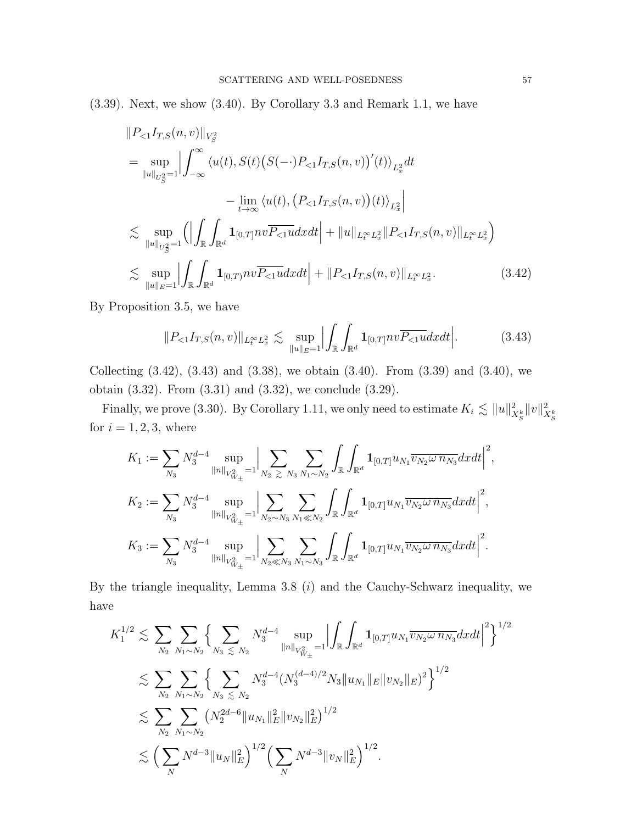(3.39). Next, we show (3.40). By Corollary 3.3 and Remark 1.1, we have

$$
||P_{<1}I_{T,S}(n,v)||_{V_{S}^{2}}
$$
\n
$$
= \sup_{||u||_{U_{S}^{2}}=1} \left| \int_{-\infty}^{\infty} \left\langle u(t), S(t) \left( S(-\cdot) P_{<1} I_{T,S}(n,v) \right)'(t) \right\rangle_{L_{x}^{2}} dt - \lim_{t \to \infty} \left\langle u(t), \left( P_{<1} I_{T,S}(n,v) \right) (t) \right\rangle_{L_{x}^{2}} \right|
$$
\n
$$
\lesssim \sup_{||u||_{U_{S}^{2}}=1} \left( \left| \int_{\mathbb{R}} \int_{\mathbb{R}^{d}} \mathbf{1}_{[0,T]} n v \overline{P_{<1}} u dx dt \right| + ||u||_{L_{t}^{\infty}L_{x}^{2}} ||P_{<1} I_{T,S}(n,v)||_{L_{t}^{\infty}L_{x}^{2}} \right)
$$
\n
$$
\lesssim \sup_{||u||_{E}=1} \left| \int_{\mathbb{R}} \int_{\mathbb{R}^{d}} \mathbf{1}_{[0,T]} n v \overline{P_{<1}} u dx dt \right| + ||P_{<1} I_{T,S}(n,v)||_{L_{t}^{\infty}L_{x}^{2}}.
$$
\n(3.42)

By Proposition 3.5, we have

$$
||P_{\leq 1}I_{T,S}(n,v)||_{L_t^{\infty}L_x^2} \lesssim \sup_{||u||_E=1} \Big| \int_{\mathbb{R}} \int_{\mathbb{R}^d} \mathbf{1}_{[0,T]} nv \overline{P_{\leq 1} u} dx dt \Big|.
$$
 (3.43)

Collecting  $(3.42)$ ,  $(3.43)$  and  $(3.38)$ , we obtain  $(3.40)$ . From  $(3.39)$  and  $(3.40)$ , we obtain (3.32). From (3.31) and (3.32), we conclude (3.29).

Finally, we prove (3.30). By Corollary 1.11, we only need to estimate  $K_i \lesssim ||u||_{X_S^k}^2 ||v||_{X_S^k}^2$ for  $i = 1, 2, 3$ , where

$$
K_1 := \sum_{N_3} N_3^{d-4} \sup_{\|n\|_{V_{W_{\pm}}^2} = 1} \Big| \sum_{N_2 \ge N_3} \sum_{N_1 \sim N_2} \int_{\mathbb{R}} \int_{\mathbb{R}^d} \mathbf{1}_{[0,T]} u_{N_1} \overline{v_{N_2} \omega n_{N_3}} dx dt \Big|^2,
$$
  
\n
$$
K_2 := \sum_{N_3} N_3^{d-4} \sup_{\|n\|_{V_{W_{\pm}}^2} = 1} \Big| \sum_{N_2 \sim N_3} \sum_{N_1 \ll N_2} \int_{\mathbb{R}} \int_{\mathbb{R}^d} \mathbf{1}_{[0,T]} u_{N_1} \overline{v_{N_2} \omega n_{N_3}} dx dt \Big|^2,
$$
  
\n
$$
K_3 := \sum_{N_3} N_3^{d-4} \sup_{\|n\|_{V_{W_{\pm}}^2} = 1} \Big| \sum_{N_2 \ll N_3} \sum_{N_1 \sim N_3} \int_{\mathbb{R}} \int_{\mathbb{R}^d} \mathbf{1}_{[0,T]} u_{N_1} \overline{v_{N_2} \omega n_{N_3}} dx dt \Big|^2.
$$

By the triangle inequality, Lemma 3.8  $(i)$  and the Cauchy-Schwarz inequality, we have

$$
K_1^{1/2} \lesssim \sum_{N_2} \sum_{N_1 \sim N_2} \left\{ \sum_{N_3 \le N_2} N_3^{d-4} \sup_{\|n\|_{V_{W_{\pm}}^2} = 1} \left| \int_{\mathbb{R}} \int_{\mathbb{R}^d} \mathbf{1}_{[0,T]} u_{N_1} \overline{v_{N_2} \omega n_{N_3}} dx dt \right|^2 \right\}^{1/2}
$$
  

$$
\lesssim \sum_{N_2} \sum_{N_1 \sim N_2} \left\{ \sum_{N_3 \le N_2} N_3^{d-4} (N_3^{(d-4)/2} N_3 \|u_{N_1}\|_E \|v_{N_2}\|_E)^2 \right\}^{1/2}
$$
  

$$
\lesssim \sum_{N_2} \sum_{N_1 \sim N_2} (N_2^{2d-6} \|u_{N_1}\|_E^2 \|v_{N_2}\|_E^2)^{1/2}
$$
  

$$
\lesssim \left( \sum_N N^{d-3} \|u_N\|_E^2 \right)^{1/2} \left( \sum_N N^{d-3} \|v_N\|_E^2 \right)^{1/2}.
$$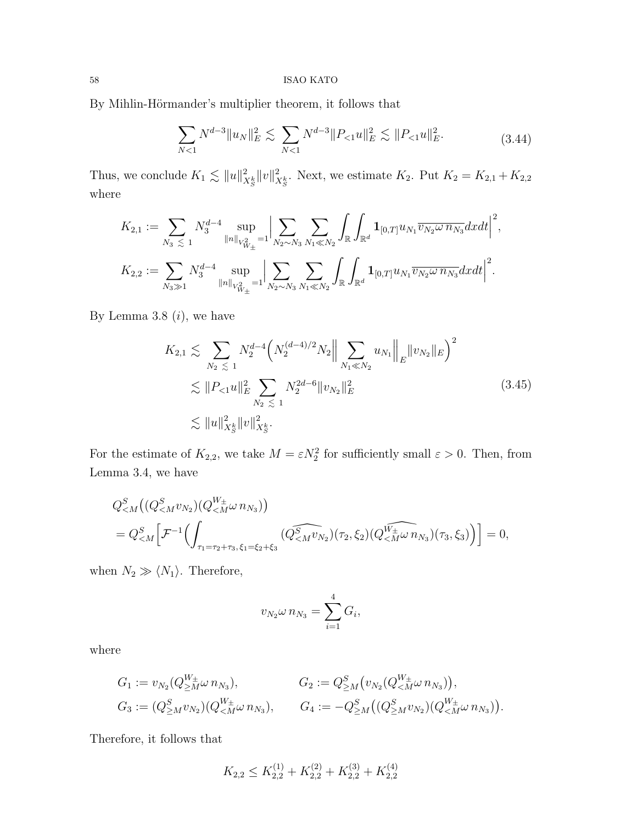By Mihlin-Hörmander's multiplier theorem, it follows that  $\,$ 

$$
\sum_{N<1} N^{d-3} \|u_N\|_E^2 \lesssim \sum_{N<1} N^{d-3} \|P_{<1} u\|_E^2 \lesssim \|P_{<1} u\|_E^2. \tag{3.44}
$$

Thus, we conclude  $K_1 \lesssim ||u||^2_{X^k_S} ||v||^2_{X^k_S}$ . Next, we estimate  $K_2$ . Put  $K_2 = K_{2,1} + K_{2,2}$ where

$$
K_{2,1} := \sum_{N_3 \leq 1} N_3^{d-4} \sup_{\|n\|_{V_{W_{\pm}}^2} = 1} \Big| \sum_{N_2 \sim N_3} \sum_{N_1 \ll N_2} \int_{\mathbb{R}} \int_{\mathbb{R}^d} \mathbf{1}_{[0,T]} u_{N_1} \overline{v_{N_2} \omega n_{N_3}} dxdt \Big|^2,
$$
  

$$
K_{2,2} := \sum_{N_3 \gg 1} N_3^{d-4} \sup_{\|n\|_{V_{W_{\pm}}^2} = 1} \Big| \sum_{N_2 \sim N_3} \sum_{N_1 \ll N_2} \int_{\mathbb{R}} \int_{\mathbb{R}^d} \mathbf{1}_{[0,T]} u_{N_1} \overline{v_{N_2} \omega n_{N_3}} dxdt \Big|^2.
$$

By Lemma 3.8  $(i)$ , we have

$$
K_{2,1} \lesssim \sum_{N_2 \leq 1} N_2^{d-4} \left( N_2^{(d-4)/2} N_2 \middle\| \sum_{N_1 \ll N_2} u_{N_1} \middle\|_E \| v_{N_2} \|_E \right)^2
$$
  

$$
\lesssim \| P_{\leq 1} u \|_E^2 \sum_{N_2 \leq 1} N_2^{2d-6} \| v_{N_2} \|_E^2
$$
  

$$
\lesssim \| u \|_{X_S^k}^2 \| v \|_{X_S^k}^2.
$$
 (3.45)

For the estimate of  $K_{2,2}$ , we take  $M = \varepsilon N_2^2$  for sufficiently small  $\varepsilon > 0$ . Then, from Lemma 3.4, we have

$$
Q_{\leq M}^{S} \left( (Q_{\leq M}^{S} v_{N_2}) (Q_{\leq M}^{W_{\pm}} \omega n_{N_3}) \right) = Q_{\leq M}^{S} \left[ \mathcal{F}^{-1} \left( \int_{\tau_1 = \tau_2 + \tau_3, \xi_1 = \xi_2 + \xi_3} (Q_{\leq M}^{S} \widehat{v}_{N_2}) (\tau_2, \xi_2) (Q_{\leq M}^{W_{\pm}} \omega n_{N_3}) (\tau_3, \xi_3) \right) \right] = 0,
$$

when  $N_2 \gg \langle N_1 \rangle$ . Therefore,

$$
v_{N_2}\omega n_{N_3}=\sum_{i=1}^4 G_i,
$$

where

$$
G_1 := v_{N_2}(Q_{\geq M}^{W_{\pm}} \omega n_{N_3}), \qquad G_2 := Q_{\geq M}^S(v_{N_2}(Q_{\leq M}^{W_{\pm}} \omega n_{N_3})),
$$
  
\n
$$
G_3 := (Q_{\geq M}^S v_{N_2})(Q_{\leq M}^{W_{\pm}} \omega n_{N_3}), \qquad G_4 := -Q_{\geq M}^S((Q_{\geq M}^S v_{N_2})(Q_{\leq M}^{W_{\pm}} \omega n_{N_3}))
$$

.

Therefore, it follows that

$$
K_{2,2} \le K_{2,2}^{(1)} + K_{2,2}^{(2)} + K_{2,2}^{(3)} + K_{2,2}^{(4)}
$$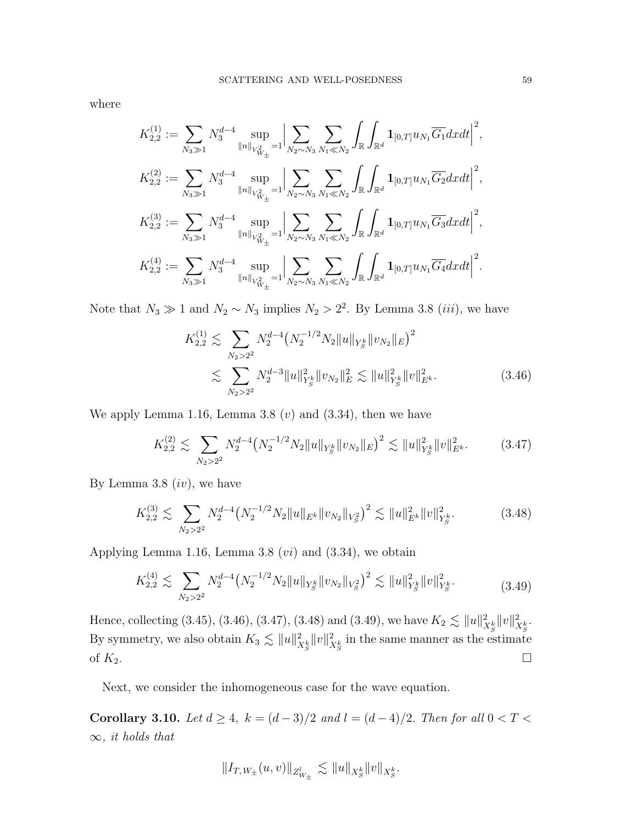where

$$
K_{2,2}^{(1)} := \sum_{N_3 \gg 1} N_3^{d-4} \sup_{\|n\|_{V_{W_{\pm}}^2} = 1} \Big| \sum_{N_2 \sim N_3} \sum_{N_1 \ll N_2} \int_{\mathbb{R}} \int_{\mathbb{R}^d} \mathbf{1}_{[0,T]} u_{N_1} \overline{G_1} dxdt \Big|^2,
$$
  
\n
$$
K_{2,2}^{(2)} := \sum_{N_3 \gg 1} N_3^{d-4} \sup_{\|n\|_{V_{W_{\pm}}^2} = 1} \Big| \sum_{N_2 \sim N_3} \sum_{N_1 \ll N_2} \int_{\mathbb{R}} \int_{\mathbb{R}^d} \mathbf{1}_{[0,T]} u_{N_1} \overline{G_2} dxdt \Big|^2,
$$
  
\n
$$
K_{2,2}^{(3)} := \sum_{N_3 \gg 1} N_3^{d-4} \sup_{\|n\|_{V_{W_{\pm}}^2} = 1} \Big| \sum_{N_2 \sim N_3} \sum_{N_1 \ll N_2} \int_{\mathbb{R}} \int_{\mathbb{R}^d} \mathbf{1}_{[0,T]} u_{N_1} \overline{G_3} dxdt \Big|^2,
$$
  
\n
$$
K_{2,2}^{(4)} := \sum_{N_3 \gg 1} N_3^{d-4} \sup_{\|n\|_{V_{W_{\pm}}^2} = 1} \Big| \sum_{N_2 \sim N_3} \sum_{N_1 \ll N_2} \int_{\mathbb{R}} \int_{\mathbb{R}^d} \mathbf{1}_{[0,T]} u_{N_1} \overline{G_4} dxdt \Big|^2.
$$

Note that  $N_3 \gg 1$  and  $N_2 \sim N_3$  implies  $N_2 > 2^2$ . By Lemma 3.8 (*iii*), we have

$$
K_{2,2}^{(1)} \lesssim \sum_{N_2 > 2^2} N_2^{d-4} \left( N_2^{-1/2} N_2 \|u\|_{Y_S^k} \|v_{N_2}\|_E \right)^2
$$
  

$$
\lesssim \sum_{N_2 > 2^2} N_2^{d-3} \|u\|_{Y_S^k}^2 \|v_{N_2}\|_E^2 \lesssim \|u\|_{Y_S^k}^2 \|v\|_{E^k}^2. \tag{3.46}
$$

We apply Lemma 1.16, Lemma 3.8  $(v)$  and  $(3.34)$ , then we have

$$
K_{2,2}^{(2)} \lesssim \sum_{N_2 > 2^2} N_2^{d-4} \left( N_2^{-1/2} N_2 \| u \|_{Y_S^k} \| v_{N_2} \|_E \right)^2 \lesssim \| u \|_{Y_S^k}^2 \| v \|_{E^k}^2. \tag{3.47}
$$

By Lemma 3.8  $(iv)$ , we have

$$
K_{2,2}^{(3)} \lesssim \sum_{N_2 > 2^2} N_2^{d-4} \left( N_2^{-1/2} N_2 \| u \|_{E^k} \| v_{N_2} \|_{V_S^2} \right)^2 \lesssim \| u \|_{E^k}^2 \| v \|_{Y_S^k}^2. \tag{3.48}
$$

Applying Lemma 1.16, Lemma 3.8  $(vi)$  and  $(3.34)$ , we obtain

$$
K_{2,2}^{(4)} \lesssim \sum_{N_2 > 2^2} N_2^{d-4} \left( N_2^{-1/2} N_2 \|u\|_{Y_S^k} \|v_{N_2}\|_{V_S^2} \right)^2 \lesssim \|u\|_{Y_S^k}^2 \|v\|_{Y_S^k}^2. \tag{3.49}
$$

Hence, collecting (3.45), (3.46), (3.47), (3.48) and (3.49), we have  $K_2 \lesssim ||u||_{X_S^k}^2 ||v||_{X_S^k}^2$ . By symmetry, we also obtain  $K_3 \lesssim \|u\|_{X^k_S}^2 \|v\|_{X^k_S}^2$  in the same manner as the estimate of  $K_2$ .

Next, we consider the inhomogeneous case for the wave equation.

Corollary 3.10. Let  $d \ge 4$ ,  $k = (d-3)/2$  and  $l = (d-4)/2$ . Then for all  $0 < T <$  $\infty$ , it holds that

$$
\|I_{T,\,W_\pm}(u,v)\|_{Z^l_{W_\pm}}\,\lesssim\,\|u\|_{X^k_S}\|v\|_{X^k_S}.
$$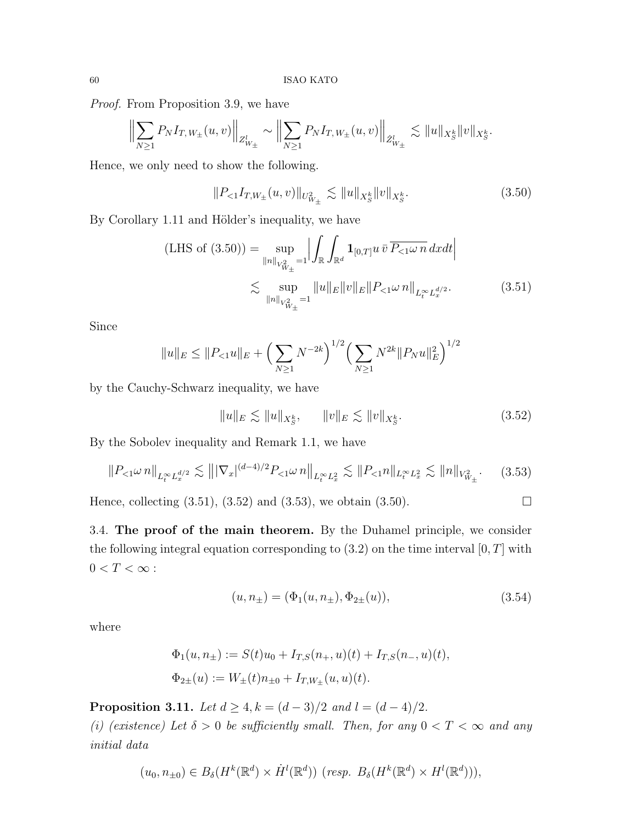Proof. From Proposition 3.9, we have

$$
\Big\|\sum_{N\geq 1} P_N I_{T,W_{\pm}}(u,v)\Big\|_{Z^l_{W_{\pm}}}\sim \Big\|\sum_{N\geq 1} P_N I_{T,W_{\pm}}(u,v)\Big\|_{\dot{Z}^l_{W_{\pm}}}\lesssim \|u\|_{X^k_S}\|v\|_{X^k_S}.
$$

Hence, we only need to show the following.

$$
||P_{<1}I_{T,W_{\pm}}(u,v)||_{U^2_{W_{\pm}}} \lesssim ||u||_{X^k_S}||v||_{X^k_S}.\tag{3.50}
$$

By Corollary 1.11 and Hölder's inequality, we have

(LHS of (3.50)) = 
$$
\sup_{\|n\|_{V_{W_{\pm}}^2} = 1} \left| \int_{\mathbb{R}} \int_{\mathbb{R}^d} \mathbf{1}_{[0,T]} u \, \bar{v} \, \overline{P_{<1} \omega \, n} \, dx dt \right|
$$
  
 
$$
\lesssim \sup_{\|n\|_{V_{W_{\pm}}^2} = 1} \|u\|_E \|v\|_E \|P_{<1} \omega \, n\|_{L_t^{\infty} L_x^{d/2}}.
$$
 (3.51)

Since

$$
||u||_E \le ||P_{<1}u||_E + \left(\sum_{N\ge1} N^{-2k}\right)^{1/2} \left(\sum_{N\ge1} N^{2k} ||P_N u||_E^2\right)^{1/2}
$$

by the Cauchy-Schwarz inequality, we have

$$
||u||_E \lesssim ||u||_{X^k_S}, \qquad ||v||_E \lesssim ||v||_{X^k_S}.
$$
\n(3.52)

By the Sobolev inequality and Remark 1.1, we have

$$
||P_{<1}\omega n||_{L_t^\infty L_x^{d/2}} \lesssim |||\nabla_x|^{(d-4)/2} P_{<1}\omega n||_{L_t^\infty L_x^2} \lesssim ||P_{<1}n||_{L_t^\infty L_x^2} \lesssim ||n||_{V_{W_\pm}^2}.\tag{3.53}
$$

Hence, collecting  $(3.51)$ ,  $(3.52)$  and  $(3.53)$ , we obtain  $(3.50)$ .

3.4. The proof of the main theorem. By the Duhamel principle, we consider the following integral equation corresponding to  $(3.2)$  on the time interval  $[0, T]$  with  $0 < T < \infty$  :

$$
(u, n_{\pm}) = (\Phi_1(u, n_{\pm}), \Phi_{2\pm}(u)), \tag{3.54}
$$

where

$$
\Phi_1(u, n_{\pm}) := S(t)u_0 + I_{T,S}(n_+, u)(t) + I_{T,S}(n_-, u)(t),
$$
  

$$
\Phi_{2\pm}(u) := W_{\pm}(t)n_{\pm 0} + I_{T,W_{\pm}}(u, u)(t).
$$

**Proposition 3.11.** Let  $d \geq 4$ ,  $k = (d-3)/2$  and  $l = (d-4)/2$ .

(i) (existence) Let  $\delta > 0$  be sufficiently small. Then, for any  $0 < T < \infty$  and any initial data

$$
(u_0, n_{\pm 0}) \in B_\delta(H^k(\mathbb{R}^d) \times \dot{H}^l(\mathbb{R}^d)) \ (resp. \ B_\delta(H^k(\mathbb{R}^d) \times H^l(\mathbb{R}^d))),
$$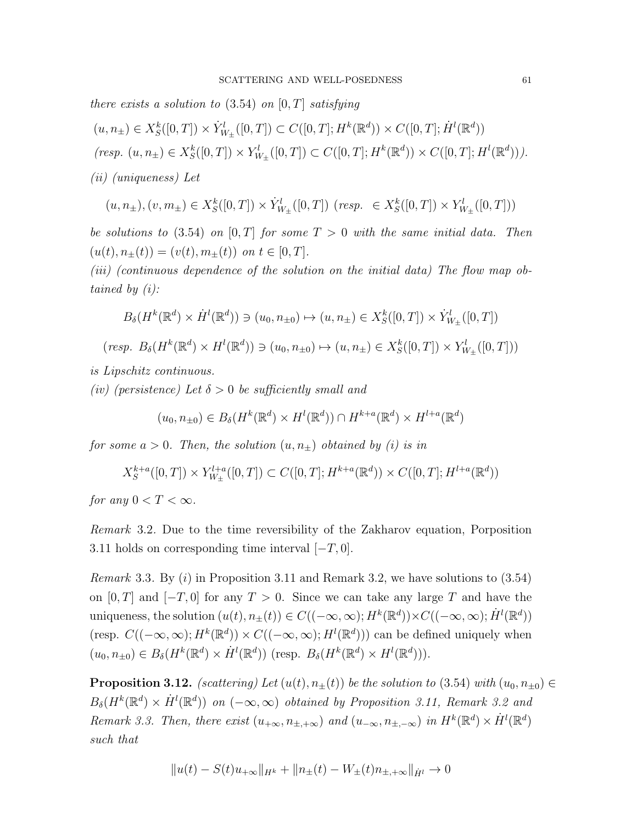there exists a solution to  $(3.54)$  on  $[0, T]$  satisfying

$$
(u, n_{\pm}) \in X_{S}^{k}([0, T]) \times \dot{Y}_{W_{\pm}}^{l}([0, T]) \subset C([0, T]; H^{k}(\mathbb{R}^{d})) \times C([0, T]; \dot{H}^{l}(\mathbb{R}^{d}))
$$
  
(resp.  $(u, n_{\pm}) \in X_{S}^{k}([0, T]) \times Y_{W_{\pm}}^{l}([0, T]) \subset C([0, T]; H^{k}(\mathbb{R}^{d})) \times C([0, T]; H^{l}(\mathbb{R}^{d}))).$   
(ii) (uniqueness) Let

$$
(u, n_{\pm}), (v, m_{\pm}) \in X_{S}^{k}([0, T]) \times \dot{Y}_{W_{\pm}}^{l}([0, T]) \ (resp. \ \in X_{S}^{k}([0, T]) \times Y_{W_{\pm}}^{l}([0, T]))
$$

be solutions to (3.54) on [0, T] for some  $T > 0$  with the same initial data. Then  $(u(t), n_{\pm}(t)) = (v(t), m_{\pm}(t))$  on  $t \in [0, T]$ .

(iii) (continuous dependence of the solution on the initial data) The flow map obtained by (i):

$$
B_{\delta}(H^k(\mathbb{R}^d) \times \dot{H}^l(\mathbb{R}^d)) \ni (u_0, n_{\pm 0}) \mapsto (u, n_{\pm}) \in X_S^k([0, T]) \times \dot{Y}_{W_{\pm}}^l([0, T])
$$
  
(resp.  $B_{\delta}(H^k(\mathbb{R}^d) \times H^l(\mathbb{R}^d)) \ni (u_0, n_{\pm 0}) \mapsto (u, n_{\pm}) \in X_S^k([0, T]) \times Y_{W_{\pm}}^l([0, T]))$ 

is Lipschitz continuous.

(iv) (persistence) Let  $\delta > 0$  be sufficiently small and

$$
(u_0, n_{\pm 0}) \in B_\delta(H^k(\mathbb{R}^d) \times H^l(\mathbb{R}^d)) \cap H^{k+a}(\mathbb{R}^d) \times H^{l+a}(\mathbb{R}^d)
$$

for some  $a > 0$ . Then, the solution  $(u, n_{\pm})$  obtained by (i) is in

$$
X^{k+a}_S([0,T])\times Y^{l+a}_{W_{\pm}}([0,T])\subset C([0,T];H^{k+a}(\mathbb{R}^d))\times C([0,T];H^{l+a}(\mathbb{R}^d))
$$

for any  $0 < T < \infty$ .

Remark 3.2. Due to the time reversibility of the Zakharov equation, Porposition 3.11 holds on corresponding time interval  $[-T, 0]$ .

*Remark* 3.3. By  $(i)$  in Proposition 3.11 and Remark 3.2, we have solutions to  $(3.54)$ on [0, T] and [ $-T$ , 0] for any  $T > 0$ . Since we can take any large T and have the uniqueness, the solution  $(u(t), n_{\pm}(t)) \in C((-\infty, \infty); H^k(\mathbb{R}^d)) \times C((-\infty, \infty); \dot{H}^l(\mathbb{R}^d))$ (resp.  $C((-\infty,\infty); H^k(\mathbb{R}^d)) \times C((-\infty,\infty); H^l(\mathbb{R}^d))$ ) can be defined uniquely when  $(u_0, n_{\pm 0}) \in B_\delta(H^k(\mathbb{R}^d) \times \dot{H}^l(\mathbb{R}^d))$  (resp.  $B_\delta(H^k(\mathbb{R}^d) \times H^l(\mathbb{R}^d))$ ).

**Proposition 3.12.** (scattering) Let  $(u(t), n_{\pm}(t))$  be the solution to (3.54) with  $(u_0, n_{\pm 0}) \in$  $B_{\delta}(H^k(\mathbb{R}^d) \times \dot{H}^l(\mathbb{R}^d))$  on  $(-\infty, \infty)$  obtained by Proposition 3.11, Remark 3.2 and Remark 3.3. Then, there exist  $(u_{+\infty}, n_{\pm,+\infty})$  and  $(u_{-\infty}, n_{\pm,-\infty})$  in  $H^k(\mathbb{R}^d) \times \dot{H}^l(\mathbb{R}^d)$ such that

$$
||u(t) - S(t)u_{+\infty}||_{H^k} + ||n_{\pm}(t) - W_{\pm}(t)n_{\pm,+\infty}||_{\dot{H}^l} \to 0
$$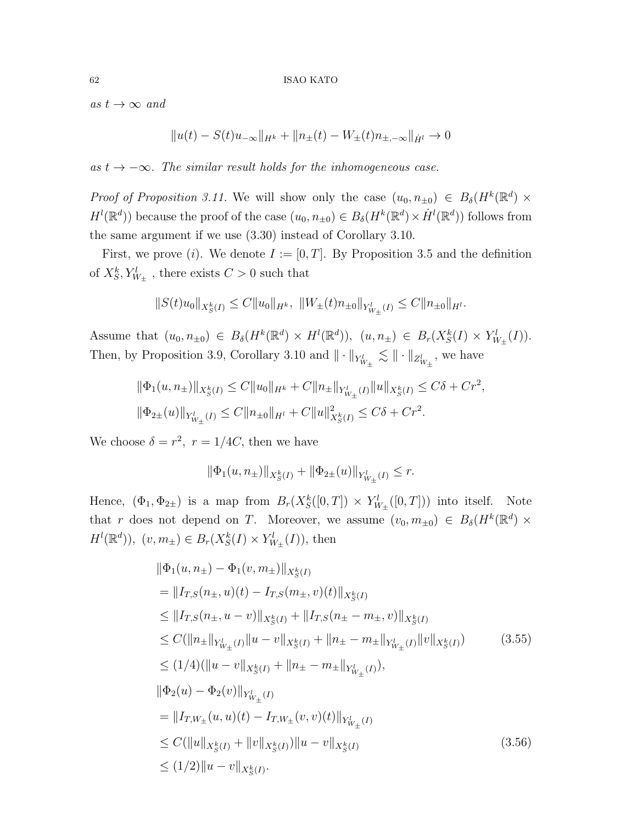as  $t \to \infty$  and

$$
||u(t) - S(t)u_{-\infty}||_{H^k} + ||n_{\pm}(t) - W_{\pm}(t)n_{\pm,-\infty}||_{\dot{H}^l} \to 0
$$

as  $t \to -\infty$ . The similar result holds for the inhomogeneous case.

Proof of Proposition 3.11. We will show only the case  $(u_0, n_{\pm 0}) \in B_\delta(H^k(\mathbb{R}^d)) \times$  $H^l(\mathbb{R}^d)$  because the proof of the case  $(u_0, n_{\pm 0}) \in B_\delta(H^k(\mathbb{R}^d) \times \dot{H}^l(\mathbb{R}^d))$  follows from the same argument if we use (3.30) instead of Corollary 3.10.

First, we prove (i). We denote  $I := [0, T]$ . By Proposition 3.5 and the definition of  $X_S^k, Y_{W_{\pm}}^l$ , there exists  $C > 0$  such that

$$
||S(t)u_0||_{X_S^k(I)} \leq C||u_0||_{H^k}, \ ||W_{\pm}(t)n_{\pm 0}||_{Y^l_{W_{\pm}}(I)} \leq C||n_{\pm 0}||_{H^l}.
$$

Assume that  $(u_0, n_{\pm 0}) \in B_\delta(H^k(\mathbb{R}^d) \times H^l(\mathbb{R}^d)), (u, n_{\pm}) \in B_r(X_S^k(I) \times Y_{W_{\pm}}^l(I)).$ Then, by Proposition 3.9, Corollary 3.10 and  $\|\cdot\|_{Y_{W_{\pm}}^{l}} \lesssim \|\cdot\|_{Z_{W_{\pm}}^{l}}$ , we have

$$
\|\Phi_1(u, n_\pm)\|_{X_S^k(I)} \le C \|u_0\|_{H^k} + C \|n_\pm\|_{Y^l_{W_\pm}(I)} \|u\|_{X_S^k(I)} \le C\delta + Cr^2,
$$
  

$$
\|\Phi_{2\pm}(u)\|_{Y^l_{W_\pm}(I)} \le C \|n_{\pm 0}\|_{H^l} + C \|u\|_{X_S^k(I)}^2 \le C\delta + Cr^2.
$$

We choose  $\delta = r^2$ ,  $r = 1/4C$ , then we have

$$
\|\Phi_1(u,n_\pm)\|_{X^k_S(I)} + \|\Phi_{2\pm}(u)\|_{Y^l_{W_\pm}(I)} \leq r.
$$

Hence,  $(\Phi_1, \Phi_{2\pm})$  is a map from  $B_r(X^k_S([0,T]) \times Y^l_{W_{\pm}}([0,T]))$  into itself. Note that r does not depend on T. Moreover, we assume  $(v_0, m_{\pm 0}) \in B_\delta(H^k(\mathbb{R}^d)) \times$  $H^{l}(\mathbb{R}^{d}))$ ,  $(v, m_{\pm}) \in B_{r}(X_{S}^{k}(I) \times Y_{W_{\pm}}^{l}(I))$ , then

$$
\|\Phi_{1}(u, n_{\pm}) - \Phi_{1}(v, m_{\pm})\|_{X_{S}^{k}(I)}
$$
\n
$$
= \|I_{T,S}(n_{\pm}, u)(t) - I_{T,S}(m_{\pm}, v)(t)\|_{X_{S}^{k}(I)}
$$
\n
$$
\leq \|I_{T,S}(n_{\pm}, u - v)\|_{X_{S}^{k}(I)} + \|I_{T,S}(n_{\pm} - m_{\pm}, v)\|_{X_{S}^{k}(I)}
$$
\n
$$
\leq C(\|n_{\pm}\|_{Y_{W_{\pm}}^{l}(I)}\|u - v\|_{X_{S}^{k}(I)} + \|n_{\pm} - m_{\pm}\|_{Y_{W_{\pm}}^{l}(I)}\|v\|_{X_{S}^{k}(I)}) \qquad (3.55)
$$
\n
$$
\leq (1/4)(\|u - v\|_{X_{S}^{k}(I)} + \|n_{\pm} - m_{\pm}\|_{Y_{W_{\pm}}^{l}(I)}),
$$
\n
$$
\|\Phi_{2}(u) - \Phi_{2}(v)\|_{Y_{W_{\pm}}^{l}(I)}
$$
\n
$$
= \|I_{T,W_{\pm}}(u, u)(t) - I_{T,W_{\pm}}(v, v)(t)\|_{Y_{W_{\pm}}^{l}(I)}
$$
\n
$$
\leq C(\|u\|_{X_{S}^{k}(I)} + \|v\|_{X_{S}^{k}(I)})\|u - v\|_{X_{S}^{k}(I)}
$$
\n
$$
\leq (1/2)\|u - v\|_{X_{S}^{k}(I)}.
$$
\n(3.56)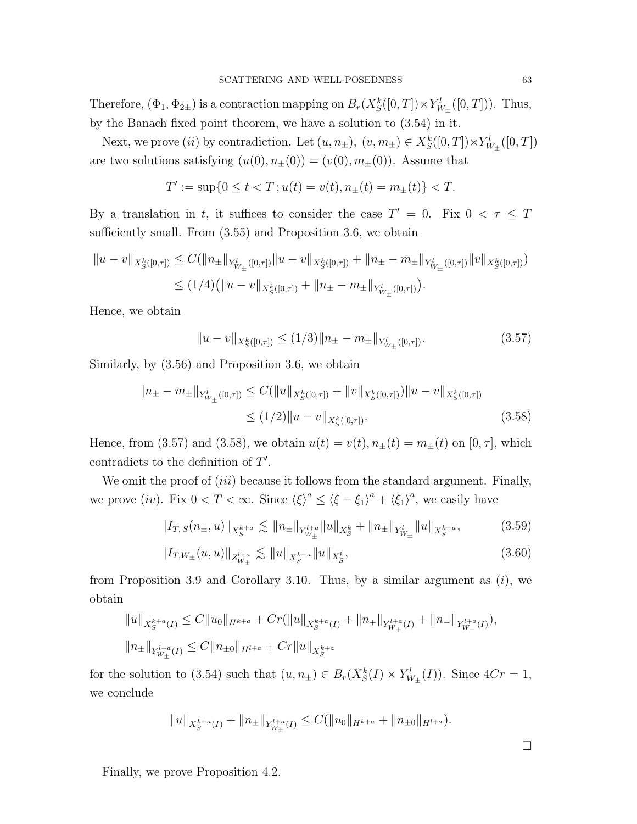Therefore,  $(\Phi_1, \Phi_{2\pm})$  is a contraction mapping on  $B_r(X_S^k([0,T]) \times Y^l_{W_{\pm}}([0,T]))$ . Thus, by the Banach fixed point theorem, we have a solution to (3.54) in it.

Next, we prove (*ii*) by contradiction. Let  $(u, n_{\pm}), (v, m_{\pm}) \in X_S^k([0, T]) \times Y_{W_{\pm}}^l([0, T])$ are two solutions satisfying  $(u(0), n_{\pm}(0)) = (v(0), m_{\pm}(0))$ . Assume that

$$
T':=\sup\{0\le t
$$

By a translation in t, it suffices to consider the case  $T' = 0$ . Fix  $0 < \tau \leq T$ sufficiently small. From  $(3.55)$  and Proposition 3.6, we obtain

$$
||u - v||_{X_{S}^{k}([0,\tau])} \leq C(||n_{\pm}||_{Y_{W_{\pm}}^{l}([0,\tau])}||u - v||_{X_{S}^{k}([0,\tau])} + ||n_{\pm} - m_{\pm}||_{Y_{W_{\pm}}^{l}([0,\tau])}||v||_{X_{S}^{k}([0,\tau])})
$$
  

$$
\leq (1/4)(||u - v||_{X_{S}^{k}([0,\tau])} + ||n_{\pm} - m_{\pm}||_{Y_{W_{\pm}}^{l}([0,\tau])}).
$$

Hence, we obtain

$$
||u - v||_{X^{k}_{S}([0,\tau])} \le (1/3)||n_{\pm} - m_{\pm}||_{Y^{l}_{W_{\pm}}([0,\tau])}.
$$
\n(3.57)

Similarly, by (3.56) and Proposition 3.6, we obtain

$$
||n_{\pm} - m_{\pm}||_{Y_{W_{\pm}}^{l}([0,\tau])} \leq C(||u||_{X_{S}^{k}([0,\tau])} + ||v||_{X_{S}^{k}([0,\tau])})||u - v||_{X_{S}^{k}([0,\tau])}
$$
  

$$
\leq (1/2)||u - v||_{X_{S}^{k}([0,\tau])}. \tag{3.58}
$$

Hence, from (3.57) and (3.58), we obtain  $u(t) = v(t)$ ,  $n_{\pm}(t) = m_{\pm}(t)$  on  $[0, \tau]$ , which contradicts to the definition of  $T'$ .

We omit the proof of *(iii)* because it follows from the standard argument. Finally, we prove (iv). Fix  $0 < T < \infty$ . Since  $\langle \xi \rangle^a \leq \langle \xi - \xi_1 \rangle^a + \langle \xi_1 \rangle^a$ , we easily have

$$
||I_{T,S}(n_{\pm},u)||_{X_{S}^{k+a}} \lesssim ||n_{\pm}||_{Y_{W_{\pm}}^{l+a}} ||u||_{X_{S}^{k}} + ||n_{\pm}||_{Y_{W_{\pm}}^{l}} ||u||_{X_{S}^{k+a}}, \tag{3.59}
$$

$$
||I_{T,W_{\pm}}(u,u)||_{Z_{W_{\pm}}^{l+a}} \lesssim ||u||_{X_{S}^{k+a}} ||u||_{X_{S}^{k}},
$$
\n(3.60)

from Proposition 3.9 and Corollary 3.10. Thus, by a similar argument as  $(i)$ , we obtain

$$
||u||_{X_{S}^{k+a}(I)} \leq C||u_{0}||_{H^{k+a}} + Cr(||u||_{X_{S}^{k+a}(I)} + ||n_{+}||_{Y_{W_{+}}^{l+a}(I)} + ||n_{-}||_{Y_{W_{-}}^{l+a}(I)}),
$$
  

$$
||n_{\pm}||_{Y_{W_{\pm}}^{l+a}(I)} \leq C||n_{\pm 0}||_{H^{l+a}} + Cr||u||_{X_{S}^{k+a}}
$$

for the solution to (3.54) such that  $(u, n_{\pm}) \in B_r(X_S^k(I) \times Y_{W_{\pm}}^l(I))$ . Since  $4Cr = 1$ , we conclude

$$
||u||_{X_{S}^{k+a}(I)}+||n_{\pm}||_{Y_{W_{\pm}}^{l+a}(I)} \leq C(||u_{0}||_{H^{k+a}}+||n_{\pm 0}||_{H^{l+a}}).
$$

Finally, we prove Proposition 4.2.

 $\Box$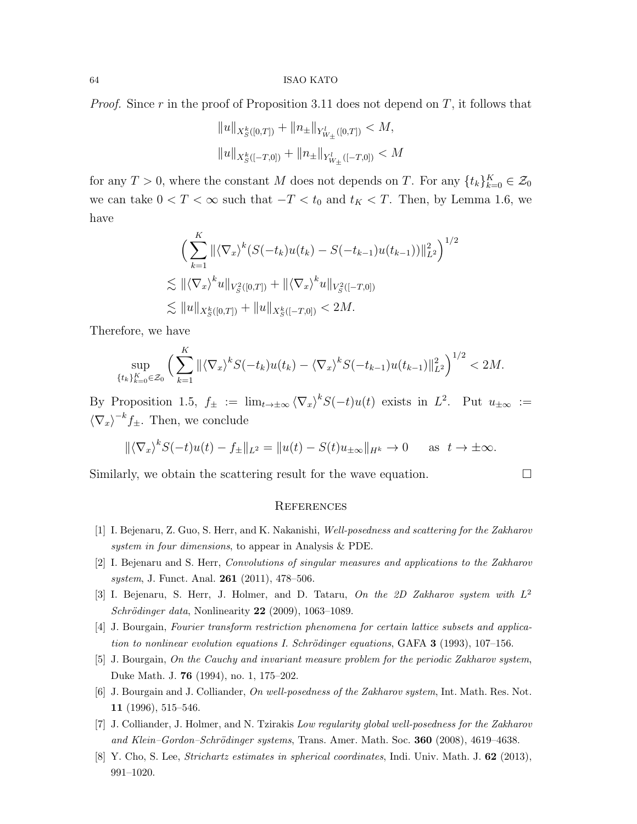*Proof.* Since r in the proof of Proposition 3.11 does not depend on  $T$ , it follows that

$$
||u||_{X^{k}_{S}([0,T])} + ||n_{\pm}||_{Y^{l}_{W_{\pm}}([0,T])} < M,
$$
  

$$
||u||_{X^{k}_{S}([-T,0])} + ||n_{\pm}||_{Y^{l}_{W_{\pm}}([-T,0])} < M
$$

for any  $T > 0$ , where the constant M does not depends on T. For any  $\{t_k\}_{k=0}^K \in \mathcal{Z}_0$ we can take  $0 < T < \infty$  such that  $-T < t_0$  and  $t_K < T$ . Then, by Lemma 1.6, we have

$$
\left(\sum_{k=1}^{K} \|\langle \nabla_x \rangle^k (S(-t_k)u(t_k) - S(-t_{k-1})u(t_{k-1}))\|_{L^2}^2\right)^{1/2}
$$
  
\$\lesssim \|\langle \nabla\_x \rangle^k u\|\_{V\_S^2([0,T])} + \|\langle \nabla\_x \rangle^k u\|\_{V\_S^2([-T,0])}  
\$\lesssim \|u\|\_{X\_S^k([0,T])} + \|u\|\_{X\_S^k([-T,0])} < 2M\$.

Therefore, we have

$$
\sup_{\{t_k\}_{k=0}^K \in \mathcal{Z}_0} \left( \sum_{k=1}^K \| \langle \nabla_x \rangle^k S(-t_k) u(t_k) - \langle \nabla_x \rangle^k S(-t_{k-1}) u(t_{k-1}) \|_{L^2}^2 \right)^{1/2} < 2M.
$$

By Proposition 1.5,  $f_{\pm} := \lim_{t \to \pm \infty} \langle \nabla_x \rangle^k S(-t) u(t)$  exists in  $L^2$ . Put  $u_{\pm \infty} :=$  $\langle \nabla_x \rangle^{-k} f_{\pm}$ . Then, we conclude

$$
\|\langle \nabla_x \rangle^k S(-t)u(t) - f_{\pm}\|_{L^2} = \|u(t) - S(t)u_{\pm\infty}\|_{H^k} \to 0 \quad \text{as } t \to \pm\infty.
$$

Similarly, we obtain the scattering result for the wave equation.

### **REFERENCES**

- [1] I. Bejenaru, Z. Guo, S. Herr, and K. Nakanishi, Well-posedness and scattering for the Zakharov system in four dimensions, to appear in Analysis & PDE.
- [2] I. Bejenaru and S. Herr, Convolutions of singular measures and applications to the Zakharov system, J. Funct. Anal. **261** (2011), 478-506.
- [3] I. Bejenaru, S. Herr, J. Holmer, and D. Tataru, On the 2D Zakharov system with  $L^2$ Schrödinger data, Nonlinearity  $22$  (2009), 1063-1089.
- [4] J. Bourgain, Fourier transform restriction phenomena for certain lattice subsets and application to nonlinear evolution equations I. Schrödinger equations, GAFA  $3$  (1993), 107–156.
- [5] J. Bourgain, On the Cauchy and invariant measure problem for the periodic Zakharov system, Duke Math. J. 76 (1994), no. 1, 175–202.
- [6] J. Bourgain and J. Colliander, On well-posedness of the Zakharov system, Int. Math. Res. Not. 11 (1996), 515–546.
- [7] J. Colliander, J. Holmer, and N. Tzirakis Low regularity global well-posedness for the Zakharov and Klein-Gordon-Schrödinger systems, Trans. Amer. Math. Soc. 360 (2008), 4619-4638.
- [8] Y. Cho, S. Lee, Strichartz estimates in spherical coordinates, Indi. Univ. Math. J. 62 (2013), 991–1020.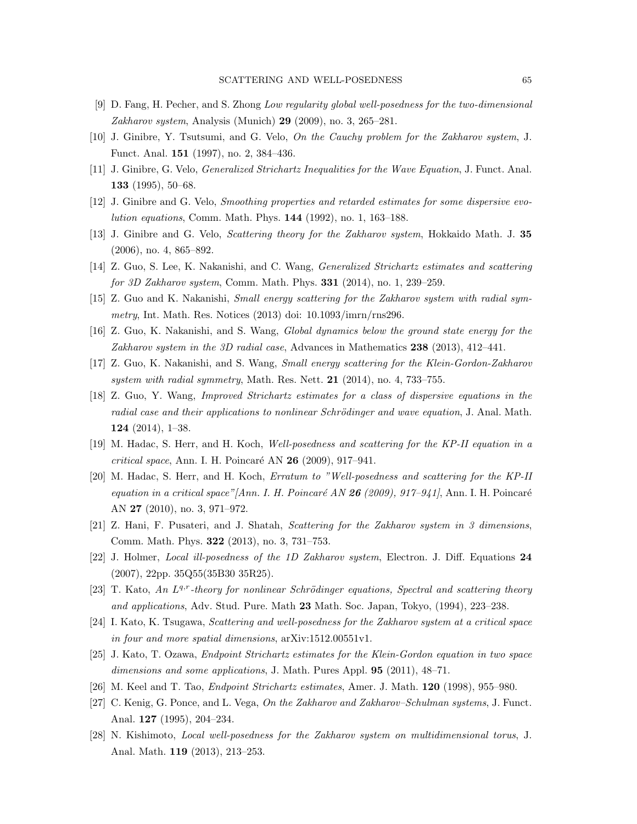- [9] D. Fang, H. Pecher, and S. Zhong Low regularity global well-posedness for the two-dimensional Zakharov system, Analysis (Munich) 29 (2009), no. 3, 265–281.
- [10] J. Ginibre, Y. Tsutsumi, and G. Velo, On the Cauchy problem for the Zakharov system, J. Funct. Anal. 151 (1997), no. 2, 384–436.
- [11] J. Ginibre, G. Velo, Generalized Strichartz Inequalities for the Wave Equation, J. Funct. Anal. 133  $(1995)$ , 50–68.
- [12] J. Ginibre and G. Velo, Smoothing properties and retarded estimates for some dispersive evolution equations, Comm. Math. Phys. 144 (1992), no. 1, 163–188.
- [13] J. Ginibre and G. Velo, Scattering theory for the Zakharov system, Hokkaido Math. J. 35 (2006), no. 4, 865–892.
- [14] Z. Guo, S. Lee, K. Nakanishi, and C. Wang, Generalized Strichartz estimates and scattering for 3D Zakharov system, Comm. Math. Phys. **331** (2014), no. 1, 239–259.
- [15] Z. Guo and K. Nakanishi, Small energy scattering for the Zakharov system with radial symmetry, Int. Math. Res. Notices (2013) doi: 10.1093/imrn/rns296.
- [16] Z. Guo, K. Nakanishi, and S. Wang, Global dynamics below the ground state energy for the Zakharov system in the 3D radial case, Advances in Mathematics 238 (2013), 412–441.
- [17] Z. Guo, K. Nakanishi, and S. Wang, Small energy scattering for the Klein-Gordon-Zakharov system with radial symmetry, Math. Res. Nett. 21 (2014), no. 4, 733–755.
- [18] Z. Guo, Y. Wang, Improved Strichartz estimates for a class of dispersive equations in the radial case and their applications to nonlinear Schrödinger and wave equation, J. Anal. Math. 124 (2014), 1–38.
- [19] M. Hadac, S. Herr, and H. Koch, Well-posedness and scattering for the KP-II equation in a critical space, Ann. I. H. Poincaré AN  $26$  (2009), 917–941.
- [20] M. Hadac, S. Herr, and H. Koch, Erratum to "Well-posedness and scattering for the KP-II equation in a critical space"[Ann. I. H. Poincaré AN 26 (2009), 917–941], Ann. I. H. Poincaré AN 27 (2010), no. 3, 971–972.
- [21] Z. Hani, F. Pusateri, and J. Shatah, Scattering for the Zakharov system in 3 dimensions, Comm. Math. Phys. 322 (2013), no. 3, 731–753.
- [22] J. Holmer, Local ill-posedness of the 1D Zakharov system, Electron. J. Diff. Equations 24 (2007), 22pp. 35Q55(35B30 35R25).
- [23] T. Kato, An L<sup>q,r</sup>-theory for nonlinear Schrödinger equations, Spectral and scattering theory and applications, Adv. Stud. Pure. Math 23 Math. Soc. Japan, Tokyo, (1994), 223–238.
- [24] I. Kato, K. Tsugawa, Scattering and well-posedness for the Zakharov system at a critical space in four and more spatial dimensions, arXiv:1512.00551v1.
- [25] J. Kato, T. Ozawa, Endpoint Strichartz estimates for the Klein-Gordon equation in two space dimensions and some applications, J. Math. Pures Appl. **95** (2011), 48–71.
- [26] M. Keel and T. Tao, Endpoint Strichartz estimates, Amer. J. Math. 120 (1998), 955–980.
- [27] C. Kenig, G. Ponce, and L. Vega, On the Zakharov and Zakharov–Schulman systems, J. Funct. Anal. 127 (1995), 204–234.
- [28] N. Kishimoto, Local well-posedness for the Zakharov system on multidimensional torus, J. Anal. Math. 119 (2013), 213–253.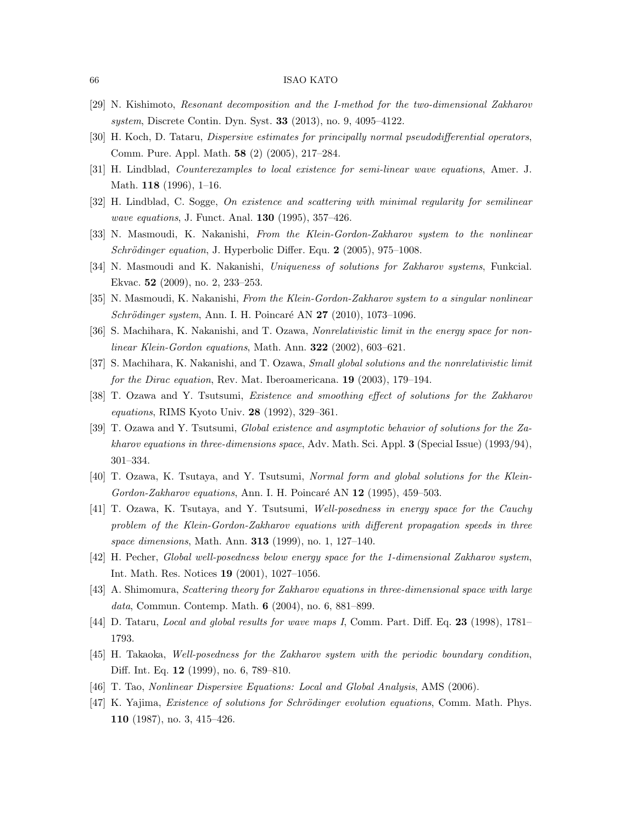- [29] N. Kishimoto, Resonant decomposition and the I-method for the two-dimensional Zakharov system, Discrete Contin. Dyn. Syst. 33 (2013), no. 9, 4095–4122.
- [30] H. Koch, D. Tataru, Dispersive estimates for principally normal pseudodifferential operators, Comm. Pure. Appl. Math. 58 (2) (2005), 217–284.
- [31] H. Lindblad, Counterexamples to local existence for semi-linear wave equations, Amer. J. Math. 118 (1996), 1–16.
- [32] H. Lindblad, C. Sogge, On existence and scattering with minimal regularity for semilinear wave equations, J. Funct. Anal. 130 (1995), 357–426.
- [33] N. Masmoudi, K. Nakanishi, From the Klein-Gordon-Zakharov system to the nonlinear Schrödinger equation, J. Hyperbolic Differ. Equ. 2 (2005), 975-1008.
- [34] N. Masmoudi and K. Nakanishi, Uniqueness of solutions for Zakharov systems, Funkcial. Ekvac. 52 (2009), no. 2, 233–253.
- [35] N. Masmoudi, K. Nakanishi, From the Klein-Gordon-Zakharov system to a singular nonlinear  $Schrödinger system$ , Ann. I. H. Poincaré AN 27 (2010), 1073–1096.
- [36] S. Machihara, K. Nakanishi, and T. Ozawa, Nonrelativistic limit in the energy space for nonlinear Klein-Gordon equations, Math. Ann. **322** (2002), 603–621.
- [37] S. Machihara, K. Nakanishi, and T. Ozawa, Small global solutions and the nonrelativistic limit for the Dirac equation, Rev. Mat. Iberoamericana. 19 (2003), 179–194.
- [38] T. Ozawa and Y. Tsutsumi, Existence and smoothing effect of solutions for the Zakharov equations, RIMS Kyoto Univ. 28 (1992), 329–361.
- [39] T. Ozawa and Y. Tsutsumi, Global existence and asymptotic behavior of solutions for the Zakharov equations in three-dimensions space, Adv. Math. Sci. Appl.  $3$  (Special Issue) (1993/94), 301–334.
- [40] T. Ozawa, K. Tsutaya, and Y. Tsutsumi, Normal form and global solutions for the Klein-Gordon-Zakharov equations, Ann. I. H. Poincaré AN 12 (1995), 459–503.
- [41] T. Ozawa, K. Tsutaya, and Y. Tsutsumi, Well-posedness in energy space for the Cauchy problem of the Klein-Gordon-Zakharov equations with different propagation speeds in three space dimensions, Math. Ann. **313** (1999), no. 1, 127–140.
- [42] H. Pecher, Global well-posedness below energy space for the 1-dimensional Zakharov system, Int. Math. Res. Notices 19 (2001), 1027–1056.
- [43] A. Shimomura, Scattering theory for Zakharov equations in three-dimensional space with large data, Commun. Contemp. Math. 6 (2004), no. 6, 881–899.
- [44] D. Tataru, *Local and global results for wave maps I*, Comm. Part. Diff. Eq. 23 (1998), 1781– 1793.
- [45] H. Takaoka, Well-posedness for the Zakharov system with the periodic boundary condition, Diff. Int. Eq. 12 (1999), no. 6, 789–810.
- [46] T. Tao, Nonlinear Dispersive Equations: Local and Global Analysis, AMS (2006).
- [47] K. Yajima, Existence of solutions for Schrödinger evolution equations, Comm. Math. Phys. 110 (1987), no. 3, 415–426.